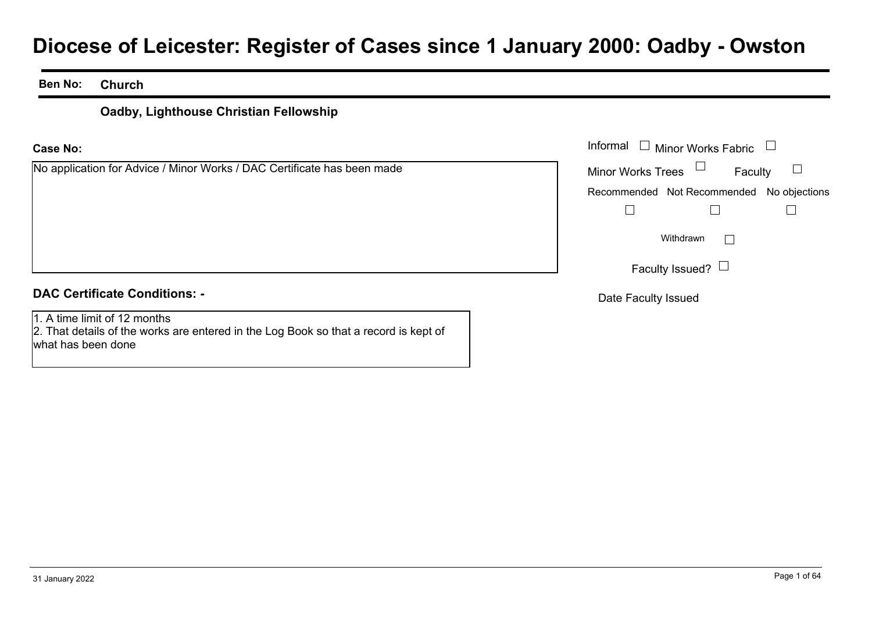# **Diocese of Leicester: Register of Cases since 1 January 2000: Oadby - Owston**

### **Ben No:Church**

### **Oadby, Lighthouse Christian Fellowship**

### **Case No:**

No application for Advice / Minor Works / DAC Certificate has been made

|                                                                 | Informal $\Box$ Minor Works Fabric $\Box$ |
|-----------------------------------------------------------------|-------------------------------------------|
| cation for Advice / Minor Works / DAC Certificate has been made | Minor Works Trees $\Box$<br>Faculty       |
|                                                                 | Recommended Not Recommended No objections |
|                                                                 |                                           |
|                                                                 | Withdrawn<br>$\mathbb{R}$                 |
|                                                                 | Faculty Issued? $\Box$                    |
| rtificate Conditions: -                                         | Date Faculty Issued                       |

### **DAC Certificate Conditions: -**

1. A time limit of 12 months2. That details of the works are entered in the Log Book so that a record is kept of what has been done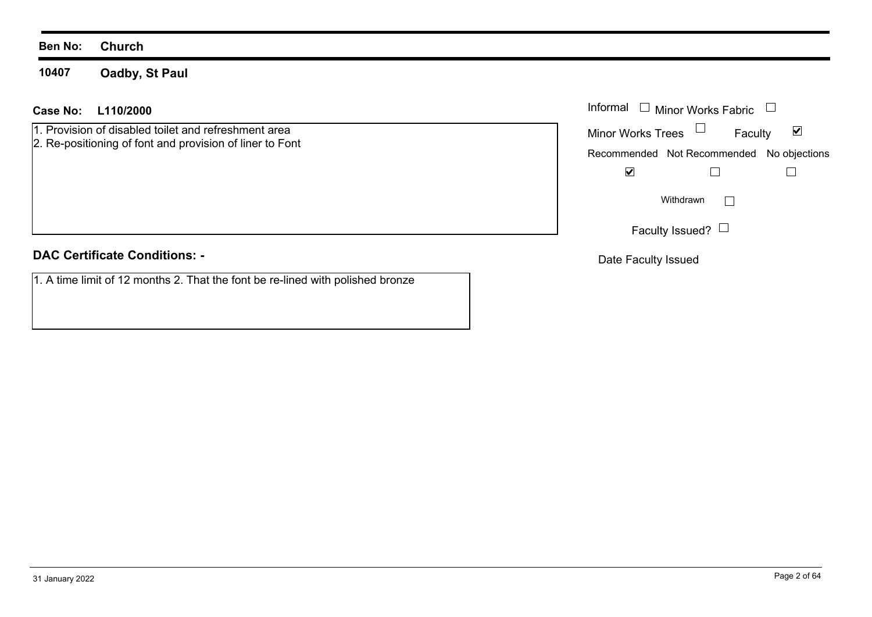**10407Oadby, St Paul**

### **L110/2000Case No:** Informal

1. Provision of disabled toilet and refreshment area 2. Re-positioning of font and provision of liner to Font

**DAC Certificate Conditions: -**

1. A time limit of 12 months 2. That the font be re-lined with polished bronze

| Informal                                  | $\Box$ Minor Works Fabric |         |  |
|-------------------------------------------|---------------------------|---------|--|
| <b>Minor Works Trees</b>                  |                           | Faculty |  |
| Recommended Not Recommended No objections |                           |         |  |
|                                           |                           |         |  |
|                                           | Withdrawn                 |         |  |
|                                           | Faculty Issued? $\Box$    |         |  |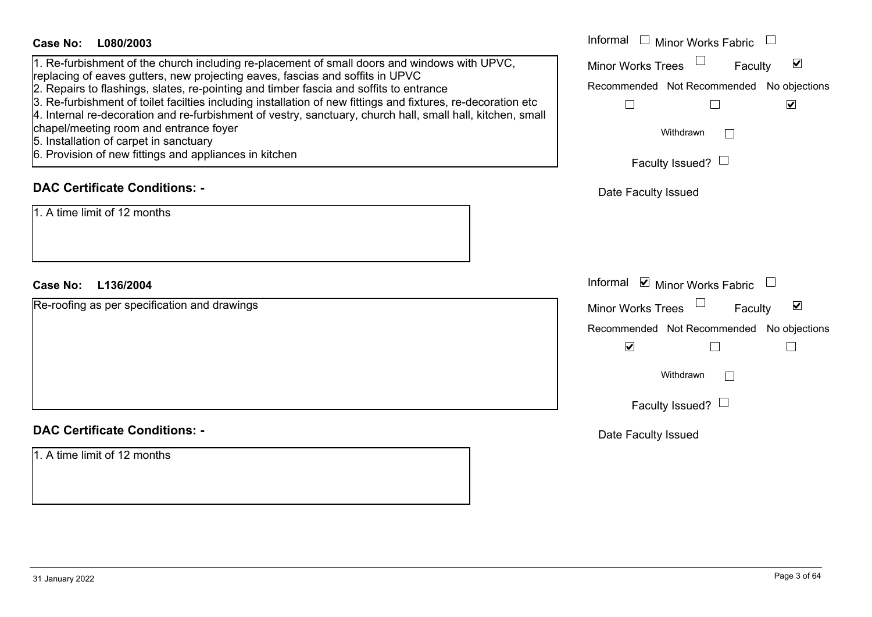| <b>Case No:</b><br>L080/2003                                                                                                                                                                                                                                                                                                                                                                                                                                                                                                                                                                                                                        | Informal $\square$<br>Minor Works Fabric                                                                                                                                                |
|-----------------------------------------------------------------------------------------------------------------------------------------------------------------------------------------------------------------------------------------------------------------------------------------------------------------------------------------------------------------------------------------------------------------------------------------------------------------------------------------------------------------------------------------------------------------------------------------------------------------------------------------------------|-----------------------------------------------------------------------------------------------------------------------------------------------------------------------------------------|
| 1. Re-furbishment of the church including re-placement of small doors and windows with UPVC,<br>replacing of eaves gutters, new projecting eaves, fascias and soffits in UPVC<br>2. Repairs to flashings, slates, re-pointing and timber fascia and soffits to entrance<br>3. Re-furbishment of toilet facilties including installation of new fittings and fixtures, re-decoration etc<br>4. Internal re-decoration and re-furbishment of vestry, sanctuary, church hall, small hall, kitchen, small<br>chapel/meeting room and entrance foyer<br>5. Installation of carpet in sanctuary<br>6. Provision of new fittings and appliances in kitchen | Minor Works Trees<br>$\blacktriangledown$<br>Faculty<br>Recommended Not Recommended No objections<br>$\blacktriangledown$<br>⊔<br>Withdrawn<br>$\mathbb{R}^n$<br>Faculty Issued? $\Box$ |
| <b>DAC Certificate Conditions: -</b>                                                                                                                                                                                                                                                                                                                                                                                                                                                                                                                                                                                                                | Date Faculty Issued                                                                                                                                                                     |
| 1. A time limit of 12 months                                                                                                                                                                                                                                                                                                                                                                                                                                                                                                                                                                                                                        |                                                                                                                                                                                         |
| <b>Case No:</b><br>L136/2004                                                                                                                                                                                                                                                                                                                                                                                                                                                                                                                                                                                                                        | Informal ⊠ Minor Works Fabric $\Box$                                                                                                                                                    |
| Re-roofing as per specification and drawings                                                                                                                                                                                                                                                                                                                                                                                                                                                                                                                                                                                                        | Minor Works Trees<br>$\blacktriangledown$<br>Faculty<br>Recommended Not Recommended No objections<br>$\blacktriangledown$<br>Withdrawn<br>$\mathbb{R}^n$<br>Faculty Issued? $\Box$      |
| <b>DAC Certificate Conditions: -</b>                                                                                                                                                                                                                                                                                                                                                                                                                                                                                                                                                                                                                | Date Faculty Issued                                                                                                                                                                     |
| 1. A time limit of 12 months                                                                                                                                                                                                                                                                                                                                                                                                                                                                                                                                                                                                                        |                                                                                                                                                                                         |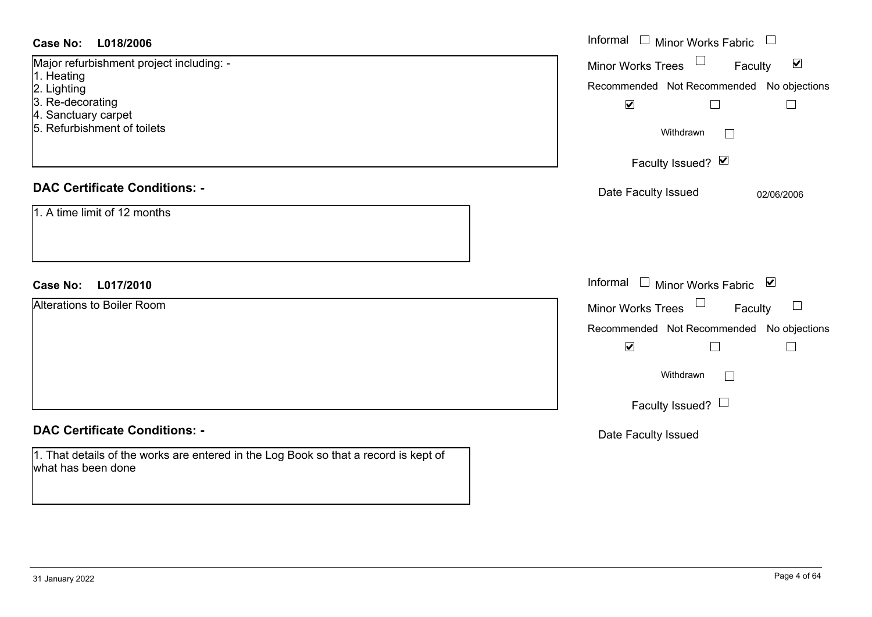| <b>Case No:</b><br>L018/2006                                                                               | Informal □ Minor Works Fabric                        |
|------------------------------------------------------------------------------------------------------------|------------------------------------------------------|
| Major refurbishment project including: -                                                                   | Minor Works Trees<br>$\blacktriangledown$<br>Faculty |
| 1. Heating<br>2. Lighting                                                                                  | Recommended Not Recommended No objections            |
| 3. Re-decorating                                                                                           | $\blacktriangledown$<br>$\Box$<br>$\Box$             |
| 4. Sanctuary carpet<br>5. Refurbishment of toilets                                                         |                                                      |
|                                                                                                            | Withdrawn                                            |
|                                                                                                            | Faculty Issued? Ø                                    |
| <b>DAC Certificate Conditions: -</b>                                                                       | Date Faculty Issued<br>02/06/2006                    |
| 1. A time limit of 12 months                                                                               |                                                      |
|                                                                                                            |                                                      |
|                                                                                                            |                                                      |
| L017/2010<br><b>Case No:</b>                                                                               | Informal □ Minor Works Fabric ⊠                      |
| <b>Alterations to Boiler Room</b>                                                                          | $\Box$<br>Minor Works Trees<br>$\Box$<br>Faculty     |
|                                                                                                            | Recommended Not Recommended<br>No objections         |
|                                                                                                            | $\blacktriangledown$<br>$\Box$<br>$\mathbb{L}$       |
|                                                                                                            | Withdrawn<br>$\Box$                                  |
|                                                                                                            |                                                      |
|                                                                                                            | Faculty Issued? $\Box$                               |
| <b>DAC Certificate Conditions: -</b>                                                                       | Date Faculty Issued                                  |
| 1. That details of the works are entered in the Log Book so that a record is kept of<br>what has been done |                                                      |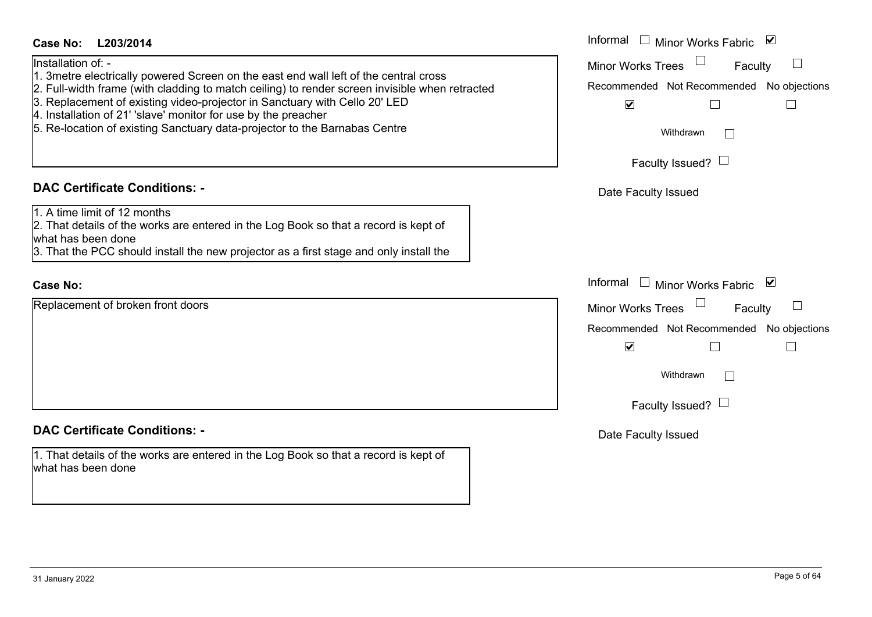| <b>Case No:</b><br>L203/2014                                                                                                                                                                                                                                                                                                                                                                                                                                                                                                                                                                                | Informal $\Box$ Minor Works Fabric<br>⊻                                                                                                                                   |
|-------------------------------------------------------------------------------------------------------------------------------------------------------------------------------------------------------------------------------------------------------------------------------------------------------------------------------------------------------------------------------------------------------------------------------------------------------------------------------------------------------------------------------------------------------------------------------------------------------------|---------------------------------------------------------------------------------------------------------------------------------------------------------------------------|
| Installation of: -<br>1. 3 metre electrically powered Screen on the east end wall left of the central cross<br>2. Full-width frame (with cladding to match ceiling) to render screen invisible when retracted<br>3. Replacement of existing video-projector in Sanctuary with Cello 20' LED<br>4. Installation of 21' 'slave' monitor for use by the preacher<br>5. Re-location of existing Sanctuary data-projector to the Barnabas Centre<br><b>DAC Certificate Conditions: -</b><br>1. A time limit of 12 months<br>2. That details of the works are entered in the Log Book so that a record is kept of | $\Box$<br>Minor Works Trees<br>Faculty<br>Recommended Not Recommended No objections<br>$\blacktriangledown$<br>Withdrawn<br>Faculty Issued? $\Box$<br>Date Faculty Issued |
| what has been done<br>3. That the PCC should install the new projector as a first stage and only install the                                                                                                                                                                                                                                                                                                                                                                                                                                                                                                |                                                                                                                                                                           |
| <b>Case No:</b>                                                                                                                                                                                                                                                                                                                                                                                                                                                                                                                                                                                             | Informal □ Minor Works Fabric ⊠                                                                                                                                           |
| Replacement of broken front doors                                                                                                                                                                                                                                                                                                                                                                                                                                                                                                                                                                           | Minor Works Trees<br>Faculty<br>Recommended Not Recommended No objections<br>$\blacktriangledown$<br>Withdrawn<br>$\Box$<br>Faculty Issued?                               |
| <b>DAC Certificate Conditions: -</b>                                                                                                                                                                                                                                                                                                                                                                                                                                                                                                                                                                        | Date Faculty Issued                                                                                                                                                       |
| 1. That details of the works are entered in the Log Book so that a record is kept of<br>what has been done                                                                                                                                                                                                                                                                                                                                                                                                                                                                                                  |                                                                                                                                                                           |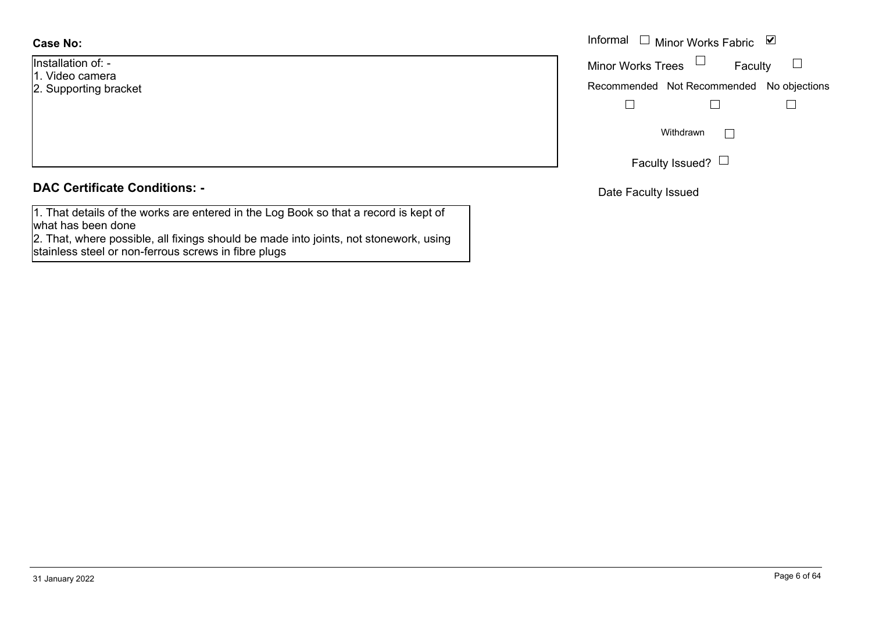### **Case No:**

- Installation of: -
- 1. Video camera
- 2. Supporting bracket

### **DAC Certificate Conditions: -**

1. That details of the works are entered in the Log Book so that a record is kept of what has been done

2. That, where possible, all fixings should be made into joints, not stonework, using stainless steel or non-ferrous screws in fibre plugs

|                   | Informal $\Box$ Minor Works Fabric $\Box$ |
|-------------------|-------------------------------------------|
| n of: -<br>camera | Minor Works Trees $\Box$<br>Faculty       |
| rting bracket     | Recommended Not Recommended No objections |
|                   |                                           |
|                   | Withdrawn<br>$\mathbf{L}$                 |
|                   | Faculty Issued? $\Box$                    |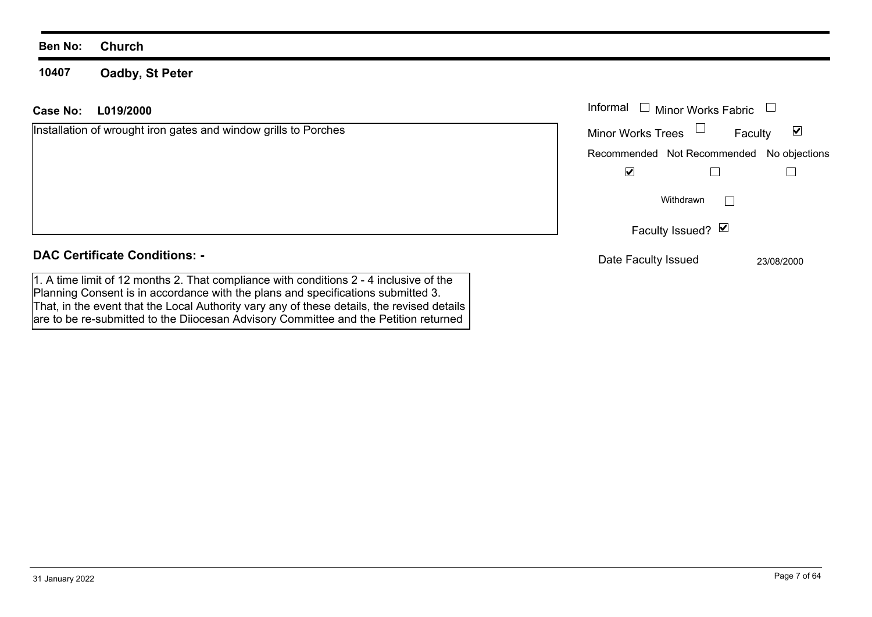**10407Oadby, St Peter**

### Informal  $\Box$  Minor Works Fabric  $\Box$ **L019/2000Case No:** Informal Installation of wrought iron gates and window grills to Porches  $\blacktriangledown$ Faculty Minor Works Trees Recommended Not Recommended No objections  $\overline{\mathbf{v}}$  $\Box$  $\Box$  $\Box$ WithdrawnFaculty Issued? Ø **DAC Certificate Conditions: -**Date Faculty Issued 23/08/2000

1. A time limit of 12 months 2. That compliance with conditions 2 - 4 inclusive of the Planning Consent is in accordance with the plans and specifications submitted 3. That, in the event that the Local Authority vary any of these details, the revised details are to be re-submitted to the Diiocesan Advisory Committee and the Petition returned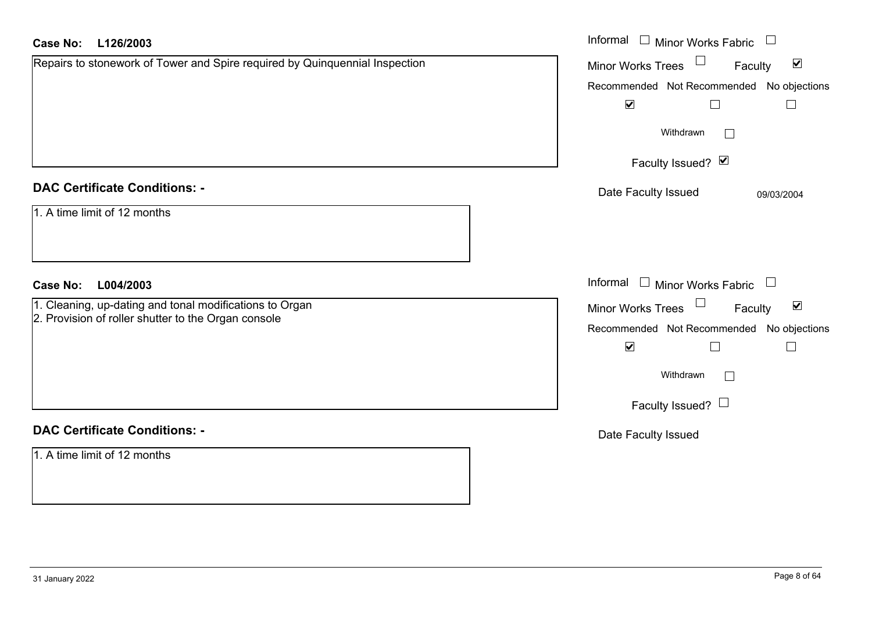| <b>Case No:</b><br>L126/2003                                                | Informal $\Box$ Minor Works Fabric $\Box$                         |
|-----------------------------------------------------------------------------|-------------------------------------------------------------------|
| Repairs to stonework of Tower and Spire required by Quinquennial Inspection | Minor Works Trees <sup>1</sup><br>$\blacktriangledown$<br>Faculty |
|                                                                             | Recommended Not Recommended No objections                         |
|                                                                             | $\blacktriangledown$<br>$\Box$<br>$\Box$                          |
|                                                                             | Withdrawn<br>$\sim$                                               |
|                                                                             | Faculty Issued? Ø                                                 |
| <b>DAC Certificate Conditions: -</b>                                        | Date Faculty Issued<br>09/03/2004                                 |
| 1. A time limit of 12 months                                                |                                                                   |
| L004/2003<br><b>Case No:</b>                                                | Informal $\Box$ Minor Works Fabric $\Box$                         |
| 1. Cleaning, up-dating and tonal modifications to Organ                     | Minor Works Trees<br>$\blacktriangledown$<br>Faculty              |
| 2. Provision of roller shutter to the Organ console                         | Recommended Not Recommended No objections                         |
|                                                                             | $\blacktriangledown$<br>$\Box$<br>$\Box$                          |
|                                                                             | Withdrawn<br>$\Box$                                               |
|                                                                             | Faculty Issued? $\Box$                                            |
| <b>DAC Certificate Conditions: -</b>                                        | Date Faculty Issued                                               |
| 1. A time limit of 12 months                                                |                                                                   |
|                                                                             |                                                                   |
|                                                                             |                                                                   |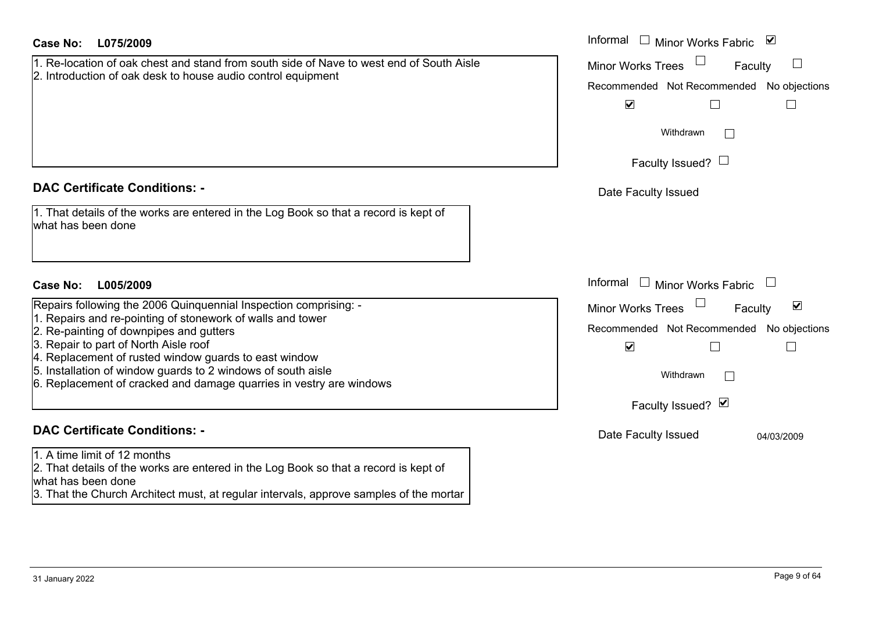| <b>Case No:</b><br>L075/2009                                                                                                                                                                                                                                                                                                                                                                                       | Informal $\square$<br>Minor Works Fabric ⊻                                                                                                                           |
|--------------------------------------------------------------------------------------------------------------------------------------------------------------------------------------------------------------------------------------------------------------------------------------------------------------------------------------------------------------------------------------------------------------------|----------------------------------------------------------------------------------------------------------------------------------------------------------------------|
| 1. Re-location of oak chest and stand from south side of Nave to west end of South Aisle<br>2. Introduction of oak desk to house audio control equipment                                                                                                                                                                                                                                                           | <b>Minor Works Trees</b><br>Faculty<br>Recommended Not Recommended No objections<br>$\blacktriangledown$<br>П<br>$\mathbf{L}$<br>Withdrawn<br>Faculty Issued? $\Box$ |
| <b>DAC Certificate Conditions: -</b>                                                                                                                                                                                                                                                                                                                                                                               | Date Faculty Issued                                                                                                                                                  |
| 1. That details of the works are entered in the Log Book so that a record is kept of<br>what has been done                                                                                                                                                                                                                                                                                                         |                                                                                                                                                                      |
| <b>Case No:</b><br>L005/2009                                                                                                                                                                                                                                                                                                                                                                                       | Informal<br>Minor Works Fabric $\quad \Box$<br>$\Box$                                                                                                                |
| Repairs following the 2006 Quinquennial Inspection comprising: -<br>1. Repairs and re-pointing of stonework of walls and tower<br>2. Re-painting of downpipes and gutters<br>3. Repair to part of North Aisle roof<br>4. Replacement of rusted window guards to east window<br>5. Installation of window guards to 2 windows of south aisle<br>6. Replacement of cracked and damage quarries in vestry are windows | $\blacktriangledown$<br><b>Minor Works Trees</b><br>Faculty<br>Recommended Not Recommended No objections<br>$\blacktriangledown$<br>Withdrawn<br>Faculty Issued? Ø   |
| <b>DAC Certificate Conditions: -</b>                                                                                                                                                                                                                                                                                                                                                                               | Date Faculty Issued<br>04/03/2009                                                                                                                                    |
| 1. A time limit of 12 months<br>2. That details of the works are entered in the Log Book so that a record is kept of<br>what has been done<br>3. That the Church Architect must, at regular intervals, approve samples of the mortar                                                                                                                                                                               |                                                                                                                                                                      |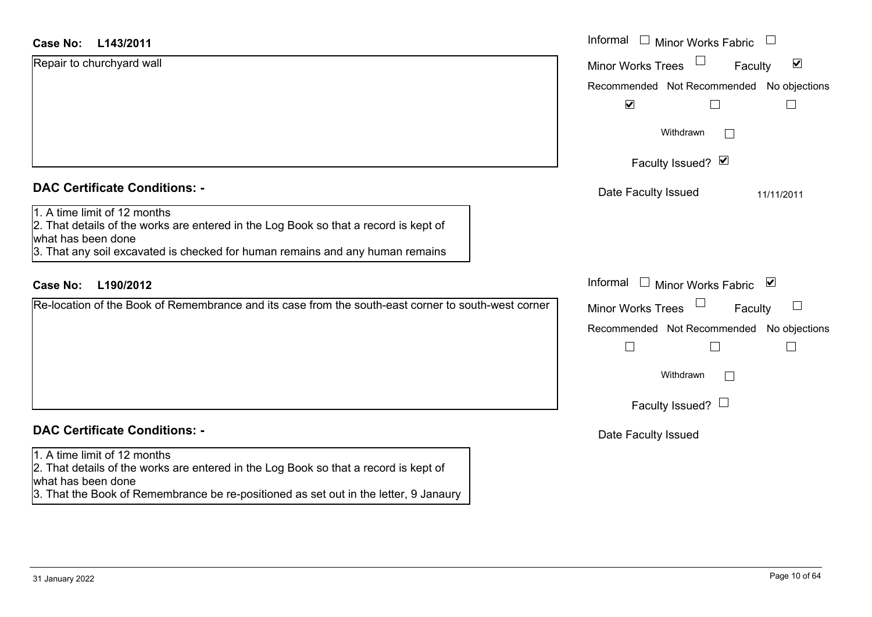| <b>Case No:</b><br>L143/2011                                                                                                                                                                                                                                                                                                                                                          | Informal □ Minor Works Fabric                                |
|---------------------------------------------------------------------------------------------------------------------------------------------------------------------------------------------------------------------------------------------------------------------------------------------------------------------------------------------------------------------------------------|--------------------------------------------------------------|
| Repair to churchyard wall                                                                                                                                                                                                                                                                                                                                                             | $\blacktriangledown$<br><b>Minor Works Trees</b><br>Faculty  |
|                                                                                                                                                                                                                                                                                                                                                                                       | Recommended Not Recommended No objections                    |
|                                                                                                                                                                                                                                                                                                                                                                                       | $\blacktriangledown$                                         |
|                                                                                                                                                                                                                                                                                                                                                                                       | Withdrawn<br>$\mathbf{1}$                                    |
|                                                                                                                                                                                                                                                                                                                                                                                       | Faculty Issued? Ø                                            |
| <b>DAC Certificate Conditions: -</b>                                                                                                                                                                                                                                                                                                                                                  | Date Faculty Issued<br>11/11/2011                            |
| 1. A time limit of 12 months<br>2. That details of the works are entered in the Log Book so that a record is kept of<br>what has been done<br>3. That any soil excavated is checked for human remains and any human remains                                                                                                                                                           |                                                              |
| <b>Case No:</b><br>L190/2012                                                                                                                                                                                                                                                                                                                                                          | Informal<br>□ Minor Works Fabric $\vert \blacktriangleright$ |
| Re-location of the Book of Remembrance and its case from the south-east corner to south-west corner                                                                                                                                                                                                                                                                                   | $\Box$<br><b>Minor Works Trees</b><br>Faculty                |
|                                                                                                                                                                                                                                                                                                                                                                                       | Recommended Not Recommended No objections                    |
|                                                                                                                                                                                                                                                                                                                                                                                       |                                                              |
|                                                                                                                                                                                                                                                                                                                                                                                       | Withdrawn<br>$\mathbf{L}$                                    |
|                                                                                                                                                                                                                                                                                                                                                                                       | Faculty Issued? $\Box$                                       |
| <b>DAC Certificate Conditions: -</b>                                                                                                                                                                                                                                                                                                                                                  | Date Faculty Issued                                          |
| 1. A time limit of 12 months<br>$2.$ That details of the works are entered in the Log Book so that a record is kept of<br>what has been done<br>$\mathbf{r}$ and $\mathbf{r}$ are the contract of the contract of the contract of the contract of the contract of the contract of the contract of the contract of the contract of the contract of the contract of the contract of the |                                                              |

3. That the Book of Remembrance be re-positioned as set out in the letter, 9 Janaury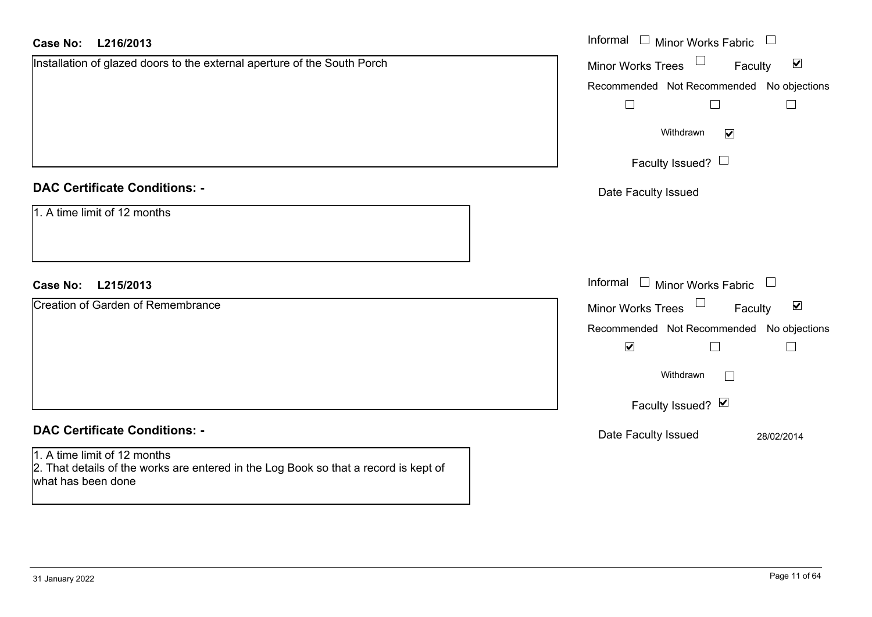| <b>Case No:</b><br>L216/2013                                                                                                               | Informal $\Box$ Minor Works Fabric $\Box$                   |
|--------------------------------------------------------------------------------------------------------------------------------------------|-------------------------------------------------------------|
| Installation of glazed doors to the external aperture of the South Porch                                                                   | Minor Works Trees<br>$\blacktriangledown$<br>Faculty        |
|                                                                                                                                            | Recommended Not Recommended No objections                   |
|                                                                                                                                            | $\Box$<br>$\Box$<br>$\Box$                                  |
|                                                                                                                                            | Withdrawn<br>$\blacktriangledown$                           |
|                                                                                                                                            | Faculty Issued? $\Box$                                      |
| <b>DAC Certificate Conditions: -</b>                                                                                                       | Date Faculty Issued                                         |
| 1. A time limit of 12 months                                                                                                               |                                                             |
| <b>Case No:</b><br>L215/2013                                                                                                               | Informal $\Box$ Minor Works Fabric $\Box$                   |
| <b>Creation of Garden of Remembrance</b>                                                                                                   | Minor Works Trees $\Box$<br>$\blacktriangledown$<br>Faculty |
|                                                                                                                                            | Recommended Not Recommended No objections                   |
|                                                                                                                                            | $\blacktriangledown$<br>П                                   |
|                                                                                                                                            | Withdrawn<br>$\mathbf{L}$                                   |
|                                                                                                                                            | Faculty Issued? Ø                                           |
| <b>DAC Certificate Conditions: -</b>                                                                                                       | Date Faculty Issued<br>28/02/2014                           |
| 1. A time limit of 12 months<br>2. That details of the works are entered in the Log Book so that a record is kept of<br>what has been done |                                                             |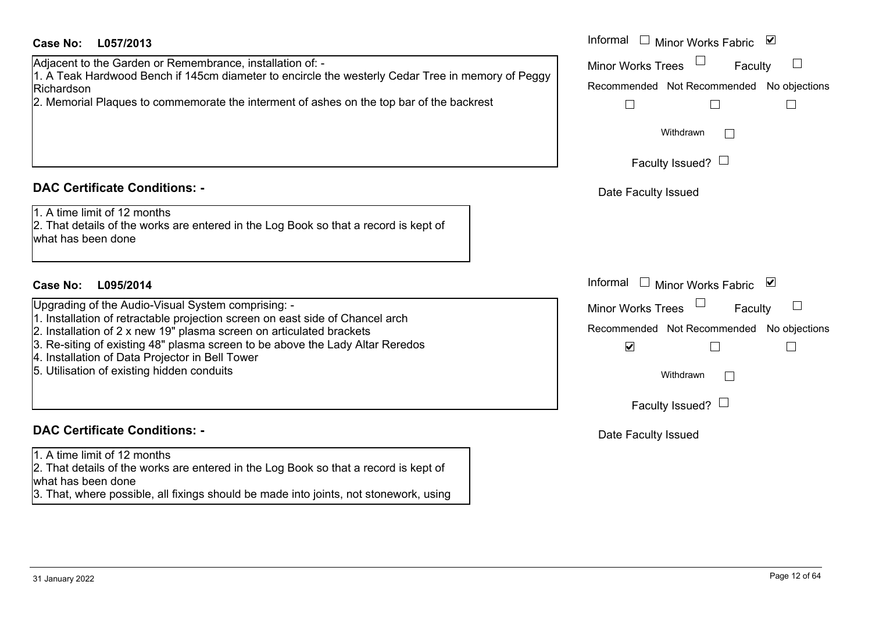### **L057/2013Case No:** Informal

Adjacent to the Garden or Remembrance, installation of: -

1. A Teak Hardwood Bench if 145cm diameter to encircle the westerly Cedar Tree in memory of Peggy Richardson

2. Memorial Plaques to commemorate the interment of ashes on the top bar of the backrest

### **DAC Certificate Conditions: -**

1. A time limit of 12 months

2. That details of the works are entered in the Log Book so that a record is kept of what has been done

### **L095/2014Case No:** Informal

Upgrading of the Audio-Visual System comprising: -

- 1. Installation of retractable projection screen on east side of Chancel arch
- 2. Installation of 2 x new 19" plasma screen on articulated brackets
- 3. Re-siting of existing 48" plasma screen to be above the Lady Altar Reredos
- 4. Installation of Data Projector in Bell Tower
- 5. Utilisation of existing hidden conduits

### **DAC Certificate Conditions: -**

1. A time limit of 12 months

2. That details of the works are entered in the Log Book so that a record is kept of what has been done

3. That, where possible, all fixings should be made into joints, not stonework, using

| Informal<br>⊻<br>Minor Works Fabric                               |
|-------------------------------------------------------------------|
| <b>Minor Works Trees</b><br>Faculty                               |
| Recommended Not Recommended No objections                         |
| Withdrawn                                                         |
| Faculty Issued?                                                   |
| Date Faculty Issued                                               |
|                                                                   |
| Informal<br>$\blacktriangledown$<br><b>Minor Works Fabric</b>     |
| <b>Minor Works Trees</b><br>Faculty                               |
| Recommended Not Recommended No objections<br>$\blacktriangledown$ |
| Withdrawn                                                         |
| Faculty Issued?                                                   |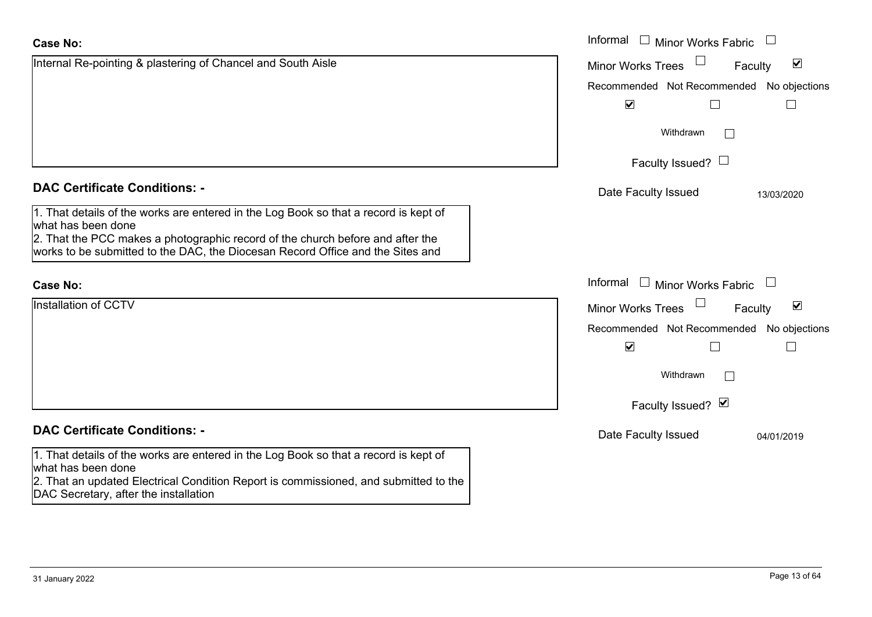| <b>Case No:</b>                                                                                                                                                                                                                                                                | Informal<br>$\Box$ Minor Works Fabric                       |  |
|--------------------------------------------------------------------------------------------------------------------------------------------------------------------------------------------------------------------------------------------------------------------------------|-------------------------------------------------------------|--|
| Internal Re-pointing & plastering of Chancel and South Aisle                                                                                                                                                                                                                   | $\blacktriangledown$<br><b>Minor Works Trees</b><br>Faculty |  |
|                                                                                                                                                                                                                                                                                | Recommended Not Recommended No objections                   |  |
|                                                                                                                                                                                                                                                                                | $\blacktriangledown$                                        |  |
|                                                                                                                                                                                                                                                                                | Withdrawn<br>$\mathbb{R}^n$                                 |  |
|                                                                                                                                                                                                                                                                                | Faculty Issued? $\Box$                                      |  |
| <b>DAC Certificate Conditions: -</b>                                                                                                                                                                                                                                           | Date Faculty Issued<br>13/03/2020                           |  |
| 1. That details of the works are entered in the Log Book so that a record is kept of<br>what has been done<br>2. That the PCC makes a photographic record of the church before and after the<br>works to be submitted to the DAC, the Diocesan Record Office and the Sites and |                                                             |  |
| <b>Case No:</b>                                                                                                                                                                                                                                                                | Informal<br>$\Box$ Minor Works Fabric                       |  |
| <b>Installation of CCTV</b>                                                                                                                                                                                                                                                    | $\blacktriangledown$<br><b>Minor Works Trees</b><br>Faculty |  |
|                                                                                                                                                                                                                                                                                | Recommended Not Recommended No objections                   |  |
|                                                                                                                                                                                                                                                                                | $\blacktriangledown$                                        |  |
|                                                                                                                                                                                                                                                                                | Withdrawn                                                   |  |
|                                                                                                                                                                                                                                                                                | Faculty Issued? Ø                                           |  |
| <b>DAC Certificate Conditions: -</b>                                                                                                                                                                                                                                           | Date Faculty Issued<br>04/01/2019                           |  |
| 1. That details of the works are entered in the Log Book so that a record is kept of<br>what has been done                                                                                                                                                                     |                                                             |  |
| 2. That an updated Electrical Condition Report is commissioned, and submitted to the<br>DAC Secretary, after the installation                                                                                                                                                  |                                                             |  |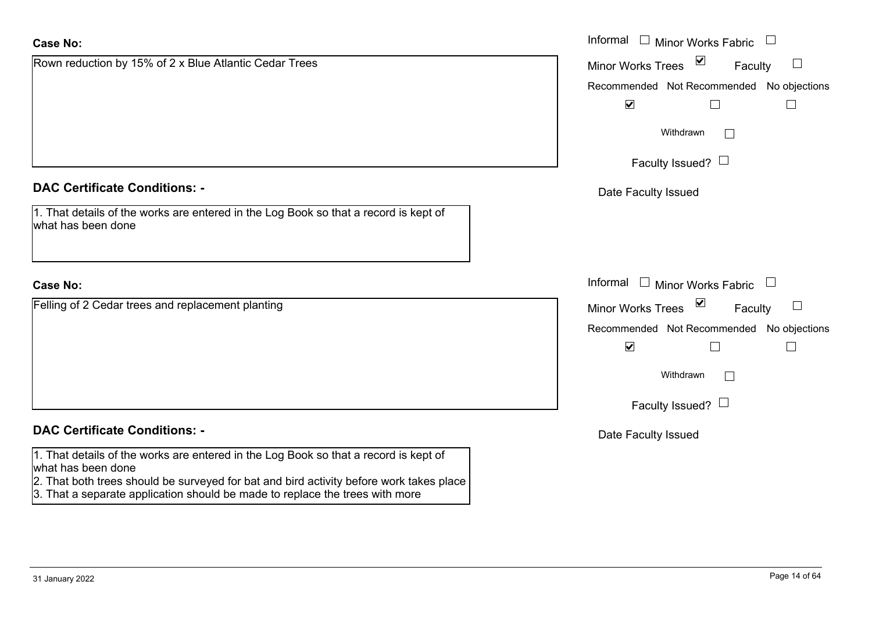| <b>Case No:</b>                                                                                            | Informal $\Box$ Minor Works Fabric $\Box$        |
|------------------------------------------------------------------------------------------------------------|--------------------------------------------------|
| Rown reduction by 15% of 2 x Blue Atlantic Cedar Trees                                                     | Minor Works Trees ⊠<br>Faculty<br>$\Box$         |
|                                                                                                            | Recommended Not Recommended No objections        |
|                                                                                                            | $\blacktriangledown$                             |
|                                                                                                            | Withdrawn<br>$\mathbf{1}$                        |
|                                                                                                            | Faculty Issued? $\Box$                           |
| <b>DAC Certificate Conditions: -</b>                                                                       | Date Faculty Issued                              |
| 1. That details of the works are entered in the Log Book so that a record is kept of<br>what has been done |                                                  |
| <b>Case No:</b>                                                                                            | Informal $\Box$ Minor Works Fabric $\Box$        |
| Felling of 2 Cedar trees and replacement planting                                                          | Minor Works Trees ⊠<br>$\Box$<br>Faculty         |
|                                                                                                            | Recommended Not Recommended No objections        |
|                                                                                                            | $\blacktriangledown$<br>$\overline{\phantom{0}}$ |
|                                                                                                            | Withdrawn<br>$\Box$                              |
|                                                                                                            | Faculty Issued? $\Box$                           |
| <b>DAC Certificate Conditions: -</b>                                                                       | Date Faculty Issued                              |
| 1. That details of the works are entered in the Log Book so that a record is kept of<br>what has been done |                                                  |

2. That both trees should be surveyed for bat and bird activity before work takes place

3. That a separate application should be made to replace the trees with more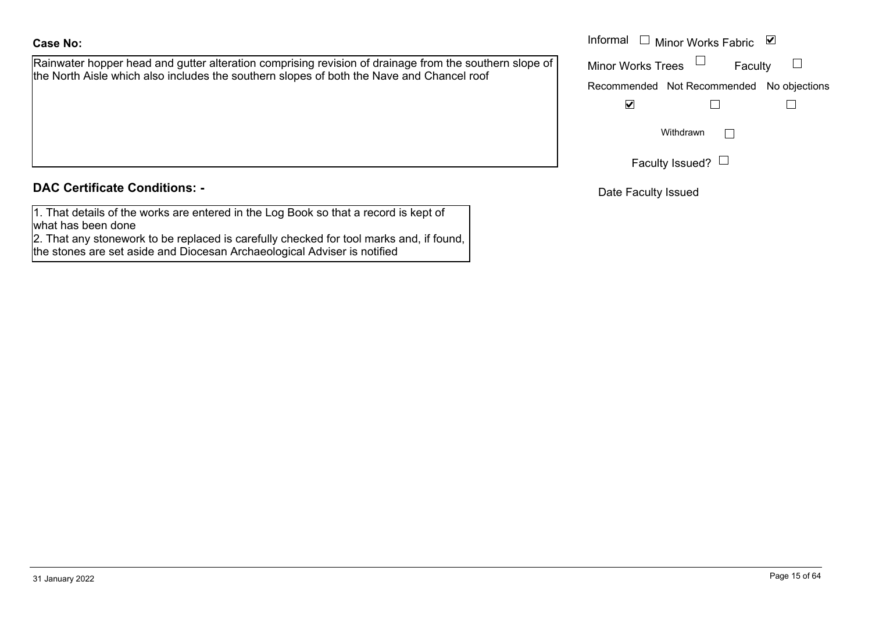# **Case No:**

Rainwater hopper head and gutter alteration comprising revision of drainage from the southern slope of the North Aisle which also includes the southern slopes of both the Nave and Chancel roof

## **DAC Certificate Conditions: -**

1. That details of the works are entered in the Log Book so that a record is kept of what has been done

2. That any stonework to be replaced is carefully checked for tool marks and, if found, the stones are set aside and Diocesan Archaeological Adviser is notified

|                                                                                                                                                                                      | Informal                 | Minor Works Fabric $\blacksquare$ |               |
|--------------------------------------------------------------------------------------------------------------------------------------------------------------------------------------|--------------------------|-----------------------------------|---------------|
| er hopper head and gutter alteration comprising revision of drainage from the southern slope of  <br>Aisle which also includes the southern slopes of both the Nave and Chancel roof | <b>Minor Works Trees</b> | Faculty                           |               |
|                                                                                                                                                                                      |                          | Recommended Not Recommended       | No objections |
|                                                                                                                                                                                      | V                        |                                   |               |
|                                                                                                                                                                                      |                          | Withdrawn                         |               |
|                                                                                                                                                                                      |                          | Faculty Issued? L                 |               |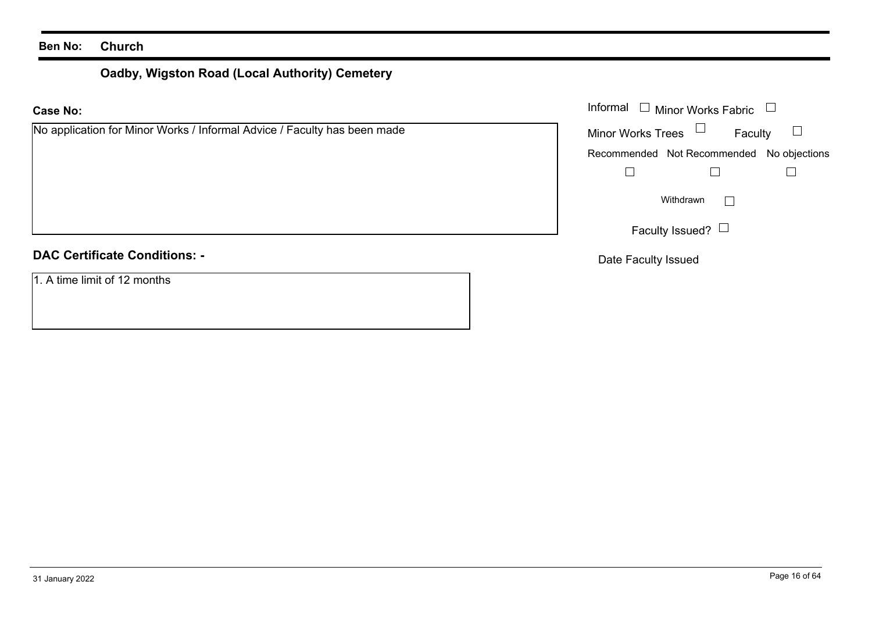# **Oadby, Wigston Road (Local Authority) Cemetery**

### **Case No:**

### **DAC Certificate Conditions: -**

1. A time limit of 12 months

|                                                                  | Informal $\Box$ Minor Works Fabric $\Box$ |
|------------------------------------------------------------------|-------------------------------------------|
| cation for Minor Works / Informal Advice / Faculty has been made | Minor Works Trees $\Box$<br>Faculty       |
|                                                                  | Recommended Not Recommended No objections |
|                                                                  |                                           |
|                                                                  | Withdrawn                                 |
|                                                                  | Faculty Issued? $\Box$                    |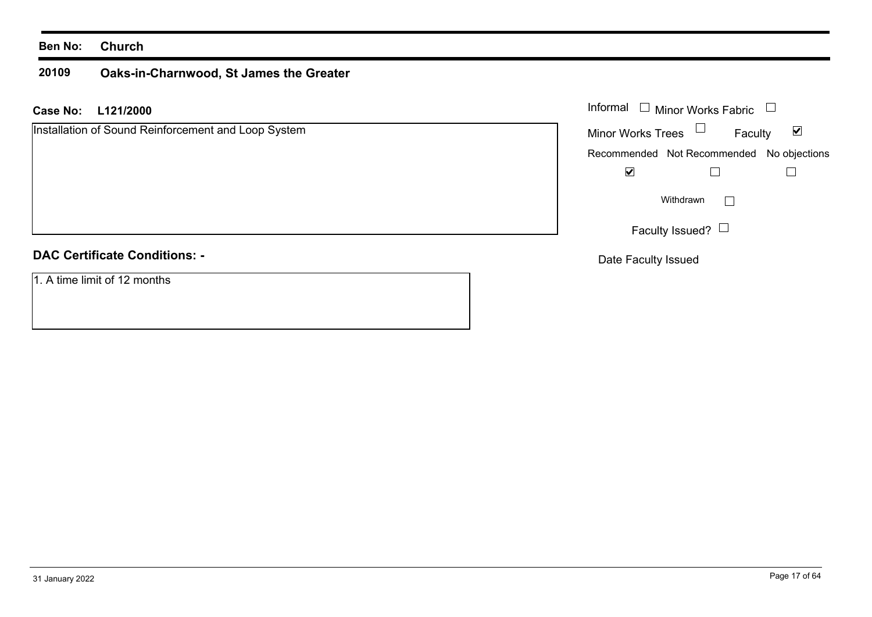### **20109Oaks-in-Charnwood, St James the Greater**

**L121/2000 Case No:** Informal

| Installation of Sound Reinforcement and Loop System |  |  |
|-----------------------------------------------------|--|--|
|                                                     |  |  |
|                                                     |  |  |
|                                                     |  |  |
|                                                     |  |  |
|                                                     |  |  |
|                                                     |  |  |
| <b>DAO Osatificata Osatificaca</b>                  |  |  |

### **DAC Certificate Conditions: -**

1. A time limit of 12 months

| Informal<br><b>Minor Works Fabric</b> |                                           |                             |  |
|---------------------------------------|-------------------------------------------|-----------------------------|--|
| <b>Minor Works Trees</b>              | Faculty                                   | $\vert\bm{\mathsf{v}}\vert$ |  |
|                                       | Recommended Not Recommended No objections |                             |  |
|                                       |                                           |                             |  |
| Withdrawn                             |                                           |                             |  |
| Faculty Issued?                       |                                           |                             |  |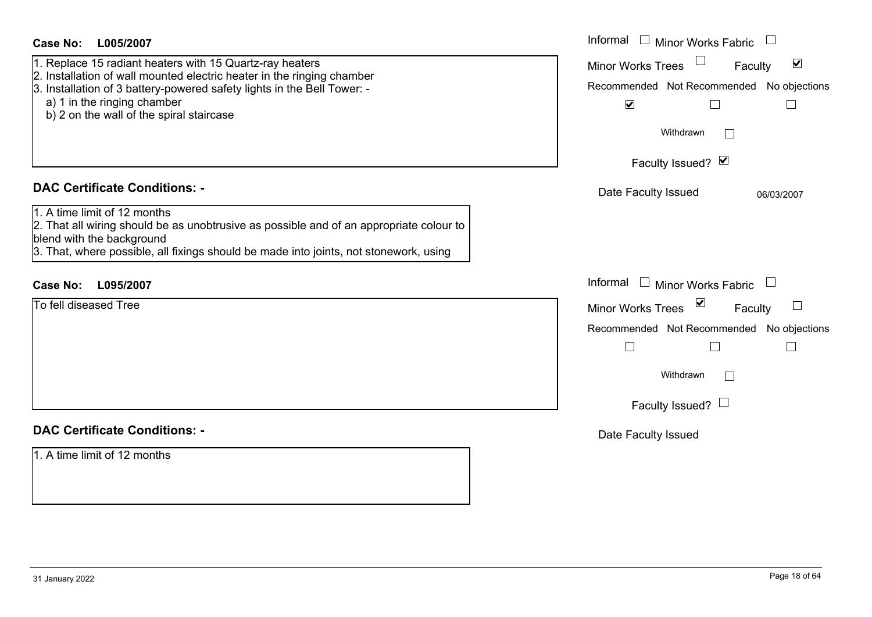| Case No:<br>L005/2007                                                                                                                                                                                                                                                                    | Informal $\square$<br><b>Minor Works Fabric</b>                                                                                                                           |
|------------------------------------------------------------------------------------------------------------------------------------------------------------------------------------------------------------------------------------------------------------------------------------------|---------------------------------------------------------------------------------------------------------------------------------------------------------------------------|
| 1. Replace 15 radiant heaters with 15 Quartz-ray heaters<br>2. Installation of wall mounted electric heater in the ringing chamber<br>3. Installation of 3 battery-powered safety lights in the Bell Tower: -<br>a) 1 in the ringing chamber<br>b) 2 on the wall of the spiral staircase | $\blacktriangledown$<br><b>Minor Works Trees</b><br>Faculty<br>Recommended Not Recommended No objections<br>$\blacktriangledown$<br>Withdrawn<br>$\overline{\phantom{a}}$ |
|                                                                                                                                                                                                                                                                                          | Faculty Issued? Ø                                                                                                                                                         |
| <b>DAC Certificate Conditions: -</b>                                                                                                                                                                                                                                                     | Date Faculty Issued<br>06/03/2007                                                                                                                                         |
| 1. A time limit of 12 months<br>2. That all wiring should be as unobtrusive as possible and of an appropriate colour to<br>blend with the background<br>3. That, where possible, all fixings should be made into joints, not stonework, using                                            |                                                                                                                                                                           |
| L095/2007<br><b>Case No:</b>                                                                                                                                                                                                                                                             | Informal $\Box$ Minor Works Fabric $\Box$                                                                                                                                 |
| To fell diseased Tree                                                                                                                                                                                                                                                                    | Minor Works Trees ⊠<br>$\begin{array}{c} \hline \end{array}$<br>Faculty<br>Recommended Not Recommended No objections                                                      |
|                                                                                                                                                                                                                                                                                          | $\Box$<br>Withdrawn<br>$\Box$<br>Faculty Issued? $\Box$                                                                                                                   |
| <b>DAC Certificate Conditions: -</b>                                                                                                                                                                                                                                                     | Date Faculty Issued                                                                                                                                                       |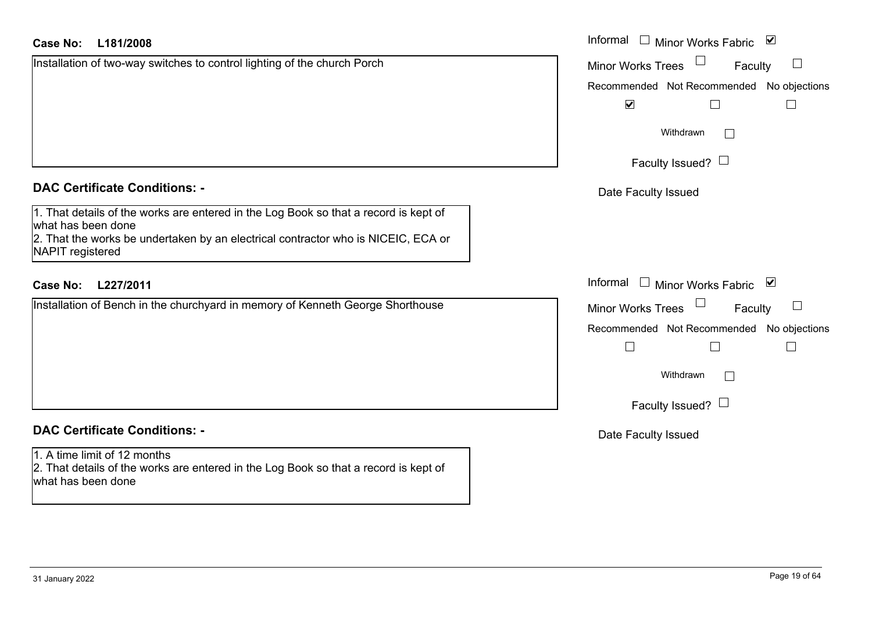|  | Case No: L181/2008 |  | Informal |
|--|--------------------|--|----------|
|--|--------------------|--|----------|

Installation of two-way switches to control lighting of the church Porch

### **DAC Certificate Conditions: -**

1. That details of the works are entered in the Log Book so that a record is kept of what has been done 2. That the works be undertaken by an electrical contractor who is NICEIC, ECA or NAPIT registered

## **L227/2011Case No:** Informal

Installation of Bench in the churchyard in memory of Kenneth George Shorthouse

## **DAC Certificate Conditions: -**

1. A time limit of 12 months 2. That details of the works are entered in the Log Book so that a record is kept of what has been done

| Informal<br>$\overline{\mathsf{v}}$<br><b>Minor Works Fabric</b> |
|------------------------------------------------------------------|
| <b>Minor Works Trees</b><br>Faculty                              |
| Recommended Not Recommended No objections                        |
| $\blacktriangledown$                                             |
| Withdrawn                                                        |
| Faculty Issued? $\Box$                                           |
| Date Faculty Issued                                              |
|                                                                  |
|                                                                  |
| Informal<br>⊻<br><b>Minor Works Fabric</b>                       |
| <b>Minor Works Trees</b><br>Faculty                              |
| Recommended Not Recommended No objections                        |
|                                                                  |
| Withdrawn                                                        |
| Faculty Issued?                                                  |
|                                                                  |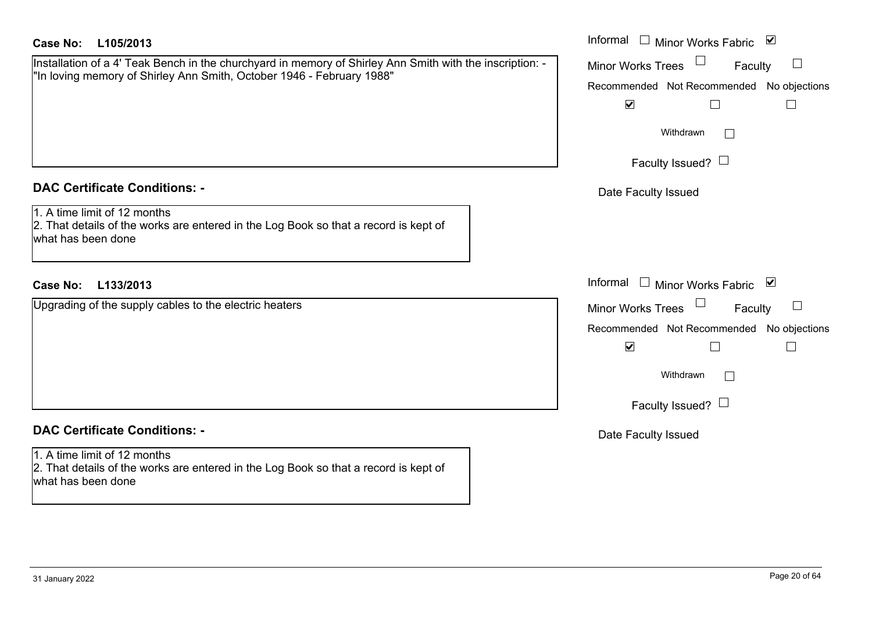| <b>Case No:</b><br>L105/2013                                                                                                                                                      | Informal □ Minor Works Fabric ⊠                                                                                                                         |
|-----------------------------------------------------------------------------------------------------------------------------------------------------------------------------------|---------------------------------------------------------------------------------------------------------------------------------------------------------|
| Installation of a 4' Teak Bench in the churchyard in memory of Shirley Ann Smith with the inscription: -<br>"In loving memory of Shirley Ann Smith, October 1946 - February 1988" | <b>Minor Works Trees</b><br>Faculty<br>Recommended Not Recommended No objections<br>$\blacktriangledown$<br>⊔<br>$\mathbb{R}^n$<br>Withdrawn<br>$\perp$ |
|                                                                                                                                                                                   | Faculty Issued? $\Box$                                                                                                                                  |
| <b>DAC Certificate Conditions: -</b>                                                                                                                                              | Date Faculty Issued                                                                                                                                     |
| 1. A time limit of 12 months<br>2. That details of the works are entered in the Log Book so that a record is kept of<br>what has been done                                        |                                                                                                                                                         |
| L133/2013<br><b>Case No:</b>                                                                                                                                                      | Informal<br>$\Box$ Minor Works Fabric $\Box$                                                                                                            |
| Upgrading of the supply cables to the electric heaters                                                                                                                            | <b>Minor Works Trees</b><br>Faculty                                                                                                                     |
|                                                                                                                                                                                   | Recommended Not Recommended No objections                                                                                                               |
|                                                                                                                                                                                   | $\blacktriangledown$<br>$\Box$<br>$\Box$                                                                                                                |
|                                                                                                                                                                                   | Withdrawn                                                                                                                                               |
|                                                                                                                                                                                   | Faculty Issued? $\Box$                                                                                                                                  |
| <b>DAC Certificate Conditions: -</b>                                                                                                                                              | Date Faculty Issued                                                                                                                                     |
| 1. A time limit of 12 months<br>2. That details of the works are entered in the Log Book so that a record is kept of<br>what has been done                                        |                                                                                                                                                         |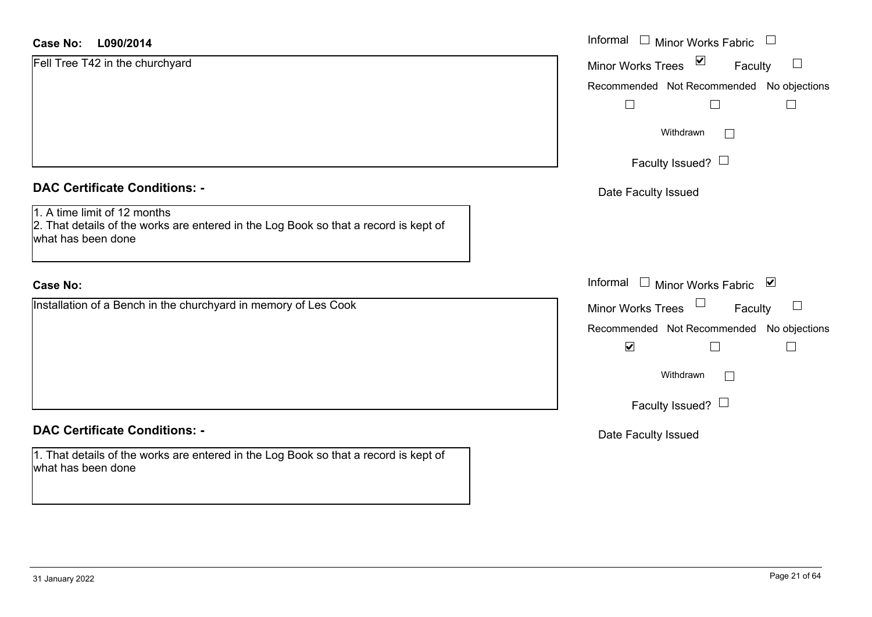| <b>Case No:</b><br>L090/2014                                                                                                               | Informal □ Minor Works Fabric             |
|--------------------------------------------------------------------------------------------------------------------------------------------|-------------------------------------------|
| Fell Tree T42 in the churchyard                                                                                                            | Minor Works Trees ⊠<br>$\Box$<br>Faculty  |
|                                                                                                                                            | Recommended Not Recommended No objections |
|                                                                                                                                            | $\Box$<br>$\Box$                          |
|                                                                                                                                            | Withdrawn<br>$\Box$                       |
|                                                                                                                                            | Faculty Issued? $\Box$                    |
| <b>DAC Certificate Conditions: -</b>                                                                                                       | Date Faculty Issued                       |
| 1. A time limit of 12 months<br>2. That details of the works are entered in the Log Book so that a record is kept of<br>what has been done |                                           |
| <b>Case No:</b>                                                                                                                            | Informal<br>□ Minor Works Fabric          |
| Installation of a Bench in the churchyard in memory of Les Cook                                                                            | Minor Works Trees<br>$\Box$<br>Faculty    |
|                                                                                                                                            | Recommended Not Recommended No objections |
|                                                                                                                                            | $\blacktriangledown$                      |
|                                                                                                                                            | Withdrawn<br>$\Box$                       |
|                                                                                                                                            | Faculty Issued? $\Box$                    |
| <b>DAC Certificate Conditions: -</b>                                                                                                       | Date Faculty Issued                       |
| 1. That details of the works are entered in the Log Book so that a record is kept of<br>what has been done                                 |                                           |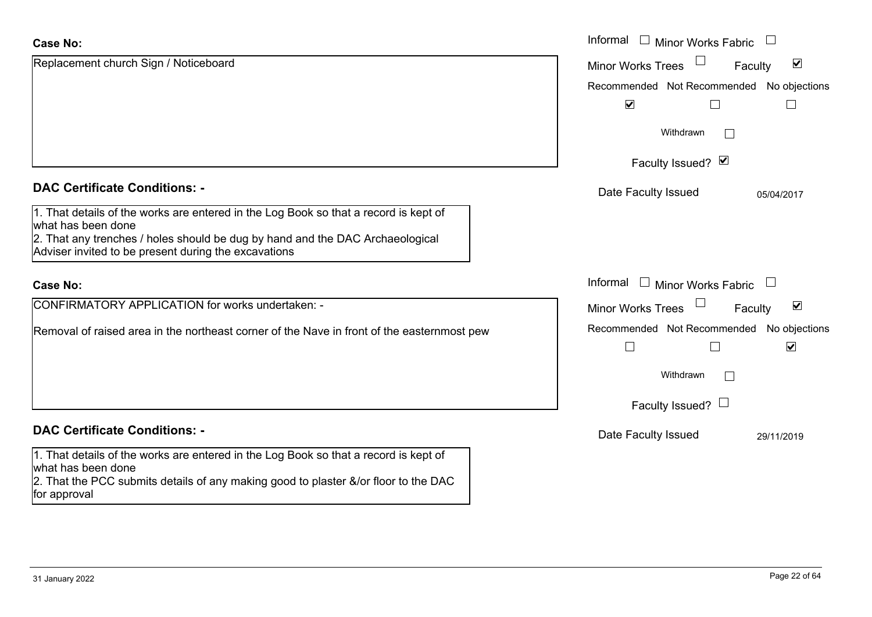### **Case No:**

| <b>Case No:</b>                                                                                                                       | Informal □ Minor Works Fabric<br>$\Box$                     |
|---------------------------------------------------------------------------------------------------------------------------------------|-------------------------------------------------------------|
| Replacement church Sign / Noticeboard                                                                                                 | $\blacktriangledown$<br><b>Minor Works Trees</b><br>Faculty |
|                                                                                                                                       | Recommended Not Recommended No objections                   |
|                                                                                                                                       | $\blacktriangledown$                                        |
|                                                                                                                                       | Withdrawn<br>$\mathbf{L}$                                   |
|                                                                                                                                       | Faculty Issued? Ø                                           |
| <b>DAC Certificate Conditions: -</b>                                                                                                  | Date Faculty Issued<br>05/04/2017                           |
| 1. That details of the works are entered in the Log Book so that a record is kept of<br>what has been done                            |                                                             |
| 2. That any trenches / holes should be dug by hand and the DAC Archaeological<br>Adviser invited to be present during the excavations |                                                             |
| <b>Case No:</b>                                                                                                                       | Informal<br>$\Box$ Minor Works Fabric<br>$\Box$             |
| CONFIRMATORY APPLICATION for works undertaken: -                                                                                      | $\blacktriangledown$<br><b>Minor Works Trees</b><br>Faculty |
| Removal of raised area in the northeast corner of the Nave in front of the easternmost pew                                            | Recommended Not Recommended No objections                   |
|                                                                                                                                       | $\blacktriangledown$                                        |
|                                                                                                                                       | Withdrawn<br>П                                              |
|                                                                                                                                       | Faculty Issued? $\Box$                                      |
| <b>DAC Certificate Conditions: -</b>                                                                                                  | Date Faculty Issued<br>29/11/2019                           |
| 1. That details of the works are entered in the Log Book so that a record is kept of<br>what has been done                            |                                                             |
| 2. That the PCC submits details of any making good to plaster &/or floor to the DAC<br>for approval                                   |                                                             |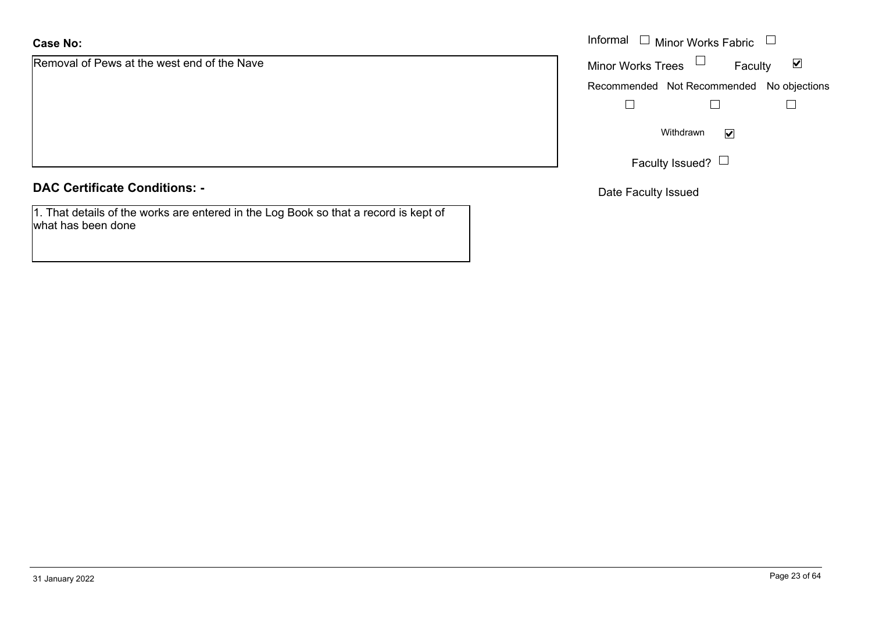## **Case No:**

Removal of Pews at the west end of the Nave

### **DAC Certificate Conditions: -**

1. That details of the works are entered in the Log Book so that a record is kept of what has been done

|                                     | Informal $\Box$ Minor Works Fabric $\Box$ |
|-------------------------------------|-------------------------------------------|
| of Pews at the west end of the Nave | Minor Works Trees $\Box$<br>Faculty<br>⊻  |
|                                     | Recommended Not Recommended No objections |
|                                     |                                           |
|                                     | Withdrawn<br>$\blacktriangledown$         |
|                                     | Faculty Issued? L                         |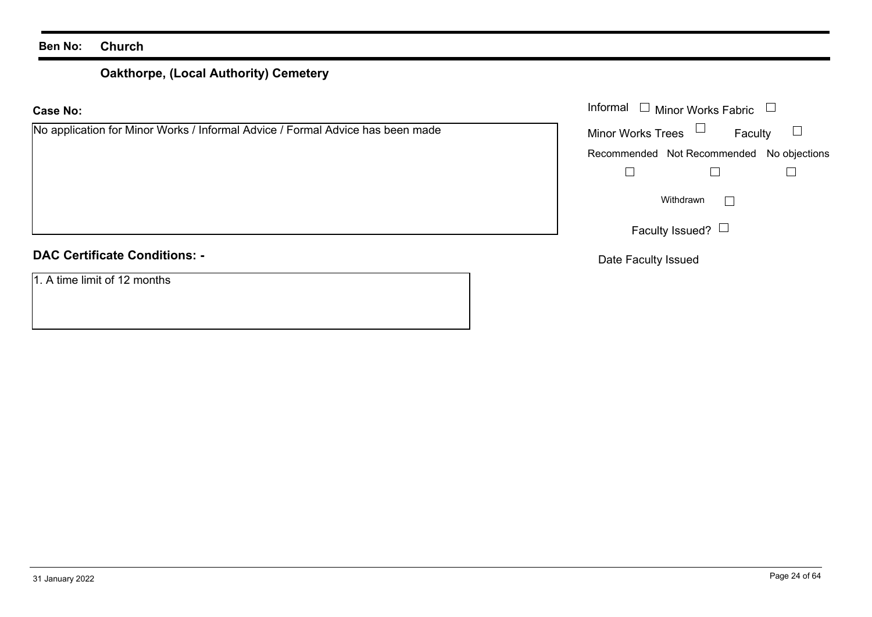# **Oakthorpe, (Local Authority) Cemetery**

| <b>Case No:</b>                                                                | Informal<br>$\Box$ Minor Works Fabric     |  |
|--------------------------------------------------------------------------------|-------------------------------------------|--|
| No application for Minor Works / Informal Advice / Formal Advice has been made | <b>Minor Works Trees</b><br>Faculty       |  |
|                                                                                | Recommended Not Recommended No objections |  |
|                                                                                |                                           |  |
|                                                                                | Withdrawn                                 |  |
|                                                                                | Faculty Issued? $\Box$                    |  |
| <b>DAC Certificate Conditions: -</b>                                           | Date Faculty Issued                       |  |
| 1. A time limit of 12 months                                                   |                                           |  |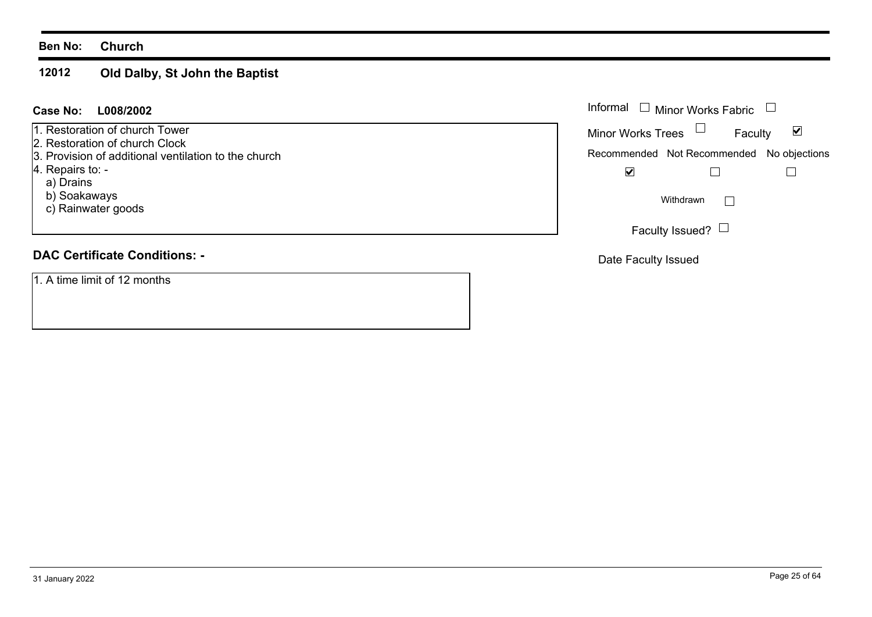### **12012Old Dalby, St John the Baptist**

### **L008/2002Case No:** Informal

1. Restoration of church Tower

2. Restoration of church Clock

3. Provision of additional ventilation to the church

4. Repairs to: -

a) Drains

b) Soakaways

c) Rainwater goods

## **DAC Certificate Conditions: -**

1. A time limit of 12 months

| Informal                                  | □ Minor Works Fabric |   |
|-------------------------------------------|----------------------|---|
| <b>Minor Works Trees</b>                  | Faculty              | M |
| Recommended Not Recommended No objections |                      |   |
|                                           |                      |   |
|                                           | Withdrawn            |   |
| Faculty Issued?                           |                      |   |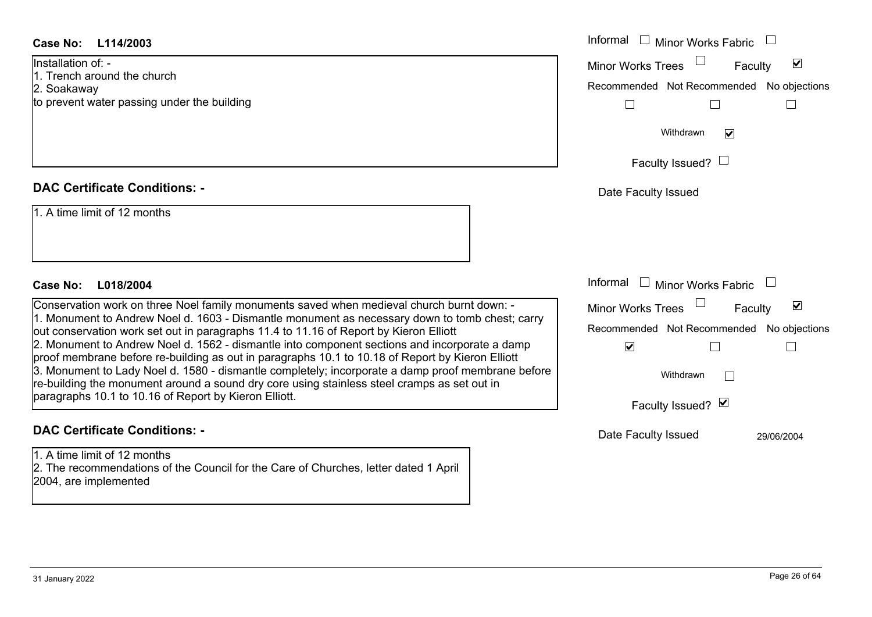### **DAC Certificate Conditions: -**

### **DAC Certificate Conditions: -**

1. A time limit of 12 months2. The recommendations of the Council for the Care of Churches, letter dated 1 April 2004, are implemented

| Case No:<br>L114/2003                                                                                                                                                                                                                                                                                                                                                                                                                                                                                                                                                                            | Informal □ Minor Works Fabric                                                                     |
|--------------------------------------------------------------------------------------------------------------------------------------------------------------------------------------------------------------------------------------------------------------------------------------------------------------------------------------------------------------------------------------------------------------------------------------------------------------------------------------------------------------------------------------------------------------------------------------------------|---------------------------------------------------------------------------------------------------|
| Installation of: -<br>1. Trench around the church<br>2. Soakaway<br>to prevent water passing under the building                                                                                                                                                                                                                                                                                                                                                                                                                                                                                  | $\blacktriangledown$<br>Minor Works Trees<br>Faculty<br>Recommended Not Recommended No objections |
|                                                                                                                                                                                                                                                                                                                                                                                                                                                                                                                                                                                                  | Withdrawn<br>$\blacktriangledown$<br>Faculty Issued? $\Box$                                       |
| <b>DAC Certificate Conditions: -</b>                                                                                                                                                                                                                                                                                                                                                                                                                                                                                                                                                             | Date Faculty Issued                                                                               |
| 1. A time limit of 12 months<br>Case No:<br>L018/2004                                                                                                                                                                                                                                                                                                                                                                                                                                                                                                                                            | Informal<br>$\Box$ Minor Works Fabric                                                             |
| Conservation work on three Noel family monuments saved when medieval church burnt down: -                                                                                                                                                                                                                                                                                                                                                                                                                                                                                                        | $\blacktriangledown$<br>Minor Works Trees<br>Faculty                                              |
| 1. Monument to Andrew Noel d. 1603 - Dismantle monument as necessary down to tomb chest; carry<br>out conservation work set out in paragraphs 11.4 to 11.16 of Report by Kieron Elliott<br>2. Monument to Andrew Noel d. 1562 - dismantle into component sections and incorporate a damp<br>proof membrane before re-building as out in paragraphs 10.1 to 10.18 of Report by Kieron Elliott<br>3. Monument to Lady Noel d. 1580 - dismantle completely; incorporate a damp proof membrane before<br>re-building the monument around a sound dry core using stainless steel cramps as set out in | Recommended Not Recommended No objections<br>$\blacktriangledown$                                 |
|                                                                                                                                                                                                                                                                                                                                                                                                                                                                                                                                                                                                  | Withdrawn                                                                                         |
| paragraphs 10.1 to 10.16 of Report by Kieron Elliott.                                                                                                                                                                                                                                                                                                                                                                                                                                                                                                                                            | Faculty Issued? Ø                                                                                 |
| <b>DAC Certificate Conditions: -</b>                                                                                                                                                                                                                                                                                                                                                                                                                                                                                                                                                             | Date Faculty Issued<br>29/06/2004                                                                 |
| $\frac{1}{2}$ A time limit of 12 months                                                                                                                                                                                                                                                                                                                                                                                                                                                                                                                                                          |                                                                                                   |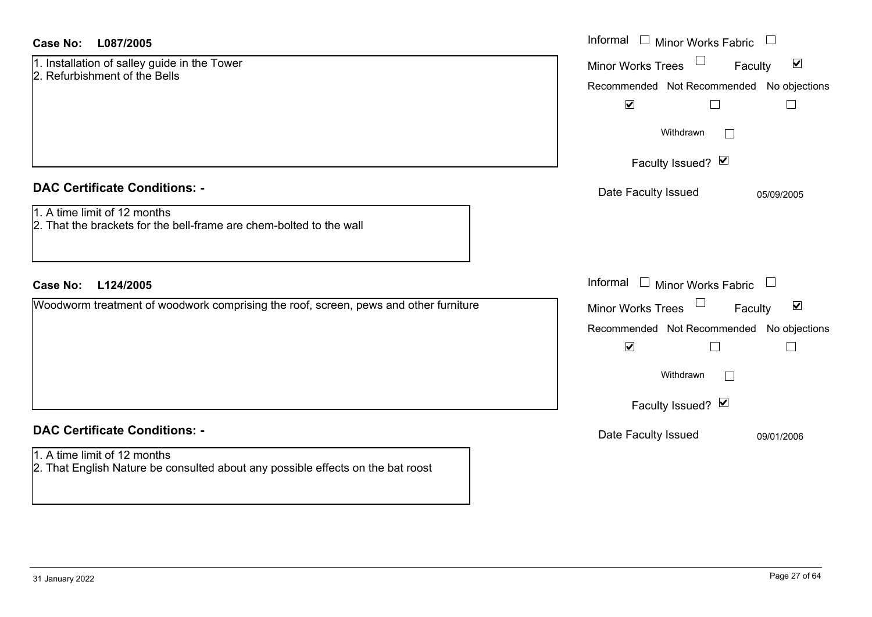| Case No: | L087/2005 |
|----------|-----------|
|----------|-----------|

| 1. Installation of salley guide in the Tower |  |
|----------------------------------------------|--|
| 2. Refurbishment of the Bells                |  |

### **DAC Certificate Conditions: -**

## 1. A time limit of 12 months

### **DAC Certificate Conditions: -**

## 1. A time limit of 12 months

2. That English Nature be consulted about any possible effects on the bat roost

| <b>Case No:</b><br>L087/2005                                                                        | Informal □ Minor Works Fabric<br>$\Box$                                                           |
|-----------------------------------------------------------------------------------------------------|---------------------------------------------------------------------------------------------------|
| 1. Installation of salley guide in the Tower<br>2. Refurbishment of the Bells                       | $\blacktriangledown$<br>Minor Works Trees<br>Faculty<br>Recommended Not Recommended No objections |
|                                                                                                     | $\blacktriangledown$<br>$\Box$<br>Withdrawn                                                       |
|                                                                                                     | Faculty Issued? Ø                                                                                 |
| <b>DAC Certificate Conditions: -</b>                                                                | Date Faculty Issued<br>05/09/2005                                                                 |
| 1. A time limit of 12 months<br>2. That the brackets for the bell-frame are chem-bolted to the wall |                                                                                                   |
| <b>Case No:</b><br>L124/2005                                                                        | Informal $\Box$ Minor Works Fabric $\Box$                                                         |
| Woodworm treatment of woodwork comprising the roof, screen, pews and other furniture                | Minor Works Trees<br>$\blacktriangledown$<br>Faculty                                              |
|                                                                                                     | Recommended Not Recommended No objections<br>$\blacktriangledown$<br>$\Box$                       |
|                                                                                                     | Withdrawn                                                                                         |
|                                                                                                     | Faculty Issued? Ø                                                                                 |
| <b>DAC Certificate Conditions: -</b>                                                                | Date Faculty Issued<br>09/01/2006                                                                 |
| $1 \wedge$ time limit of 12 months                                                                  |                                                                                                   |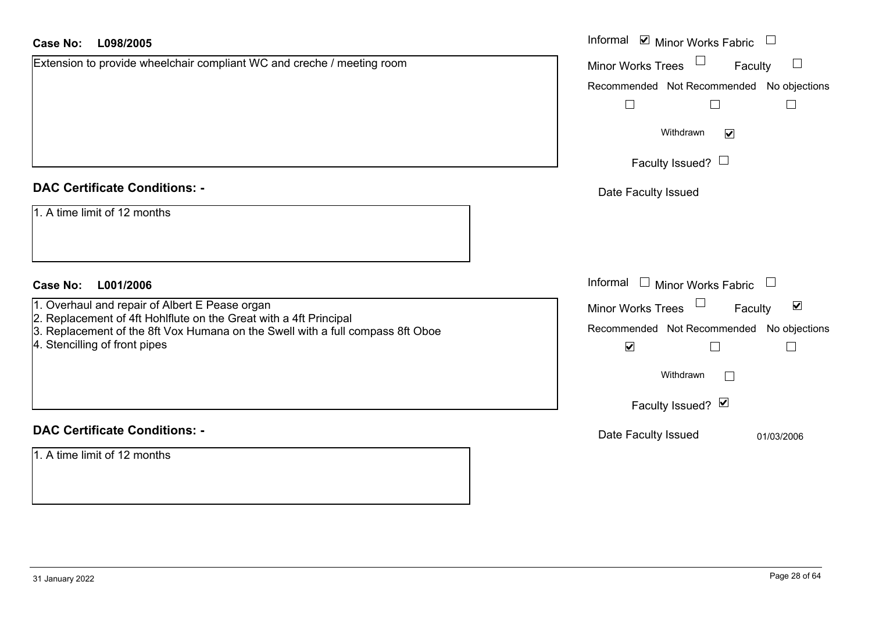| <b>Case No:</b><br>L098/2005                                                                                                                        | Informal ⊠ Minor Works Fabric $\Box$                        |
|-----------------------------------------------------------------------------------------------------------------------------------------------------|-------------------------------------------------------------|
| Extension to provide wheelchair compliant WC and creche / meeting room                                                                              | Minor Works Trees <sup>1</sup><br>Faculty                   |
|                                                                                                                                                     | Recommended Not Recommended No objections                   |
|                                                                                                                                                     | $\Box$<br>$\Box$<br>$\Box$                                  |
|                                                                                                                                                     | Withdrawn<br>$\blacktriangledown$                           |
|                                                                                                                                                     | Faculty Issued? $\Box$                                      |
| <b>DAC Certificate Conditions: -</b>                                                                                                                | Date Faculty Issued                                         |
| 1. A time limit of 12 months                                                                                                                        |                                                             |
| <b>Case No:</b><br>L001/2006                                                                                                                        | Informal $\Box$ Minor Works Fabric $\Box$                   |
| 1. Overhaul and repair of Albert E Pease organ                                                                                                      | Minor Works Trees $\Box$<br>$\blacktriangledown$<br>Faculty |
| 2. Replacement of 4ft Hohlflute on the Great with a 4ft Principal<br>3. Replacement of the 8ft Vox Humana on the Swell with a full compass 8ft Oboe | Recommended Not Recommended No objections                   |
| 4. Stencilling of front pipes                                                                                                                       | $\blacktriangledown$<br>$\Box$                              |
|                                                                                                                                                     | Withdrawn                                                   |
|                                                                                                                                                     | Faculty Issued? Ø                                           |
| <b>DAC Certificate Conditions: -</b>                                                                                                                | Date Faculty Issued<br>01/03/2006                           |
| 1. A time limit of 12 months                                                                                                                        |                                                             |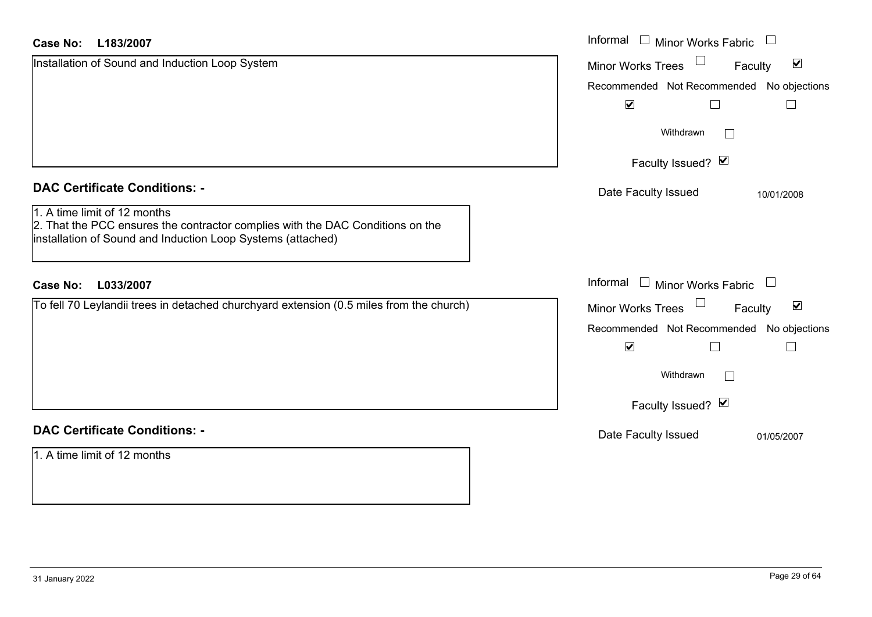| <b>Case No:</b><br>L183/2007                                                                                                                                                  | Informal<br><b>Minor Works Fabric</b>                |  |
|-------------------------------------------------------------------------------------------------------------------------------------------------------------------------------|------------------------------------------------------|--|
| Installation of Sound and Induction Loop System                                                                                                                               | $\blacktriangledown$<br>Minor Works Trees<br>Faculty |  |
|                                                                                                                                                                               | Recommended Not Recommended No objections            |  |
|                                                                                                                                                                               | $\blacktriangledown$                                 |  |
|                                                                                                                                                                               | Withdrawn<br>$\mathcal{L}_{\mathcal{A}}$             |  |
|                                                                                                                                                                               | Faculty Issued? Ø                                    |  |
| <b>DAC Certificate Conditions: -</b>                                                                                                                                          | Date Faculty Issued<br>10/01/2008                    |  |
| 1. A time limit of 12 months<br>2. That the PCC ensures the contractor complies with the DAC Conditions on the<br>installation of Sound and Induction Loop Systems (attached) |                                                      |  |
| <b>Case No:</b><br>L033/2007                                                                                                                                                  | Informal<br>$\Box$ Minor Works Fabric                |  |
| To fell 70 Leylandii trees in detached churchyard extension (0.5 miles from the church)                                                                                       | $\blacktriangledown$<br>Minor Works Trees<br>Faculty |  |
|                                                                                                                                                                               | Recommended Not Recommended No objections            |  |
|                                                                                                                                                                               | $\blacktriangledown$                                 |  |
|                                                                                                                                                                               | Withdrawn<br>$\Box$                                  |  |
|                                                                                                                                                                               | Faculty Issued? Ø                                    |  |
| <b>DAC Certificate Conditions: -</b>                                                                                                                                          | Date Faculty Issued<br>01/05/2007                    |  |
| 1. A time limit of 12 months                                                                                                                                                  |                                                      |  |
|                                                                                                                                                                               |                                                      |  |

ш.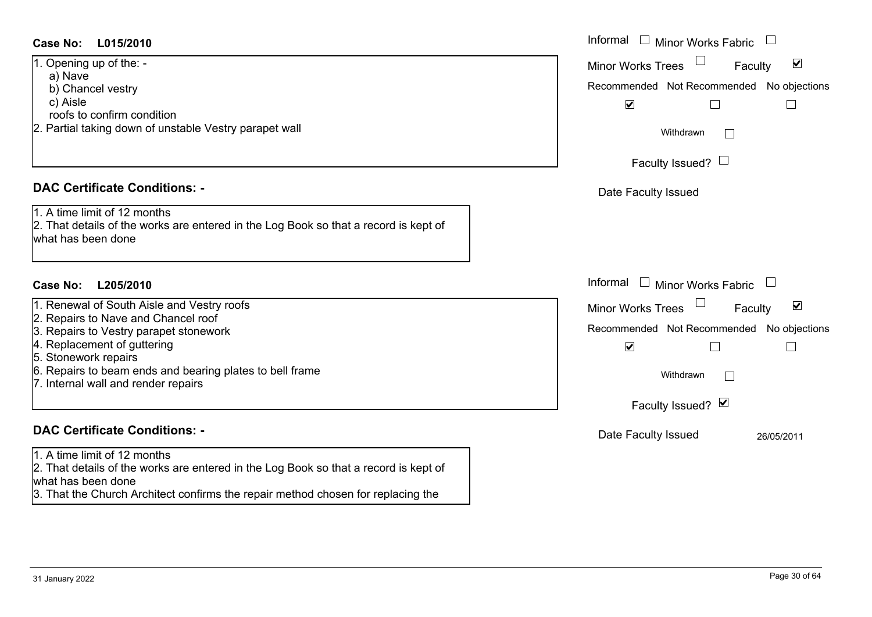### **L015/2010Case No:** Informal

1. Opening up of the: a) Nave b) Chancel vestry c) Aisle

roofs to confirm condition

2. Partial taking down of unstable Vestry parapet wall

### **DAC Certificate Conditions: -**

1. A time limit of 12 months2. That details of the works are entered in the Log Book so that a record is kept of

what has been done

### **L205/2010Case No:** Informal

1. Renewal of South Aisle and Vestry roofs

2. Repairs to Nave and Chancel roof

3. Repairs to Vestry parapet stonework

4. Replacement of guttering

5. Stonework repairs

- 6. Repairs to beam ends and bearing plates to bell frame
- 7. Internal wall and render repairs

## **DAC Certificate Conditions: -**

1. A time limit of 12 months

2. That details of the works are entered in the Log Book so that a record is kept of what has been done

3. That the Church Architect confirms the repair method chosen for replacing the

| Informal<br>Minor Works Fabric                                                                                                                                                       |
|--------------------------------------------------------------------------------------------------------------------------------------------------------------------------------------|
| ⊻<br><b>Minor Works Trees</b><br>Faculty<br>Recommended Not Recommended No objections<br>$\blacktriangledown$<br>Withdrawn<br>Faculty Issued? L<br>Date Faculty Issued               |
| Informal<br><b>Minor Works Fabric</b><br>$\Box$                                                                                                                                      |
| ⊻<br><b>Minor Works Trees</b><br>Faculty<br>Recommended Not Recommended No objections<br>$\blacktriangledown$<br>Withdrawn<br>Faculty Issued? Ø<br>Date Faculty Issued<br>26/05/2011 |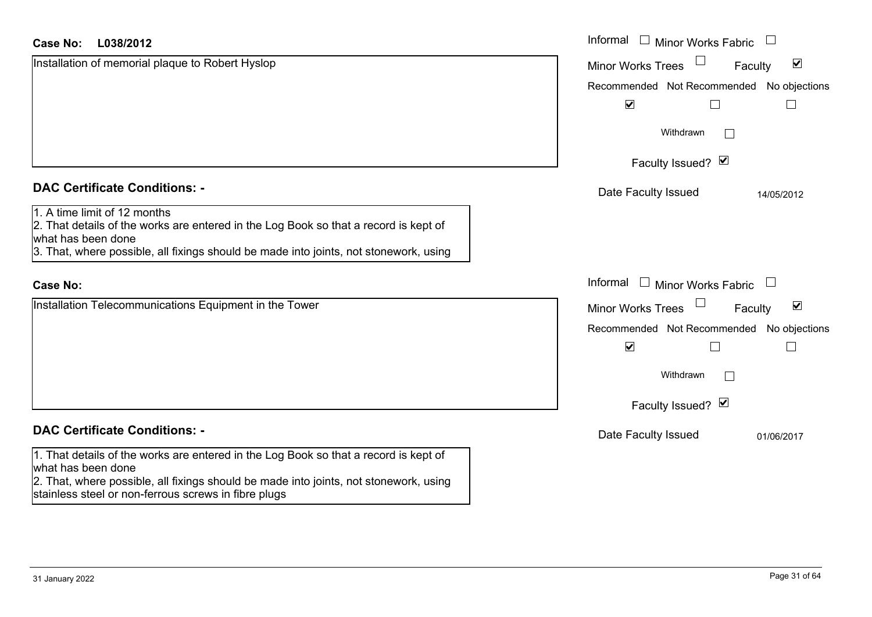### **L038/2012Case No:**

| L038/2012<br><b>Case No:</b>                                                                                                                                                                                                        | Informal □ Minor Works Fabric                                         |
|-------------------------------------------------------------------------------------------------------------------------------------------------------------------------------------------------------------------------------------|-----------------------------------------------------------------------|
| Installation of memorial plaque to Robert Hyslop                                                                                                                                                                                    | $\blacktriangledown$<br><b>Minor Works Trees</b><br>Faculty           |
|                                                                                                                                                                                                                                     | Recommended Not Recommended No objections                             |
|                                                                                                                                                                                                                                     | $\blacktriangledown$                                                  |
|                                                                                                                                                                                                                                     | Withdrawn<br>$\vert \ \ \vert$                                        |
|                                                                                                                                                                                                                                     | Faculty Issued? Ø                                                     |
| <b>DAC Certificate Conditions: -</b>                                                                                                                                                                                                | Date Faculty Issued<br>14/05/2012                                     |
| 1. A time limit of 12 months<br>2. That details of the works are entered in the Log Book so that a record is kept of<br>what has been done<br>3. That, where possible, all fixings should be made into joints, not stonework, using |                                                                       |
| <b>Case No:</b>                                                                                                                                                                                                                     | Informal □ Minor Works Fabric                                         |
| Installation Telecommunications Equipment in the Tower                                                                                                                                                                              | $\Box$<br>$\blacktriangledown$<br><b>Minor Works Trees</b><br>Faculty |
|                                                                                                                                                                                                                                     | Recommended Not Recommended No objections                             |
|                                                                                                                                                                                                                                     | $\blacktriangledown$<br>$\Box$                                        |
|                                                                                                                                                                                                                                     | Withdrawn<br>$\Box$                                                   |
|                                                                                                                                                                                                                                     | Faculty Issued? Ø                                                     |
| <b>DAC Certificate Conditions: -</b>                                                                                                                                                                                                | Date Faculty Issued<br>01/06/2017                                     |
| 1. That details of the works are entered in the Log Book so that a record is kept of<br>what has been done<br>2. That, where possible, all fixings should be made into joints, not stonework, using                                 |                                                                       |

stainless steel or non-ferrous screws in fibre plugs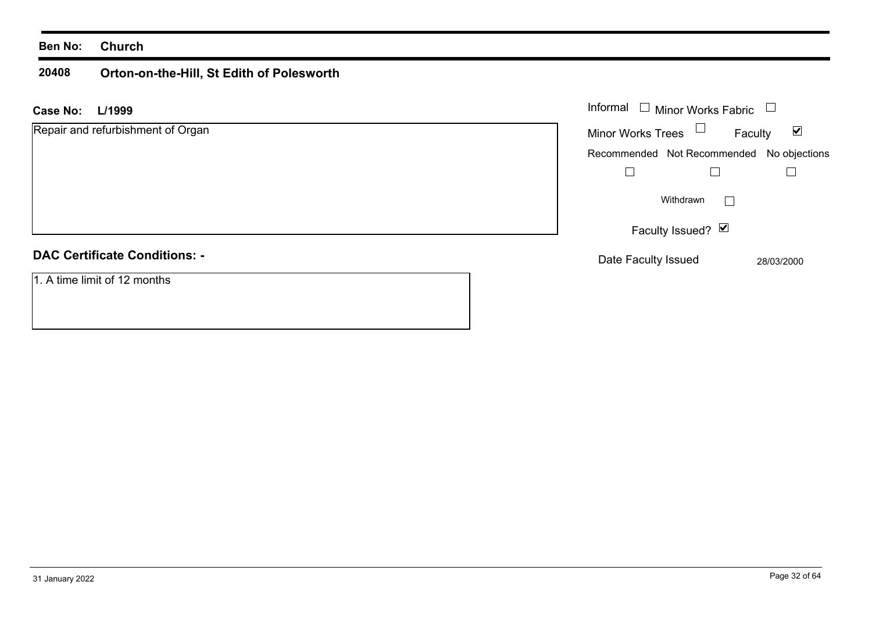### **20408 Orton-on-the-Hill, St Edith of Polesworth**

| L/1999<br><b>Case No:</b>            | Informal $\Box$<br>Minor Works Fabric     |                                 |
|--------------------------------------|-------------------------------------------|---------------------------------|
| Repair and refurbishment of Organ    | Minor Works Trees $\Box$                  | $\blacktriangledown$<br>Faculty |
|                                      | Recommended Not Recommended No objections |                                 |
|                                      |                                           |                                 |
|                                      | Withdrawn                                 |                                 |
|                                      | Faculty Issued? $\Box$                    |                                 |
| <b>DAC Certificate Conditions: -</b> | Date Faculty Issued                       | 28/03/2000                      |
| 1. A time limit of 12 months         |                                           |                                 |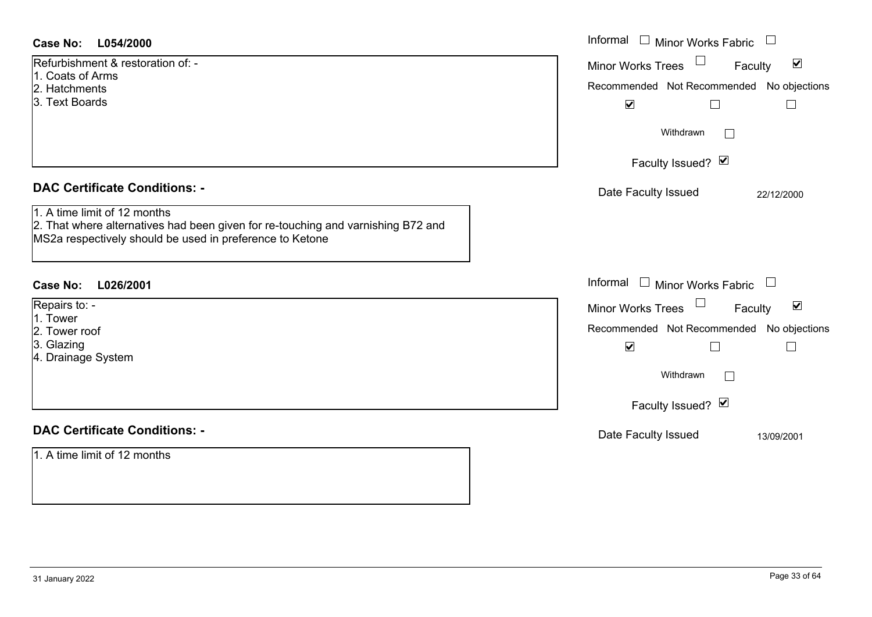| Informal<br>$\mathbb{Z}$<br><b>Minor Works Fabric</b><br>$\overline{\phantom{a}}$<br><b>Case No:</b><br>L054/2000                                                            |                                                                |  |  |
|------------------------------------------------------------------------------------------------------------------------------------------------------------------------------|----------------------------------------------------------------|--|--|
| Refurbishment & restoration of: -<br>1. Coats of Arms                                                                                                                        | $\blacktriangledown$<br>Minor Works Trees<br>Faculty           |  |  |
| 2. Hatchments                                                                                                                                                                | Recommended Not Recommended No objections                      |  |  |
| 3. Text Boards                                                                                                                                                               | $\blacktriangledown$<br>$\Box$<br>$\Box$                       |  |  |
|                                                                                                                                                                              | Withdrawn<br>$\mathbb{R}^n$                                    |  |  |
|                                                                                                                                                                              | Faculty Issued? Ø                                              |  |  |
| <b>DAC Certificate Conditions: -</b>                                                                                                                                         | Date Faculty Issued<br>22/12/2000                              |  |  |
| 1. A time limit of 12 months<br>2. That where alternatives had been given for re-touching and varnishing B72 and<br>MS2a respectively should be used in preference to Ketone |                                                                |  |  |
| <b>Case No:</b><br>L026/2001                                                                                                                                                 | Informal<br>□ Minor Works Fabric □                             |  |  |
| Repairs to: -                                                                                                                                                                | $\Box$<br>$\blacktriangledown$<br>Minor Works Trees<br>Faculty |  |  |
| 1. Tower<br>2. Tower roof                                                                                                                                                    | Recommended Not Recommended No objections                      |  |  |
| 3. Glazing                                                                                                                                                                   | $\blacktriangledown$<br>П<br>$\Box$                            |  |  |
| 4. Drainage System                                                                                                                                                           |                                                                |  |  |
|                                                                                                                                                                              | Withdrawn                                                      |  |  |
|                                                                                                                                                                              | Faculty Issued? Ø                                              |  |  |
| <b>DAC Certificate Conditions: -</b>                                                                                                                                         | Date Faculty Issued<br>13/09/2001                              |  |  |
| 1. A time limit of 12 months                                                                                                                                                 |                                                                |  |  |
|                                                                                                                                                                              |                                                                |  |  |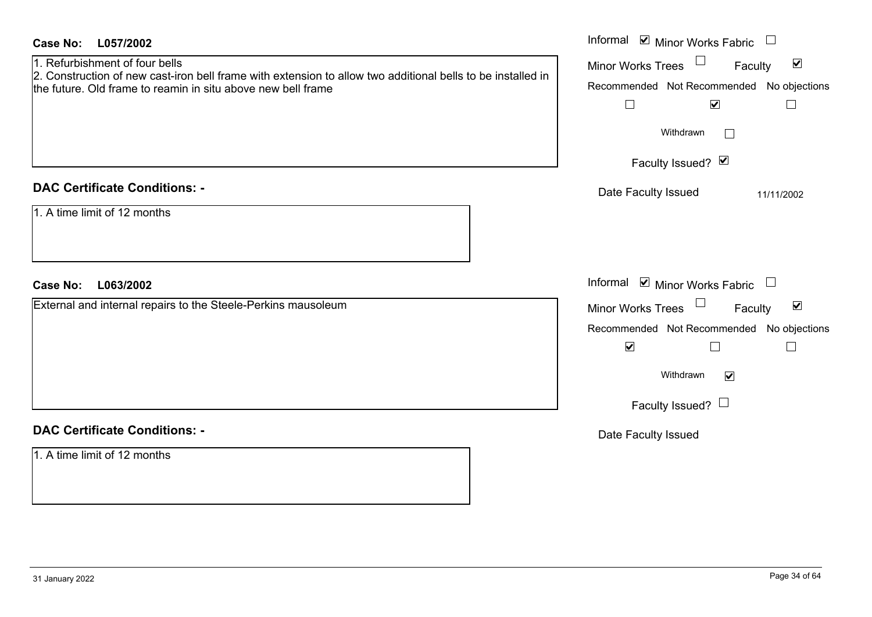| <b>Case No:</b><br>L057/2002<br>1. Refurbishment of four bells<br>2. Construction of new cast-iron bell frame with extension to allow two additional bells to be installed in<br>the future. Old frame to reamin in situ above new bell frame | Informal Ø Minor Works Fabric □<br>Minor Works Trees $\Box$<br>$\blacktriangledown$<br>Faculty<br>Recommended Not Recommended No objections<br>$\blacktriangledown$<br>$\Box$<br>$\vert \ \ \vert$<br>Withdrawn<br>$\Box$<br>Faculty Issued? Ø |
|-----------------------------------------------------------------------------------------------------------------------------------------------------------------------------------------------------------------------------------------------|------------------------------------------------------------------------------------------------------------------------------------------------------------------------------------------------------------------------------------------------|
| <b>DAC Certificate Conditions: -</b><br>1. A time limit of 12 months                                                                                                                                                                          | Date Faculty Issued<br>11/11/2002                                                                                                                                                                                                              |
|                                                                                                                                                                                                                                               |                                                                                                                                                                                                                                                |
| <b>Case No:</b><br>L063/2002                                                                                                                                                                                                                  | Informal Ø Minor Works Fabric □                                                                                                                                                                                                                |
| External and internal repairs to the Steele-Perkins mausoleum                                                                                                                                                                                 | Minor Works Trees<br>$\blacktriangledown$<br>Faculty<br>Recommended Not Recommended No objections<br>$\blacktriangledown$<br>$\Box$<br>$\Box$<br>Withdrawn<br>$\blacktriangledown$<br>Faculty Issued? $\Box$                                   |
| <b>DAC Certificate Conditions: -</b><br>1. A time limit of 12 months                                                                                                                                                                          | Date Faculty Issued                                                                                                                                                                                                                            |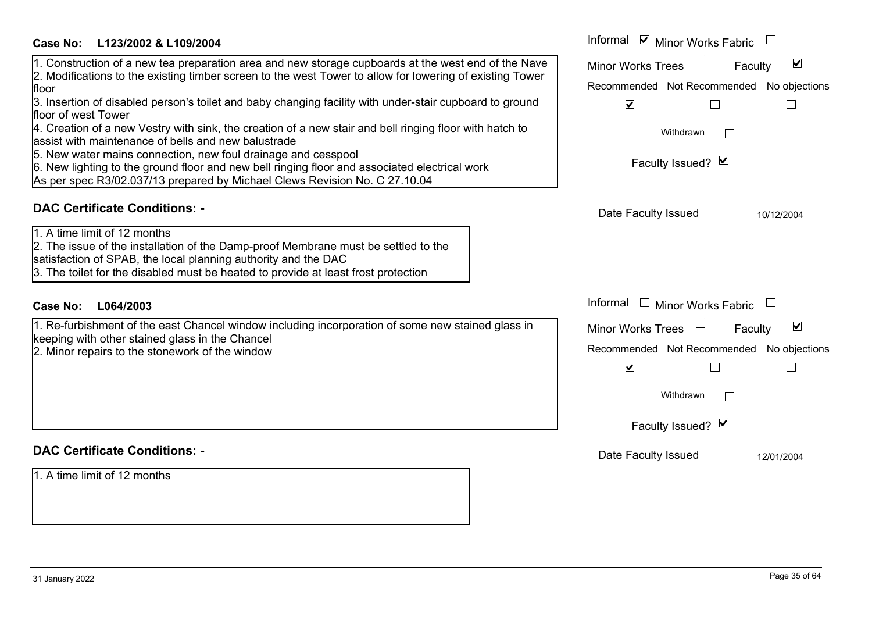| Case No:<br>L123/2002 & L109/2004 |
|-----------------------------------|
|-----------------------------------|

floor

### Informal  $\vee$  Minor Works Fabric  $\Box$  Informal Minor Works Trees<sup>1</sup> 1. Construction of a new tea preparation area and new storage cupboards at the west end of the Nave Faculty  $\blacktriangledown$ 2. Modifications to the existing timber screen to the west Tower to allow for lowering of existing Tower Recommended Not Recommended No objections 3. Insertion of disabled person's toilet and baby changing facility with under-stair cupboard to ground  $\overline{\mathbf{v}}$  $\Box$  $\Box$ floor of west Tower4. Creation of a new Vestry with sink, the creation of a new stair and bell ringing floor with hatch to Withdrawn $\Box$ assist with maintenance of bells and new balustrade 5. New water mains connection, new foul drainage and cesspool Faculty Issued?  $\boxtimes$ 6. New lighting to the ground floor and new bell ringing floor and associated electrical work As per spec R3/02.037/13 prepared by Michael Clews Revision No. C 27.10.04 **DAC Certificate Conditions: -**Date Faculty Issued 10/12/2004 1. A time limit of 12 months2. The issue of the installation of the Damp-proof Membrane must be settled to the satisfaction of SPAB, the local planning authority and the DAC 3. The toilet for the disabled must be heated to provide at least frost protection Informal  $\Box$  Minor Works Fabric  $\Box$ **L064/2003Case No:** Informal 1. Re-furbishment of the east Chancel window including incorporation of some new stained glass in  $\overline{\mathbf{v}}$ **Faculty** Minor Works Trees keeping with other stained glass in the Chancel 2. Minor repairs to the stonework of the window Recommended Not Recommended No objections  $\overline{\mathbf{v}}$  $\Box$  $\Box$ **Withdrawn**  $\Box$ Faculty Issued? Ø **DAC Certificate Conditions: -**Date Faculty Issued 12/01/2004 1. A time limit of 12 months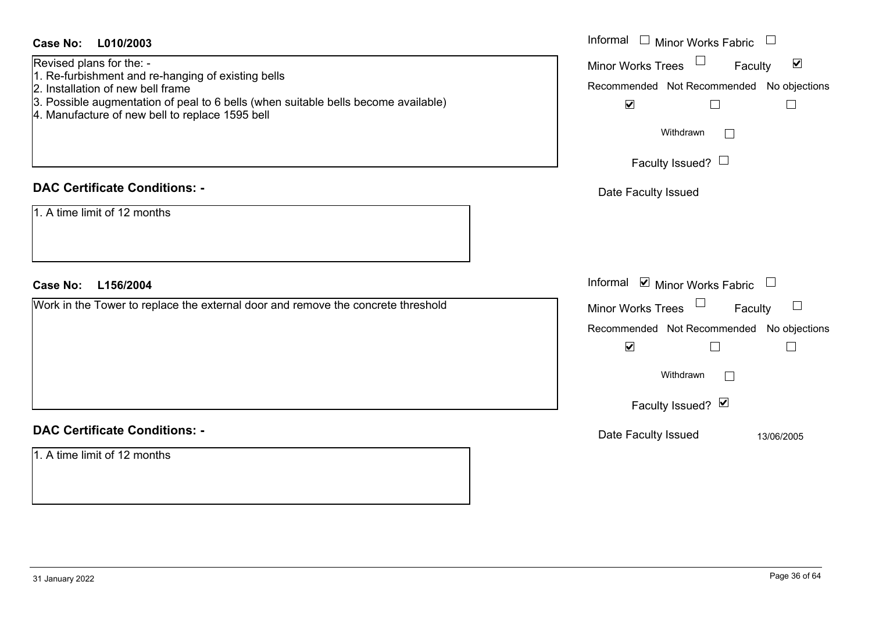| <b>Case No:</b><br>L010/2003<br>Revised plans for the: -<br>1. Re-furbishment and re-hanging of existing bells<br>2. Installation of new bell frame<br>3. Possible augmentation of peal to 6 bells (when suitable bells become available)<br>4. Manufacture of new bell to replace 1595 bell | Informal $\square$<br>Minor Works Fabric $\;\;\sqcup\;\;$<br>Minor Works Trees <sup>1</sup><br>$\blacktriangledown$<br>Faculty<br>Recommended Not Recommended No objections<br>$\blacktriangledown$<br>$\vert \ \ \vert$<br>$\mathbf{L}$<br>Withdrawn<br>$\mathbb{R}^n$ |
|----------------------------------------------------------------------------------------------------------------------------------------------------------------------------------------------------------------------------------------------------------------------------------------------|-------------------------------------------------------------------------------------------------------------------------------------------------------------------------------------------------------------------------------------------------------------------------|
| <b>DAC Certificate Conditions: -</b><br>1. A time limit of 12 months                                                                                                                                                                                                                         | Faculty Issued? $\Box$<br>Date Faculty Issued                                                                                                                                                                                                                           |
| <b>Case No:</b><br>L156/2004<br>Work in the Tower to replace the external door and remove the concrete threshold                                                                                                                                                                             | Informal $\blacksquare$ Minor Works Fabric $\blacksquare$<br>Minor Works Trees<br>Faculty<br>$\Box$<br>Recommended Not Recommended No objections                                                                                                                        |
|                                                                                                                                                                                                                                                                                              | $\blacktriangledown$<br>$\perp$<br>Withdrawn<br>$\mathcal{L}^{\mathcal{A}}$<br>Faculty Issued? Ø                                                                                                                                                                        |
| <b>DAC Certificate Conditions: -</b><br>1. A time limit of 12 months                                                                                                                                                                                                                         | Date Faculty Issued<br>13/06/2005                                                                                                                                                                                                                                       |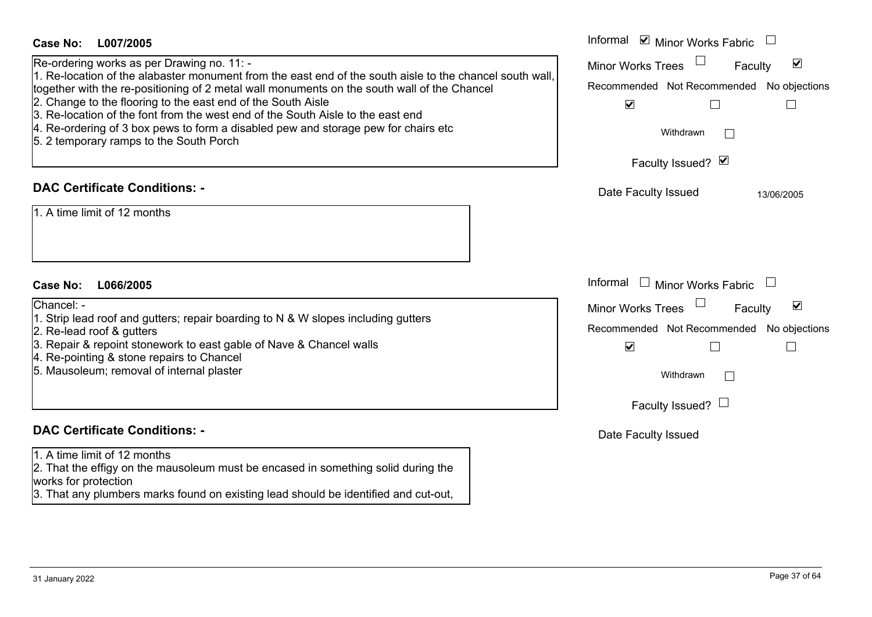| <b>Case No:</b><br>L007/2005                                                                                                                                                                                                                                                                                                                                                                                                                                                                                                              | Informal ☑ Minor Works Fabric                                                                                                                                                                                                             |
|-------------------------------------------------------------------------------------------------------------------------------------------------------------------------------------------------------------------------------------------------------------------------------------------------------------------------------------------------------------------------------------------------------------------------------------------------------------------------------------------------------------------------------------------|-------------------------------------------------------------------------------------------------------------------------------------------------------------------------------------------------------------------------------------------|
| Re-ordering works as per Drawing no. 11: -<br>1. Re-location of the alabaster monument from the east end of the south aisle to the chancel south wall,<br>together with the re-positioning of 2 metal wall monuments on the south wall of the Chancel<br>2. Change to the flooring to the east end of the South Aisle<br>3. Re-location of the font from the west end of the South Aisle to the east end<br>4. Re-ordering of 3 box pews to form a disabled pew and storage pew for chairs etc<br>5. 2 temporary ramps to the South Porch | $\blacktriangledown$<br><b>Minor Works Trees</b><br>Faculty<br>Recommended Not Recommended No objections<br>$\blacktriangledown$<br>Withdrawn<br>$\Box$<br>Faculty Issued? Ø                                                              |
| <b>DAC Certificate Conditions: -</b><br>1. A time limit of 12 months                                                                                                                                                                                                                                                                                                                                                                                                                                                                      | Date Faculty Issued<br>13/06/2005                                                                                                                                                                                                         |
| <b>Case No:</b><br>L066/2005<br>Chancel: -<br>1. Strip lead roof and gutters; repair boarding to N & W slopes including gutters<br>2. Re-lead roof & gutters<br>3. Repair & repoint stonework to east gable of Nave & Chancel walls<br>4. Re-pointing & stone repairs to Chancel<br>5. Mausoleum; removal of internal plaster                                                                                                                                                                                                             | Informal<br>$\mathbf{I}$<br>Minor Works Fabric<br>$\blacktriangledown$<br><b>Minor Works Trees</b><br>Faculty<br>Recommended Not Recommended No objections<br>$\blacktriangledown$<br>Withdrawn<br>$\mathbf{L}$<br>Faculty Issued? $\Box$ |
| <b>DAC Certificate Conditions: -</b><br>1. A time limit of 12 months<br>2. That the effigy on the mausoleum must be encased in something solid during the<br>works for protection<br>3. That any plumbers marks found on existing lead should be identified and cut-out,                                                                                                                                                                                                                                                                  | Date Faculty Issued                                                                                                                                                                                                                       |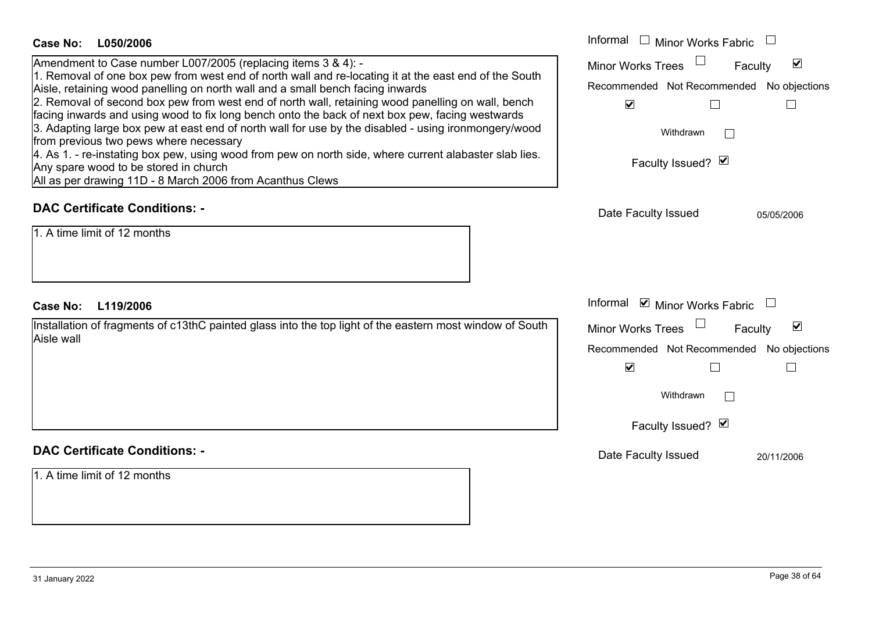| <b>Case No:</b><br>L050/2006                                                                                                                                                        | Informal<br>Minor Works Fabric                              |  |  |
|-------------------------------------------------------------------------------------------------------------------------------------------------------------------------------------|-------------------------------------------------------------|--|--|
| Amendment to Case number L007/2005 (replacing items 3 & 4): -                                                                                                                       | $\blacktriangledown$<br><b>Minor Works Trees</b><br>Faculty |  |  |
| 1. Removal of one box pew from west end of north wall and re-locating it at the east end of the South                                                                               | Recommended Not Recommended No objections                   |  |  |
| Aisle, retaining wood panelling on north wall and a small bench facing inwards<br>2. Removal of second box pew from west end of north wall, retaining wood panelling on wall, bench | $\blacktriangledown$                                        |  |  |
| facing inwards and using wood to fix long bench onto the back of next box pew, facing westwards                                                                                     |                                                             |  |  |
| 3. Adapting large box pew at east end of north wall for use by the disabled - using ironmongery/wood                                                                                | Withdrawn<br>$\Box$                                         |  |  |
| from previous two pews where necessary<br>4. As 1. - re-instating box pew, using wood from pew on north side, where current alabaster slab lies.                                    |                                                             |  |  |
| Any spare wood to be stored in church                                                                                                                                               | Faculty Issued? Ø                                           |  |  |
| All as per drawing 11D - 8 March 2006 from Acanthus Clews                                                                                                                           |                                                             |  |  |
| <b>DAC Certificate Conditions: -</b>                                                                                                                                                | Date Faculty Issued<br>05/05/2006                           |  |  |
| 1. A time limit of 12 months                                                                                                                                                        |                                                             |  |  |
| <b>Case No:</b><br>L119/2006                                                                                                                                                        | Informal ☑ Minor Works Fabric                               |  |  |
| Installation of fragments of c13thC painted glass into the top light of the eastern most window of South                                                                            | ☑<br><b>Minor Works Trees</b><br>Faculty                    |  |  |
| Aisle wall                                                                                                                                                                          | Recommended Not Recommended No objections                   |  |  |
|                                                                                                                                                                                     | $\blacktriangledown$                                        |  |  |
|                                                                                                                                                                                     | Withdrawn<br>$\perp$                                        |  |  |
|                                                                                                                                                                                     | Faculty Issued? Ø                                           |  |  |
| <b>DAC Certificate Conditions: -</b>                                                                                                                                                | Date Faculty Issued<br>20/11/2006                           |  |  |
| 1. A time limit of 12 months                                                                                                                                                        |                                                             |  |  |
|                                                                                                                                                                                     |                                                             |  |  |
|                                                                                                                                                                                     |                                                             |  |  |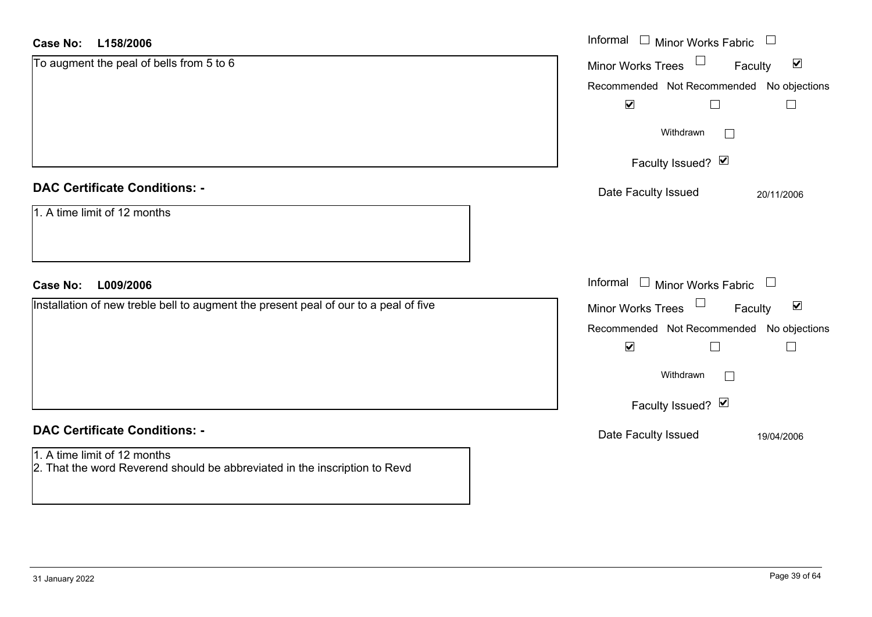### **L158/2006Case No:**

| Informal □ Minor Works Fabric<br><b>Case No:</b><br>L158/2006                                              |                                                      |  |
|------------------------------------------------------------------------------------------------------------|------------------------------------------------------|--|
| To augment the peal of bells from 5 to 6                                                                   | $\blacktriangledown$<br>Minor Works Trees<br>Faculty |  |
|                                                                                                            | Recommended Not Recommended No objections            |  |
|                                                                                                            | $\blacktriangledown$<br>$\Box$                       |  |
|                                                                                                            | Withdrawn                                            |  |
|                                                                                                            | Faculty Issued? Ø                                    |  |
| <b>DAC Certificate Conditions: -</b>                                                                       | Date Faculty Issued<br>20/11/2006                    |  |
| 1. A time limit of 12 months                                                                               |                                                      |  |
| <b>Case No:</b><br>L009/2006                                                                               | Informal<br><b>Minor Works Fabric</b>                |  |
| Installation of new treble bell to augment the present peal of our to a peal of five                       | $\blacktriangledown$<br>Minor Works Trees<br>Faculty |  |
|                                                                                                            | Recommended Not Recommended No objections            |  |
|                                                                                                            | $\blacktriangledown$<br>П                            |  |
|                                                                                                            | Withdrawn                                            |  |
|                                                                                                            | Faculty Issued? Ø                                    |  |
| <b>DAC Certificate Conditions: -</b>                                                                       | Date Faculty Issued<br>19/04/2006                    |  |
| 1. A time limit of 12 months<br>2. That the word Reverend should be abbreviated in the inscription to Revd |                                                      |  |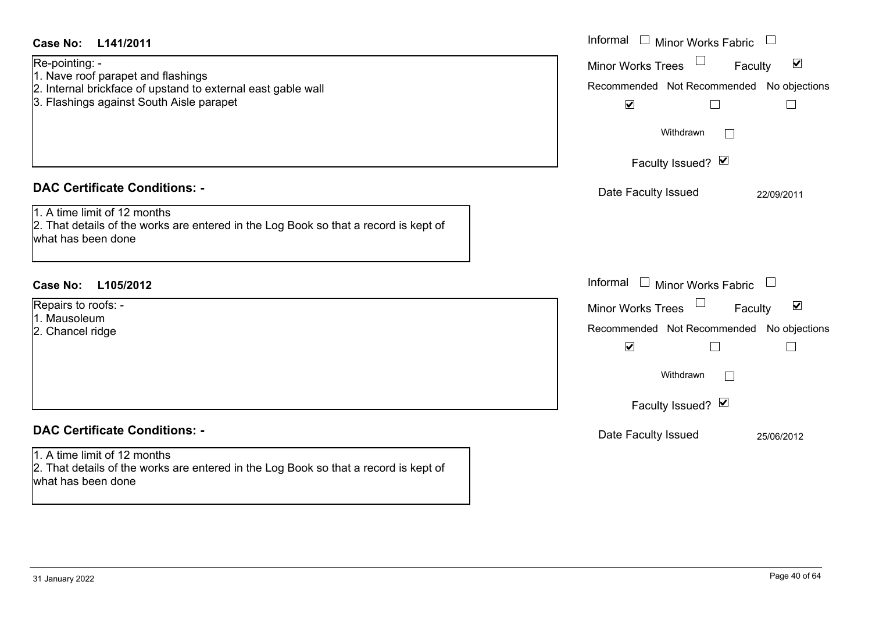| <b>Case No:</b><br>L141/2011                                                                                                                                     | Informal $\Box$ Minor Works Fabric $\Box$                                                                                                             |
|------------------------------------------------------------------------------------------------------------------------------------------------------------------|-------------------------------------------------------------------------------------------------------------------------------------------------------|
| Re-pointing: -<br>1. Nave roof parapet and flashings<br>2. Internal brickface of upstand to external east gable wall<br>3. Flashings against South Aisle parapet | Minor Works Trees<br>$\blacktriangledown$<br>Faculty<br>Recommended Not Recommended No objections<br>$\blacktriangledown$<br>$\Box$<br>$\mathbb{R}^n$ |
|                                                                                                                                                                  | Withdrawn<br>$\vert \ \ \vert$<br>Faculty Issued? Ø                                                                                                   |
|                                                                                                                                                                  |                                                                                                                                                       |
| <b>DAC Certificate Conditions: -</b><br>1. A time limit of 12 months                                                                                             | Date Faculty Issued<br>22/09/2011                                                                                                                     |
| 2. That details of the works are entered in the Log Book so that a record is kept of<br>what has been done                                                       |                                                                                                                                                       |
| <b>Case No:</b><br>L105/2012                                                                                                                                     | Informal<br>$\Box$ Minor Works Fabric $\Box$                                                                                                          |
| Repairs to roofs: -                                                                                                                                              | Minor Works Trees<br>$\blacktriangledown$<br>Faculty                                                                                                  |
| 1. Mausoleum                                                                                                                                                     | Recommended Not Recommended No objections                                                                                                             |
| 2. Chancel ridge                                                                                                                                                 | $\blacktriangledown$<br>$\Box$<br>$\Box$                                                                                                              |
|                                                                                                                                                                  | Withdrawn<br>$\Box$                                                                                                                                   |
|                                                                                                                                                                  | Faculty Issued? Ø                                                                                                                                     |
| <b>DAC Certificate Conditions: -</b>                                                                                                                             | Date Faculty Issued<br>25/06/2012                                                                                                                     |
| 1. A time limit of 12 months<br>2. That details of the works are entered in the Log Book so that a record is kept of<br>what has been done                       |                                                                                                                                                       |
|                                                                                                                                                                  |                                                                                                                                                       |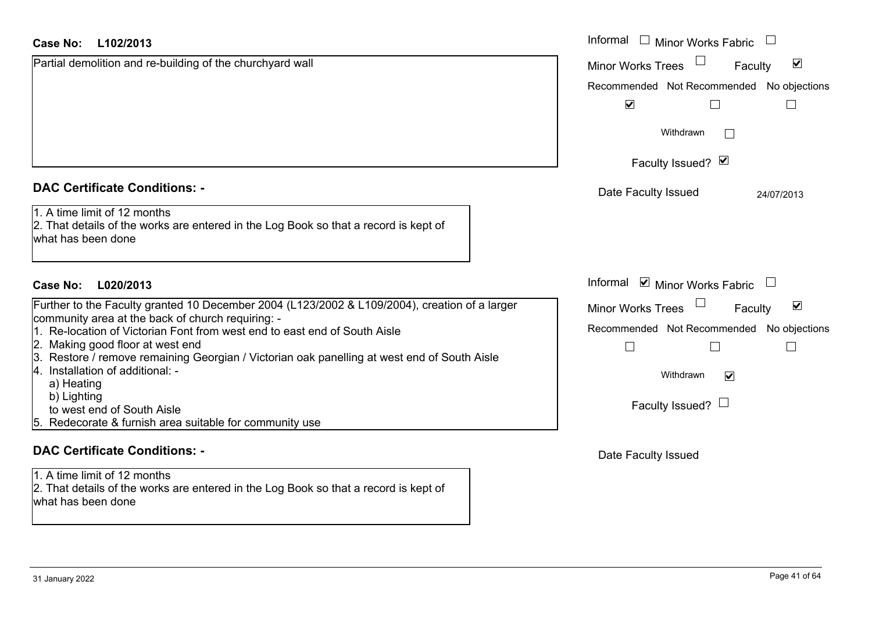| Case No: | L102/2013 |
|----------|-----------|
|----------|-----------|

| Case No:<br>L102/2013                                                                                                                      | Informal $\square$<br><b>Minor Works Fabric</b>             |  |  |
|--------------------------------------------------------------------------------------------------------------------------------------------|-------------------------------------------------------------|--|--|
| Partial demolition and re-building of the churchyard wall                                                                                  | $\blacktriangledown$<br><b>Minor Works Trees</b><br>Faculty |  |  |
|                                                                                                                                            | Recommended Not Recommended No objections                   |  |  |
|                                                                                                                                            | $\blacktriangledown$                                        |  |  |
|                                                                                                                                            | Withdrawn<br>$\mathbf{L}$                                   |  |  |
|                                                                                                                                            | Faculty Issued? M                                           |  |  |
| <b>DAC Certificate Conditions: -</b>                                                                                                       | Date Faculty Issued<br>24/07/2013                           |  |  |
| 1. A time limit of 12 months<br>2. That details of the works are entered in the Log Book so that a record is kept of<br>what has been done |                                                             |  |  |
| Case No:<br>L020/2013                                                                                                                      | Informal <b>v</b> Minor Works Fabric                        |  |  |
| Further to the Faculty granted 10 December 2004 (L123/2002 & L109/2004), creation of a larger                                              | $\blacktriangledown$<br>Minor Works Trees<br>Faculty        |  |  |
| community area at the back of church requiring: -                                                                                          |                                                             |  |  |
| 1. Re-location of Victorian Font from west end to east end of South Aisle                                                                  | Recommended Not Recommended No objections                   |  |  |
| 2. Making good floor at west end<br>3. Restore / remove remaining Georgian / Victorian oak panelling at west end of South Aisle            |                                                             |  |  |
| I4.<br>Installation of additional: -                                                                                                       | Withdrawn                                                   |  |  |
| a) Heating                                                                                                                                 | $\blacktriangledown$                                        |  |  |
| b) Lighting                                                                                                                                |                                                             |  |  |
| to west end of South Aisle                                                                                                                 | Faculty Issued? $\Box$                                      |  |  |
| 5. Redecorate & furnish area suitable for community use                                                                                    |                                                             |  |  |

### **DAC Certificate Conditions: -**

1. A time limit of 12 months 2. That details of the works are entered in the Log Book so that a record is kept of what has been done

Date Faculty Issued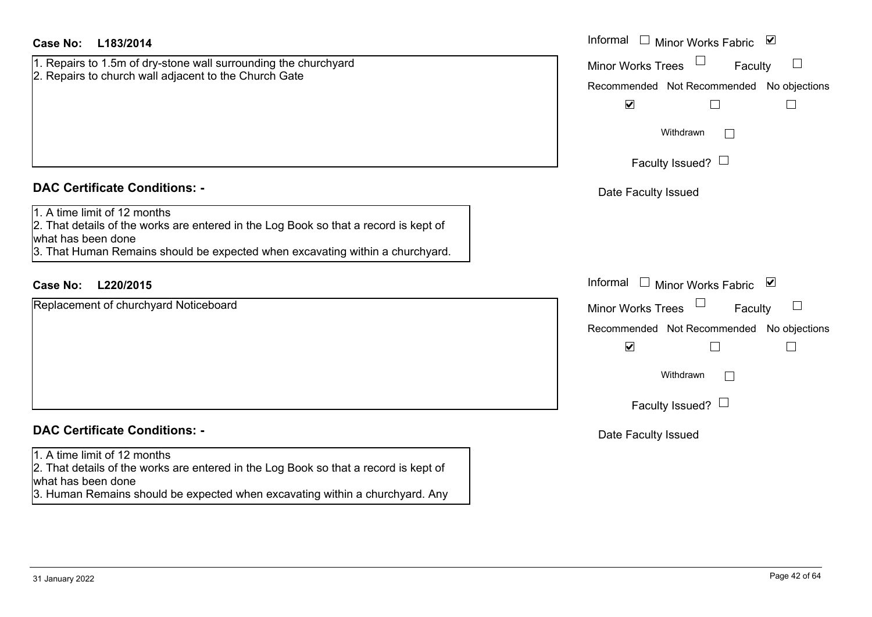| Case No:<br>L183/2014                                                                                                                                                                                                       | Informal<br>□ Minor Works Fabric                                                                                                  |
|-----------------------------------------------------------------------------------------------------------------------------------------------------------------------------------------------------------------------------|-----------------------------------------------------------------------------------------------------------------------------------|
| 1. Repairs to 1.5m of dry-stone wall surrounding the churchyard<br>2. Repairs to church wall adjacent to the Church Gate                                                                                                    | $\Box$<br><b>Minor Works Trees</b><br>Faculty<br>Recommended Not Recommended No objections<br>$\blacktriangledown$<br>L<br>$\Box$ |
|                                                                                                                                                                                                                             | Withdrawn                                                                                                                         |
|                                                                                                                                                                                                                             | Faculty Issued? $\Box$                                                                                                            |
| <b>DAC Certificate Conditions: -</b>                                                                                                                                                                                        | Date Faculty Issued                                                                                                               |
| 1. A time limit of 12 months<br>2. That details of the works are entered in the Log Book so that a record is kept of<br>what has been done<br>3. That Human Remains should be expected when excavating within a churchyard. |                                                                                                                                   |
| L220/2015<br><b>Case No:</b>                                                                                                                                                                                                | Informal<br>Minor Works Fabric ⊠                                                                                                  |
| Replacement of churchyard Noticeboard                                                                                                                                                                                       | <b>Minor Works Trees</b><br>$\Box$<br>Faculty                                                                                     |
|                                                                                                                                                                                                                             | Recommended Not Recommended No objections                                                                                         |
|                                                                                                                                                                                                                             | $\blacktriangledown$                                                                                                              |
|                                                                                                                                                                                                                             | Withdrawn                                                                                                                         |
|                                                                                                                                                                                                                             | Faculty Issued? $\Box$                                                                                                            |
| <b>DAC Certificate Conditions: -</b>                                                                                                                                                                                        | Date Faculty Issued                                                                                                               |
| 1. A time limit of 12 months<br>2. That details of the works are entered in the Log Book so that a record is kept of<br>what has been done<br>3. Human Remains should be expected when excavating within a churchyard. Any  |                                                                                                                                   |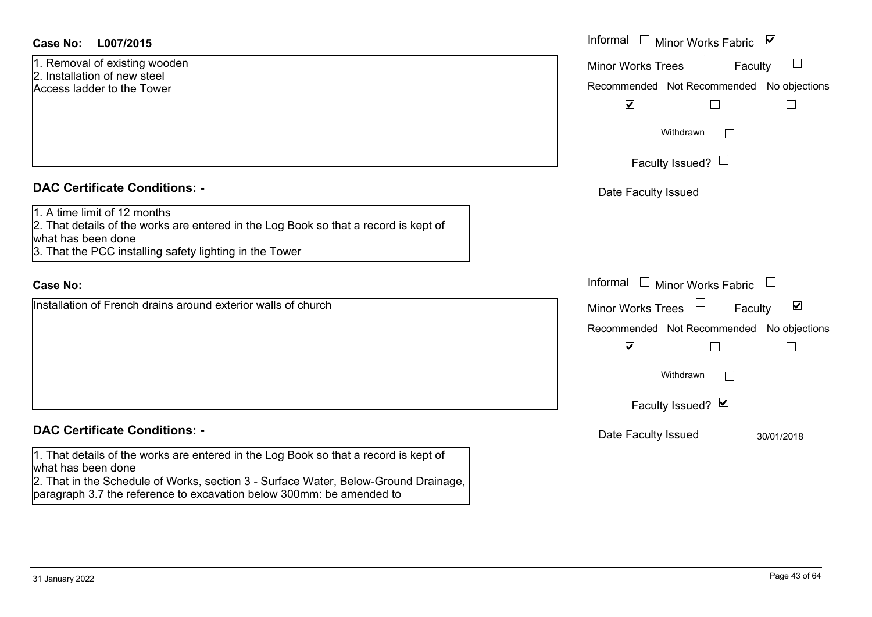| <b>Case No:</b> | L007/2015 |
|-----------------|-----------|
|-----------------|-----------|

1. Removal of existing wooden 2. Installation of new steelAccess ladder to the Tower

### **DAC Certificate Conditions: -**

1. A time limit of 12 months

2. That details of the works are entered in the Log Book so that a record is kept of what has been done 3. That the PCC installing safety lighting in the Tower

### **Case No:**

Installation of French drains around exterior walls of church

## **DAC Certificate Conditions: -**

1. That details of the works are entered in the Log Book so that a record is kept of what has been done

2. That in the Schedule of Works, section 3 - Surface Water, Below-Ground Drainage, paragraph 3.7 the reference to excavation below 300mm: be amended to

| L007/2015                                                                                                                                                       | Informal □ Minor Works Fabric ☑                                                                                                                                          |
|-----------------------------------------------------------------------------------------------------------------------------------------------------------------|--------------------------------------------------------------------------------------------------------------------------------------------------------------------------|
| val of existing wooden<br>ation of new steel<br>adder to the Tower                                                                                              | <b>Minor Works Trees</b><br>Faculty<br>$\overline{\phantom{a}}$<br>Recommended Not Recommended No objections<br>$\blacktriangledown$<br>Г<br>$\mathcal{L}_{\mathcal{A}}$ |
|                                                                                                                                                                 | Withdrawn<br>I.                                                                                                                                                          |
|                                                                                                                                                                 | Faculty Issued? $\Box$                                                                                                                                                   |
| rtificate Conditions: -                                                                                                                                         | Date Faculty Issued                                                                                                                                                      |
| limit of 12 months<br>etails of the works are entered in the Log Book so that a record is kept of<br>been done<br>e PCC installing safety lighting in the Tower |                                                                                                                                                                          |
|                                                                                                                                                                 | Informal $\Box$ Minor Works Fabric $\Box$                                                                                                                                |
| on of French drains around exterior walls of church                                                                                                             | Minor Works Trees<br>$\blacktriangledown$<br>Faculty<br>Recommended Not Recommended No objections<br>$\blacktriangledown$<br>Withdrawn<br>Faculty Issued? Ø              |
| rtificate Conditions: -                                                                                                                                         | Date Faculty Issued<br>30/01/2018                                                                                                                                        |
| etails of the works are entered in the Log Book so that a record is kept of<br>hoon dono                                                                        |                                                                                                                                                                          |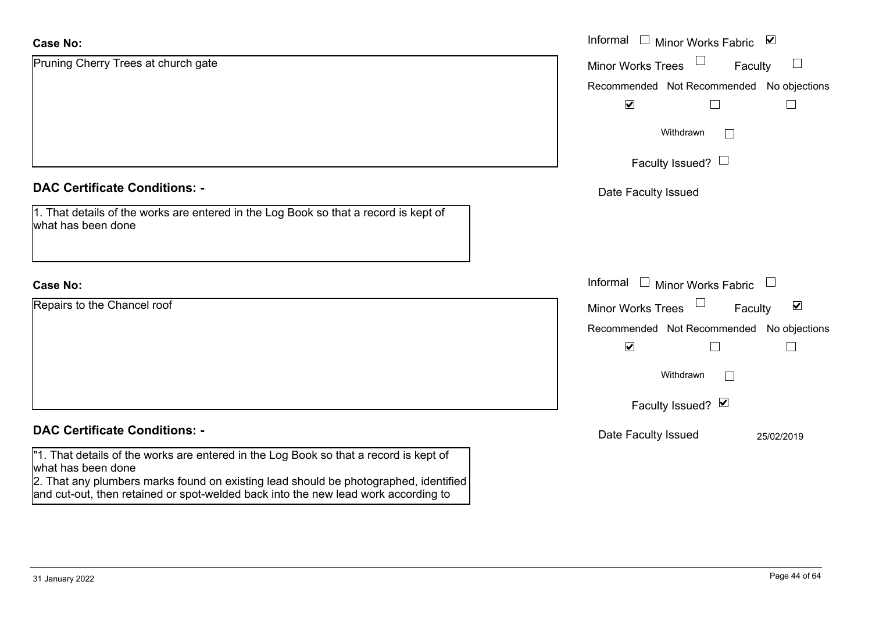| <b>Case No:</b>                                                                                                                                                                                     | Informal $\Box$ Minor Works Fabric $\Box$            |
|-----------------------------------------------------------------------------------------------------------------------------------------------------------------------------------------------------|------------------------------------------------------|
| Pruning Cherry Trees at church gate                                                                                                                                                                 | $\Box$<br><b>Minor Works Trees</b><br>Faculty        |
|                                                                                                                                                                                                     | Recommended Not Recommended No objections            |
|                                                                                                                                                                                                     | $\blacktriangledown$<br>П                            |
|                                                                                                                                                                                                     | Withdrawn                                            |
|                                                                                                                                                                                                     | Faculty Issued? $\Box$                               |
| <b>DAC Certificate Conditions: -</b>                                                                                                                                                                | Date Faculty Issued                                  |
| 1. That details of the works are entered in the Log Book so that a record is kept of<br>what has been done                                                                                          |                                                      |
| <b>Case No:</b>                                                                                                                                                                                     | Informal $\Box$ Minor Works Fabric $\Box$            |
| Repairs to the Chancel roof                                                                                                                                                                         | Minor Works Trees<br>$\blacktriangledown$<br>Faculty |
|                                                                                                                                                                                                     | Recommended Not Recommended No objections            |
|                                                                                                                                                                                                     | $\blacktriangledown$<br>$\Box$<br>$\Box$             |
|                                                                                                                                                                                                     | Withdrawn<br>$\sim$                                  |
|                                                                                                                                                                                                     | Faculty Issued? Ø                                    |
|                                                                                                                                                                                                     |                                                      |
| <b>DAC Certificate Conditions: -</b>                                                                                                                                                                | Date Faculty Issued<br>25/02/2019                    |
| "1. That details of the works are entered in the Log Book so that a record is kept of<br>what has been done<br>2. That any plumbers marks found on existing lead should be photographed, identified |                                                      |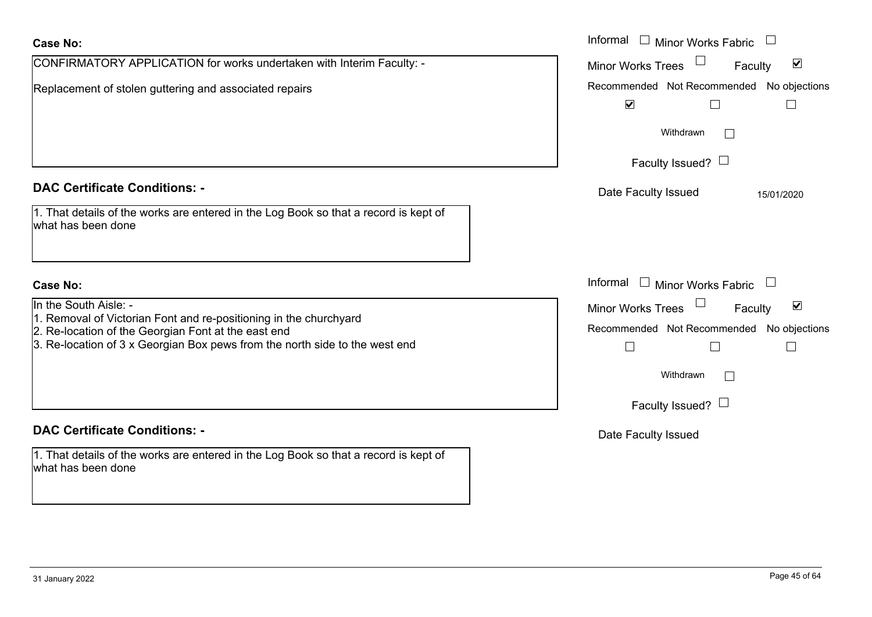| <b>Case No:</b>                                                                                                                                                                                                                  | Informal $\square$<br><b>Minor Works Fabric</b>                                                                                            |
|----------------------------------------------------------------------------------------------------------------------------------------------------------------------------------------------------------------------------------|--------------------------------------------------------------------------------------------------------------------------------------------|
| CONFIRMATORY APPLICATION for works undertaken with Interim Faculty: -                                                                                                                                                            | $\blacktriangledown$<br><b>Minor Works Trees</b><br>Faculty                                                                                |
| Replacement of stolen guttering and associated repairs                                                                                                                                                                           | Recommended Not Recommended No objections<br>$\blacktriangledown$<br>$\mathbb{R}$                                                          |
|                                                                                                                                                                                                                                  | Withdrawn                                                                                                                                  |
|                                                                                                                                                                                                                                  | Faculty Issued? $\Box$                                                                                                                     |
| <b>DAC Certificate Conditions: -</b>                                                                                                                                                                                             | Date Faculty Issued<br>15/01/2020                                                                                                          |
| 1. That details of the works are entered in the Log Book so that a record is kept of<br>what has been done                                                                                                                       |                                                                                                                                            |
| <b>Case No:</b>                                                                                                                                                                                                                  | Informal $\Box$ Minor Works Fabric $\Box$                                                                                                  |
| In the South Aisle: -<br>1. Removal of Victorian Font and re-positioning in the churchyard<br>2. Re-location of the Georgian Font at the east end<br>3. Re-location of 3 x Georgian Box pews from the north side to the west end | $\blacktriangledown$<br>Minor Works Trees<br>Faculty<br>Recommended Not Recommended No objections<br>$\Box$<br>Withdrawn<br>$\mathbb{R}^n$ |
|                                                                                                                                                                                                                                  | Faculty Issued? $\Box$                                                                                                                     |
| <b>DAC Certificate Conditions: -</b>                                                                                                                                                                                             | Date Faculty Issued                                                                                                                        |
| 1. That details of the works are entered in the Log Book so that a record is kept of<br>what has been done                                                                                                                       |                                                                                                                                            |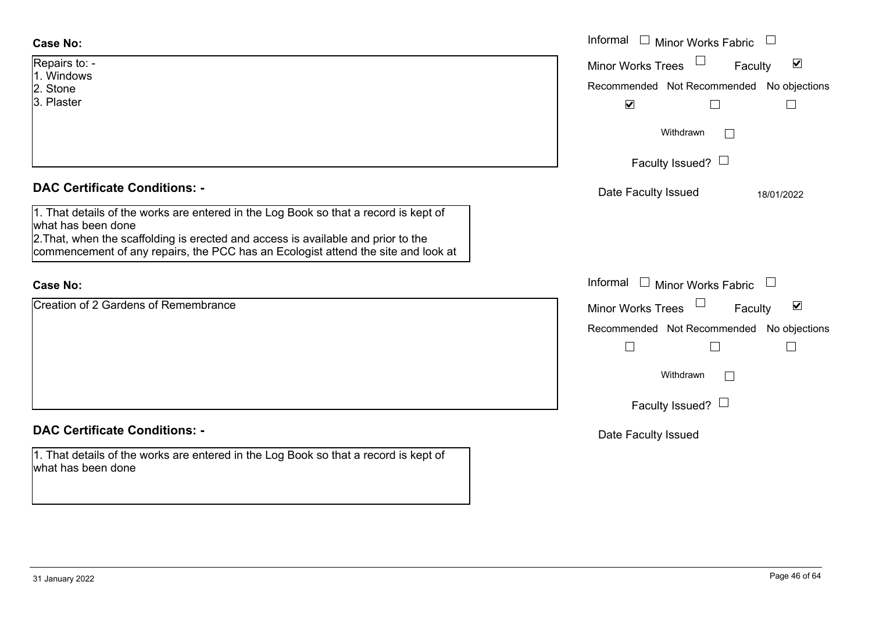| <b>Case No:</b>                      | Informal $\Box$<br>Minor Works Fabric                          |
|--------------------------------------|----------------------------------------------------------------|
| Repairs to: -<br>1. Windows          | $\overline{\mathbf{v}}$<br><b>Minor Works Trees</b><br>Faculty |
| 2. Stone                             | Recommended Not Recommended No objections                      |
| 3. Plaster                           | $\blacktriangledown$                                           |
|                                      | Withdrawn                                                      |
|                                      | Faculty Issued? $\Box$                                         |
| <b>DAC Certificate Conditions: -</b> | Dota Foouth Loouad<br>101010000                                |

1. That details of the works are entered in the Log Book so that a record is kept of what has been done

2.That, when the scaffolding is erected and access is available and prior to the commencement of any repairs, the PCC has an Ecologist attend the site and look at

### **Case No:**

Creation of 2 Gardens of Remembrance

## **DAC Certificate Conditions: -**

1. That details of the works are entered in the Log Book so that a record is kept of what has been done

|                                                                                                                                                                                                                                                     | M                                                       |
|-----------------------------------------------------------------------------------------------------------------------------------------------------------------------------------------------------------------------------------------------------|---------------------------------------------------------|
|                                                                                                                                                                                                                                                     | Withdrawn                                               |
|                                                                                                                                                                                                                                                     | Faculty Issued? $\Box$                                  |
| rtificate Conditions: -                                                                                                                                                                                                                             | Date Faculty Issued<br>18/01/2022                       |
| etails of the works are entered in the Log Book so that a record is kept of<br>been done<br>then the scaffolding is erected and access is available and prior to the<br>cement of any repairs, the PCC has an Ecologist attend the site and look at |                                                         |
|                                                                                                                                                                                                                                                     | Informal<br>Minor Works Fabric $\quad \Box$             |
| of 2 Gardens of Remembrance                                                                                                                                                                                                                         | Minor Works Trees<br>$\overline{\mathbf{v}}$<br>Faculty |
|                                                                                                                                                                                                                                                     | Recommended Not Recommended No objections               |
|                                                                                                                                                                                                                                                     | Withdrawn                                               |
|                                                                                                                                                                                                                                                     |                                                         |

Faculty Issued?  $\Box$ 

Date Faculty Issued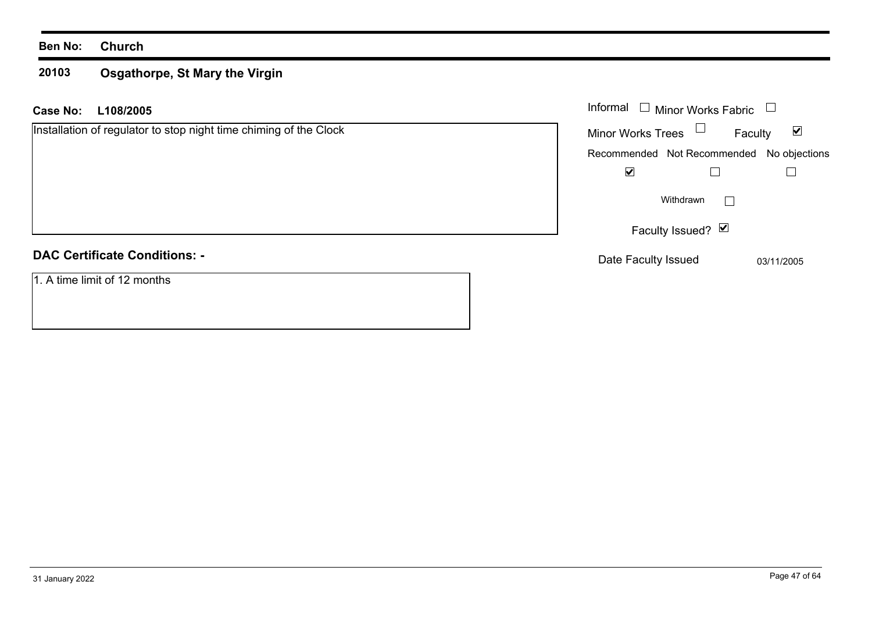### **20103 Osgathorpe, St Mary the Virgin**

| <b>Case No:</b><br>L108/2005                                      | Informal $\Box$ Minor Works Fabric                          |
|-------------------------------------------------------------------|-------------------------------------------------------------|
| Installation of regulator to stop night time chiming of the Clock | Minor Works Trees $\Box$<br>$\blacktriangledown$<br>Faculty |
|                                                                   | Recommended Not Recommended No objections                   |
|                                                                   | $\blacktriangledown$                                        |
|                                                                   | Withdrawn<br>$\mathbf{L}$                                   |
|                                                                   | Faculty Issued? Ø                                           |
| <b>DAC Certificate Conditions: -</b>                              | Date Faculty Issued<br>03/11/2005                           |
| 1. A time limit of 12 months                                      |                                                             |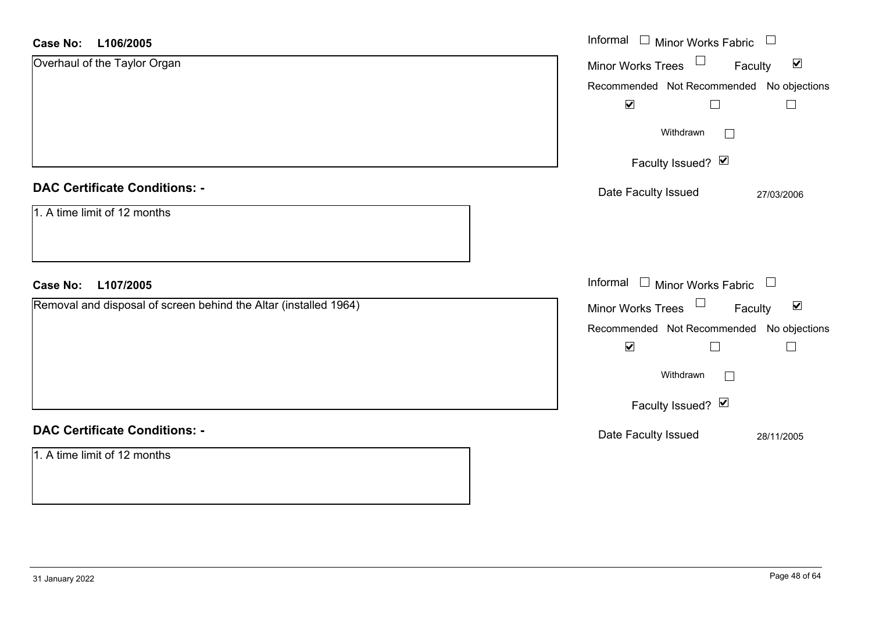### **L106/2005Case No:**

| <b>Case No:</b><br>L106/2005                                     | Informal $\Box$ Minor Works Fabric $\Box$                         |
|------------------------------------------------------------------|-------------------------------------------------------------------|
| Overhaul of the Taylor Organ                                     | Minor Works Trees <sup>1</sup><br>$\blacktriangledown$<br>Faculty |
|                                                                  | Recommended Not Recommended No objections                         |
|                                                                  | $\blacktriangledown$<br>$\Box$                                    |
|                                                                  | Withdrawn<br>$\Box$                                               |
|                                                                  | Faculty Issued? Ø                                                 |
| <b>DAC Certificate Conditions: -</b>                             | Date Faculty Issued<br>27/03/2006                                 |
| 1. A time limit of 12 months                                     |                                                                   |
|                                                                  |                                                                   |
| L107/2005<br><b>Case No:</b>                                     | Informal $\Box$ Minor Works Fabric $\Box$                         |
| Removal and disposal of screen behind the Altar (installed 1964) | Minor Works Trees<br>$\blacktriangledown$<br>Faculty              |
|                                                                  | Recommended Not Recommended No objections                         |
|                                                                  | $\blacktriangledown$<br>$\Box$                                    |
|                                                                  | Withdrawn<br>$\Box$                                               |
|                                                                  | Faculty Issued? $\Box$                                            |
| <b>DAC Certificate Conditions: -</b>                             | Date Faculty Issued<br>28/11/2005                                 |
| 1. A time limit of 12 months                                     |                                                                   |
|                                                                  |                                                                   |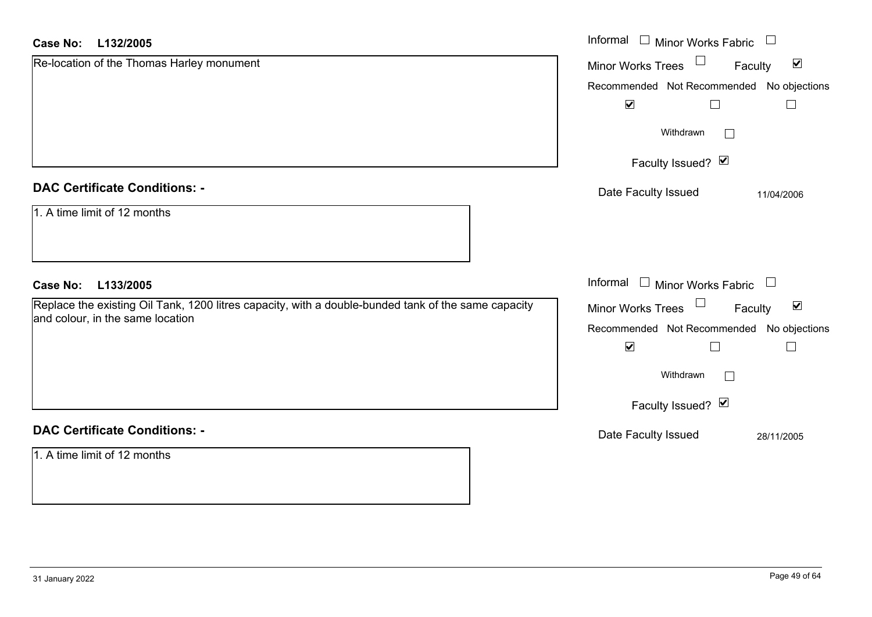### **L132/2005Case No:**

| <b>Case No:</b><br>L132/2005                                                                        | Informal □ Minor Works Fabric<br>$\mathcal{L}$                          |
|-----------------------------------------------------------------------------------------------------|-------------------------------------------------------------------------|
| Re-location of the Thomas Harley monument                                                           | $\blacktriangledown$<br><b>Minor Works Trees</b><br>Faculty             |
|                                                                                                     | Recommended Not Recommended No objections                               |
|                                                                                                     | $\blacktriangledown$<br>$\Box$<br>$\Box$                                |
|                                                                                                     | Withdrawn                                                               |
|                                                                                                     | Faculty Issued? Ø                                                       |
| <b>DAC Certificate Conditions: -</b>                                                                | Date Faculty Issued<br>11/04/2006                                       |
| 1. A time limit of 12 months                                                                        |                                                                         |
| L133/2005<br><b>Case No:</b>                                                                        | Informal $\square$<br>Minor Works Fabric<br>$\mathcal{L}_{\mathcal{A}}$ |
| Replace the existing Oil Tank, 1200 litres capacity, with a double-bunded tank of the same capacity | $\blacktriangledown$<br>Minor Works Trees<br>Faculty                    |
| and colour, in the same location                                                                    | Recommended Not Recommended<br>No objections                            |
|                                                                                                     | $\blacktriangledown$<br>$\Box$                                          |
|                                                                                                     | Withdrawn                                                               |
|                                                                                                     | Faculty Issued? Ø                                                       |
| <b>DAC Certificate Conditions: -</b>                                                                | Date Faculty Issued<br>28/11/2005                                       |
| 1. A time limit of 12 months                                                                        |                                                                         |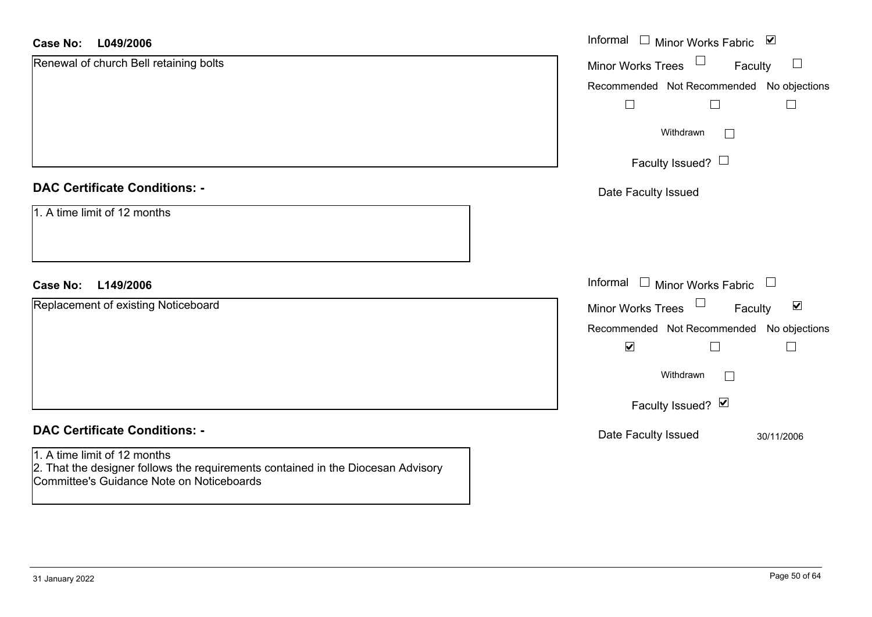### **L049/2006Case No:**

| L049/2006<br><b>Case No:</b>                                                                                                                                  | Informal □ Minor Works Fabric ☑                                |
|---------------------------------------------------------------------------------------------------------------------------------------------------------------|----------------------------------------------------------------|
| Renewal of church Bell retaining bolts                                                                                                                        | $\Box$<br>$\Box$<br>Minor Works Trees<br>Faculty               |
|                                                                                                                                                               | Recommended Not Recommended No objections                      |
|                                                                                                                                                               | $\Box$<br>$\Box$                                               |
|                                                                                                                                                               | Withdrawn                                                      |
|                                                                                                                                                               | Faculty Issued? $\Box$                                         |
| <b>DAC Certificate Conditions: -</b>                                                                                                                          | Date Faculty Issued                                            |
| 1. A time limit of 12 months                                                                                                                                  |                                                                |
| L149/2006<br><b>Case No:</b>                                                                                                                                  | Informal $\Box$ Minor Works Fabric $\Box$                      |
| Replacement of existing Noticeboard                                                                                                                           | $\Box$<br>$\blacktriangledown$<br>Minor Works Trees<br>Faculty |
|                                                                                                                                                               | Recommended Not Recommended No objections                      |
|                                                                                                                                                               | $\blacktriangledown$<br>$\sqcup$                               |
|                                                                                                                                                               | Withdrawn<br>П                                                 |
|                                                                                                                                                               | Faculty Issued? Ø                                              |
| <b>DAC Certificate Conditions: -</b>                                                                                                                          | Date Faculty Issued<br>30/11/2006                              |
| 1. A time limit of 12 months<br>2. That the designer follows the requirements contained in the Diocesan Advisory<br>Committee's Guidance Note on Noticeboards |                                                                |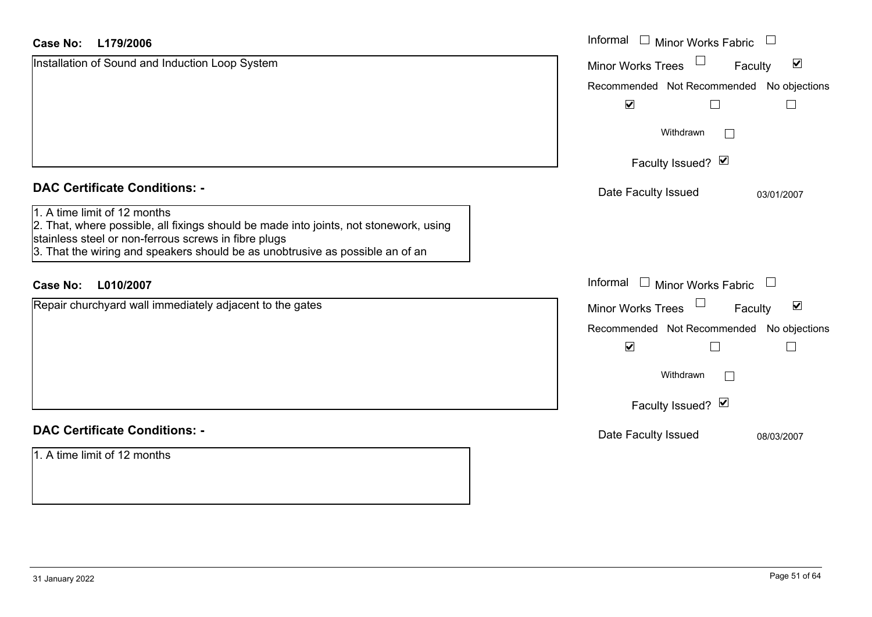| <b>Case No:</b><br>L179/2006                                                                                                                                                                                                                                   | Informal<br><b>Minor Works Fabric</b>                       |
|----------------------------------------------------------------------------------------------------------------------------------------------------------------------------------------------------------------------------------------------------------------|-------------------------------------------------------------|
| Installation of Sound and Induction Loop System                                                                                                                                                                                                                | $\blacktriangledown$<br><b>Minor Works Trees</b><br>Faculty |
|                                                                                                                                                                                                                                                                | Recommended Not Recommended No objections                   |
|                                                                                                                                                                                                                                                                | $\blacktriangledown$                                        |
|                                                                                                                                                                                                                                                                | Withdrawn<br>$\vert \ \ \vert$                              |
|                                                                                                                                                                                                                                                                | Faculty Issued? Ø                                           |
| <b>DAC Certificate Conditions: -</b>                                                                                                                                                                                                                           | Date Faculty Issued<br>03/01/2007                           |
| 1. A time limit of 12 months<br>2. That, where possible, all fixings should be made into joints, not stonework, using<br>stainless steel or non-ferrous screws in fibre plugs<br>3. That the wiring and speakers should be as unobtrusive as possible an of an |                                                             |
| <b>Case No:</b><br>L010/2007                                                                                                                                                                                                                                   | Informal □ Minor Works Fabric<br>$\overline{\phantom{a}}$   |
| Repair churchyard wall immediately adjacent to the gates                                                                                                                                                                                                       | $\blacktriangledown$<br>Minor Works Trees<br>Faculty        |
|                                                                                                                                                                                                                                                                | Recommended Not Recommended No objections                   |
|                                                                                                                                                                                                                                                                | $\blacktriangledown$                                        |
|                                                                                                                                                                                                                                                                | Withdrawn<br>$\Box$                                         |
|                                                                                                                                                                                                                                                                | Faculty Issued? Ø                                           |
| <b>DAC Certificate Conditions: -</b>                                                                                                                                                                                                                           | Date Faculty Issued<br>08/03/2007                           |
| 1. A time limit of 12 months                                                                                                                                                                                                                                   |                                                             |

 $\sim$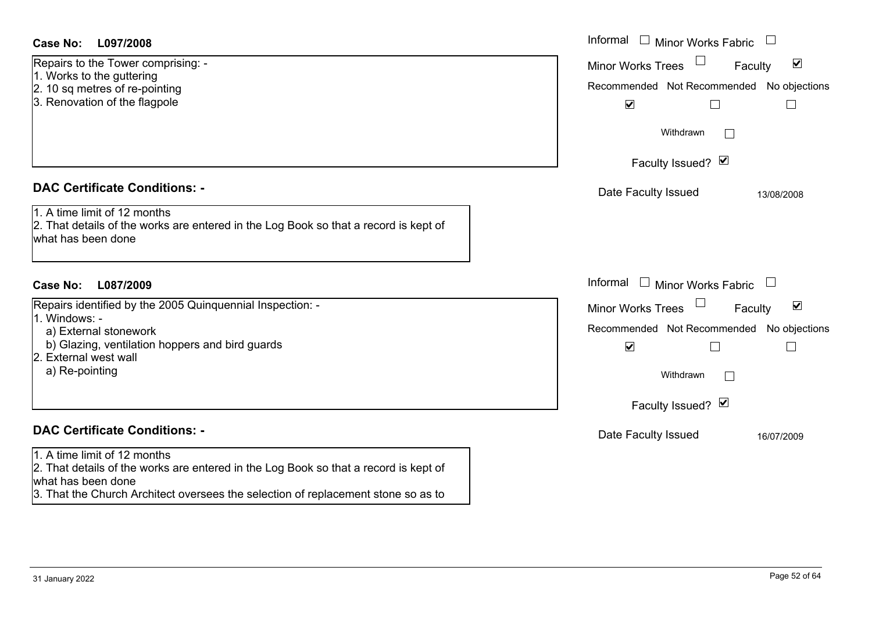Repairs to the Tower comprising: - 1. Works to the guttering

- 2. 10 sq metres of re-pointing
- 3. Renovation of the flagpole

### **DAC Certificate Conditions: -**

1. A time limit of 12 months

2. That details of the works are entered in the Log Book so that a record is kept of what has been done

## **L087/2009Case No:** Informal

Repairs identified by the 2005 Quinquennial Inspection: -

- 1. Windows:
	- a) External stonework
- b) Glazing, ventilation hoppers and bird guards
- 2. External west wall
- a) Re-pointing

## **DAC Certificate Conditions: -**

1. A time limit of 12 months

2. That details of the works are entered in the Log Book so that a record is kept of what has been done

3. That the Church Architect oversees the selection of replacement stone so as to

| L097/2008                                                                                                                                                    | Informal $\Box$ Minor Works Fabric $\Box$                                                                                                                             |
|--------------------------------------------------------------------------------------------------------------------------------------------------------------|-----------------------------------------------------------------------------------------------------------------------------------------------------------------------|
| o the Tower comprising: -<br>to the guttering<br>metres of re-pointing<br>ation of the flagpole                                                              | Minor Works Trees<br>$\blacktriangledown$<br>Faculty<br>Recommended Not Recommended No objections<br>$\blacktriangledown$                                             |
|                                                                                                                                                              | Withdrawn<br>Faculty Issued? Ø                                                                                                                                        |
| rtificate Conditions: -                                                                                                                                      | Date Faculty Issued<br>13/08/2008                                                                                                                                     |
| limit of 12 months<br>etails of the works are entered in the Log Book so that a record is kept of<br>been done                                               |                                                                                                                                                                       |
| L087/2009                                                                                                                                                    | Informal $\Box$ Minor Works Fabric $\Box$                                                                                                                             |
| dentified by the 2005 Quinquennial Inspection: -<br><b>WS: -</b><br>ernal stonework<br>zing, ventilation hoppers and bird guards<br>al west wall<br>pointing | Minor Works Trees<br>$\blacktriangledown$<br>Faculty<br>Recommended Not Recommended No objections<br>$\blacktriangledown$<br>$\Box$<br>Withdrawn<br>Faculty Issued? Ø |
| rtificate Conditions: -                                                                                                                                      | Date Faculty Issued<br>16/07/2009                                                                                                                                     |
| limit of 12 months<br>etails of the works are entered in the Log Book so that a record is kent of                                                            |                                                                                                                                                                       |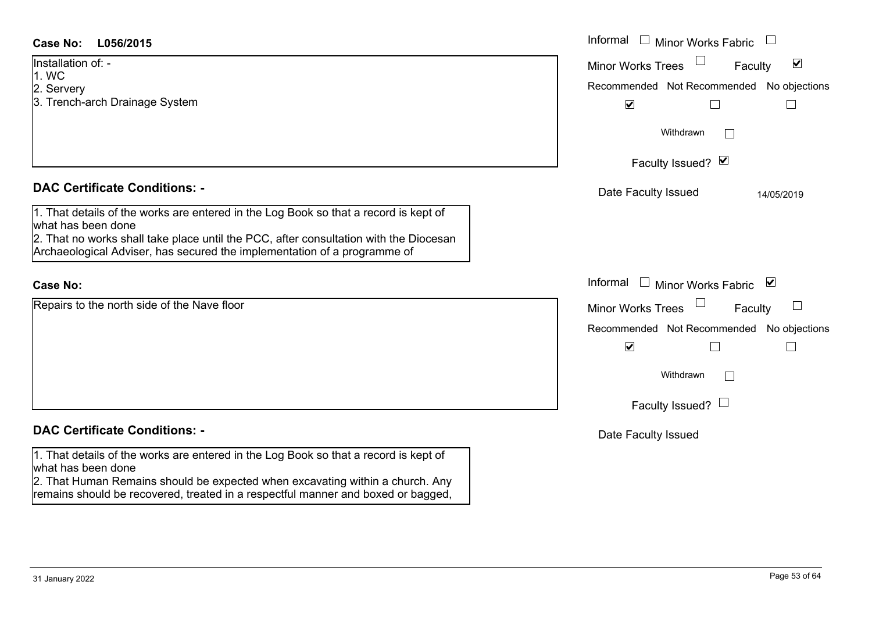| <b>Case No:</b><br>L056/2015                                                                                                                                                                        | Informal<br>$\Box$ Minor Works Fabric $\Box$                                                                                    |
|-----------------------------------------------------------------------------------------------------------------------------------------------------------------------------------------------------|---------------------------------------------------------------------------------------------------------------------------------|
| Installation of: -<br>1. WC                                                                                                                                                                         | $\Box$<br>$\blacktriangledown$<br>Minor Works Trees<br>Faculty                                                                  |
| 2. Servery                                                                                                                                                                                          | Recommended Not Recommended No objections                                                                                       |
| 3. Trench-arch Drainage System                                                                                                                                                                      | $\blacktriangledown$                                                                                                            |
|                                                                                                                                                                                                     | Withdrawn                                                                                                                       |
|                                                                                                                                                                                                     | Faculty Issued? Ø                                                                                                               |
| <b>DAC Certificate Conditions: -</b>                                                                                                                                                                | Date Faculty Issued<br>14/05/2019                                                                                               |
| 1. That details of the works are entered in the Log Book so that a record is kept of<br>what has been done<br>2. That no works shall take place until the PCC, after consultation with the Diocesan |                                                                                                                                 |
| Archaeological Adviser, has secured the implementation of a programme of                                                                                                                            |                                                                                                                                 |
| <b>Case No:</b>                                                                                                                                                                                     | Informal<br>□ Minor Works Fabric $\vert \mathbf{v} \vert$                                                                       |
| Repairs to the north side of the Nave floor                                                                                                                                                         | <b>Minor Works Trees</b><br>$\begin{array}{c} \begin{array}{c} \begin{array}{c} \end{array} \end{array} \end{array}$<br>Faculty |
|                                                                                                                                                                                                     | Recommended Not Recommended No objections                                                                                       |
|                                                                                                                                                                                                     | $\blacktriangledown$                                                                                                            |
|                                                                                                                                                                                                     | Withdrawn<br>$\mathbb{R}^n$                                                                                                     |
|                                                                                                                                                                                                     | Faculty Issued? $\Box$                                                                                                          |
| <b>DAC Certificate Conditions: -</b>                                                                                                                                                                | Date Faculty Issued                                                                                                             |
| 1. That details of the works are entered in the Log Book so that a record is kept of<br>what has been done                                                                                          |                                                                                                                                 |
| 2. That Human Remains should be expected when excavating within a church. Any<br>remains should be recovered, treated in a respectful manner and boxed or bagged,                                   |                                                                                                                                 |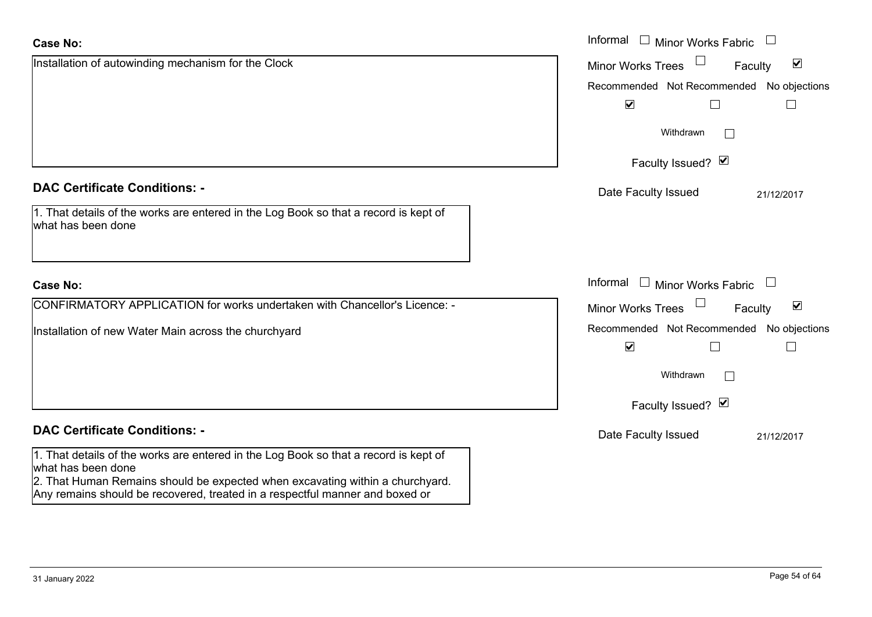| <b>Case No:</b>                                                                                                                                                                                                                                                             | Informal<br>$\Box$<br>Minor Works Fabric                          |
|-----------------------------------------------------------------------------------------------------------------------------------------------------------------------------------------------------------------------------------------------------------------------------|-------------------------------------------------------------------|
| Installation of autowinding mechanism for the Clock                                                                                                                                                                                                                         | $\blacktriangledown$<br><b>Minor Works Trees</b><br>Faculty       |
|                                                                                                                                                                                                                                                                             | No objections<br>Recommended Not Recommended                      |
|                                                                                                                                                                                                                                                                             | $\blacktriangledown$                                              |
|                                                                                                                                                                                                                                                                             | Withdrawn<br>$\blacksquare$                                       |
|                                                                                                                                                                                                                                                                             | Faculty Issued? Ø                                                 |
| <b>DAC Certificate Conditions: -</b>                                                                                                                                                                                                                                        | Date Faculty Issued<br>21/12/2017                                 |
| 1. That details of the works are entered in the Log Book so that a record is kept of<br>what has been done                                                                                                                                                                  |                                                                   |
| <b>Case No:</b>                                                                                                                                                                                                                                                             | Informal<br>$\Box$ Minor Works Fabric                             |
| CONFIRMATORY APPLICATION for works undertaken with Chancellor's Licence: -                                                                                                                                                                                                  | $\blacktriangledown$<br>Faculty<br><b>Minor Works Trees</b>       |
| Installation of new Water Main across the churchyard                                                                                                                                                                                                                        | Recommended Not Recommended No objections<br>$\blacktriangledown$ |
|                                                                                                                                                                                                                                                                             | Withdrawn<br>$\blacksquare$                                       |
|                                                                                                                                                                                                                                                                             | Faculty Issued? Ø                                                 |
| <b>DAC Certificate Conditions: -</b>                                                                                                                                                                                                                                        | Date Faculty Issued<br>21/12/2017                                 |
| 1. That details of the works are entered in the Log Book so that a record is kept of<br>what has been done<br>2. That Human Remains should be expected when excavating within a churchyard.<br>Any remains should be recovered, treated in a respectful manner and boxed or |                                                                   |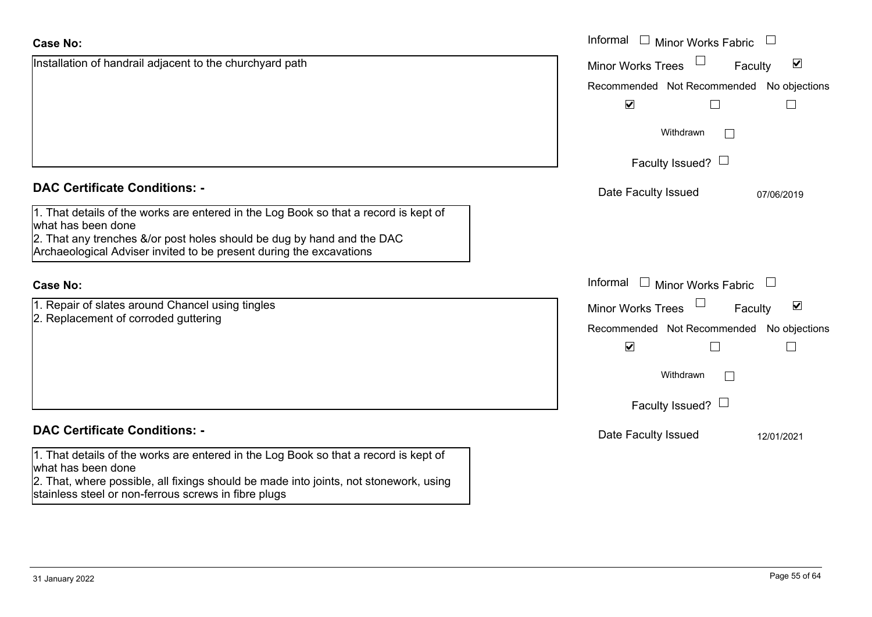| <b>Case No:</b>                                                                                                                                                                                     | Informal<br>$\Box$ Minor Works Fabric                          |
|-----------------------------------------------------------------------------------------------------------------------------------------------------------------------------------------------------|----------------------------------------------------------------|
| Installation of handrail adjacent to the churchyard path                                                                                                                                            | $\overline{\mathbf{v}}$<br><b>Minor Works Trees</b><br>Faculty |
|                                                                                                                                                                                                     | Recommended Not Recommended No objections                      |
|                                                                                                                                                                                                     | $\blacktriangledown$                                           |
|                                                                                                                                                                                                     | Withdrawn                                                      |
|                                                                                                                                                                                                     | Faculty Issued? $\Box$                                         |
| <b>DAC Certificate Conditions: -</b>                                                                                                                                                                | Date Faculty Issued<br>07/06/2019                              |
| 1. That details of the works are entered in the Log Book so that a record is kept of<br>what has been done                                                                                          |                                                                |
| 2. That any trenches &/or post holes should be dug by hand and the DAC<br>Archaeological Adviser invited to be present during the excavations                                                       |                                                                |
| <b>Case No:</b>                                                                                                                                                                                     | Informal □ Minor Works Fabric                                  |
| 1. Repair of slates around Chancel using tingles                                                                                                                                                    | $\blacktriangledown$<br><b>Minor Works Trees</b><br>Faculty    |
| 2. Replacement of corroded guttering                                                                                                                                                                | Recommended Not Recommended No objections                      |
|                                                                                                                                                                                                     | $\blacktriangledown$<br>$\Box$                                 |
|                                                                                                                                                                                                     | Withdrawn<br>$\Box$                                            |
|                                                                                                                                                                                                     | Faculty Issued? $\Box$                                         |
| <b>DAC Certificate Conditions: -</b>                                                                                                                                                                | Date Faculty Issued<br>12/01/2021                              |
| 1. That details of the works are entered in the Log Book so that a record is kept of<br>what has been done<br>2. That, where possible, all fixings should be made into joints, not stonework, using |                                                                |
|                                                                                                                                                                                                     |                                                                |

stainless steel or non-ferrous screws in fibre plugs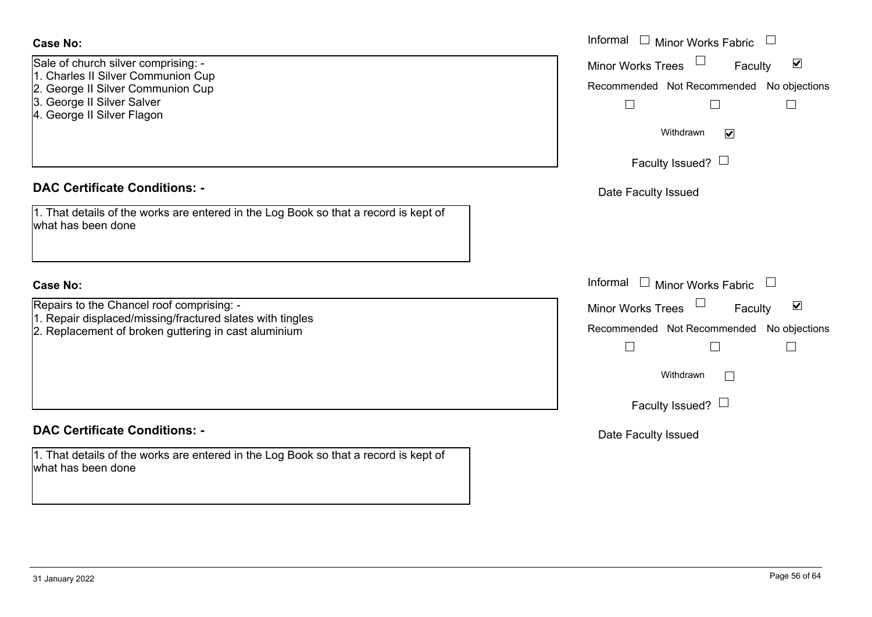| <b>Case No:</b>                                                                                                                                                            | Informal $\Box$ Minor Works Fabric $\Box$                                                                                                                                       |
|----------------------------------------------------------------------------------------------------------------------------------------------------------------------------|---------------------------------------------------------------------------------------------------------------------------------------------------------------------------------|
| Sale of church silver comprising: -<br>1. Charles II Silver Communion Cup<br>2. George II Silver Communion Cup<br>3. George II Silver Salver<br>4. George II Silver Flagon | $\blacktriangledown$<br>Minor Works Trees<br>Faculty<br>Recommended Not Recommended No objections<br>$\Box$<br>$\Box$<br>$\vert \ \ \vert$<br>Withdrawn<br>$\blacktriangledown$ |
|                                                                                                                                                                            | Faculty Issued? $\Box$                                                                                                                                                          |
| <b>DAC Certificate Conditions: -</b>                                                                                                                                       | Date Faculty Issued                                                                                                                                                             |
| 1. That details of the works are entered in the Log Book so that a record is kept of<br>what has been done                                                                 |                                                                                                                                                                                 |
| <b>Case No:</b>                                                                                                                                                            | Informal $\Box$ Minor Works Fabric<br>$\Box$                                                                                                                                    |
| Repairs to the Chancel roof comprising: -<br>1. Repair displaced/missing/fractured slates with tingles                                                                     | $\blacktriangledown$<br>Minor Works Trees<br>Faculty                                                                                                                            |
| 2. Replacement of broken guttering in cast aluminium                                                                                                                       | Recommended Not Recommended No objections<br>$\Box$<br>$\Box$                                                                                                                   |
|                                                                                                                                                                            | Withdrawn                                                                                                                                                                       |
|                                                                                                                                                                            | Faculty Issued? $\Box$                                                                                                                                                          |
| <b>DAC Certificate Conditions: -</b>                                                                                                                                       | Date Faculty Issued                                                                                                                                                             |
| 1. That details of the works are entered in the Log Book so that a record is kept of<br>what has been done                                                                 |                                                                                                                                                                                 |
|                                                                                                                                                                            |                                                                                                                                                                                 |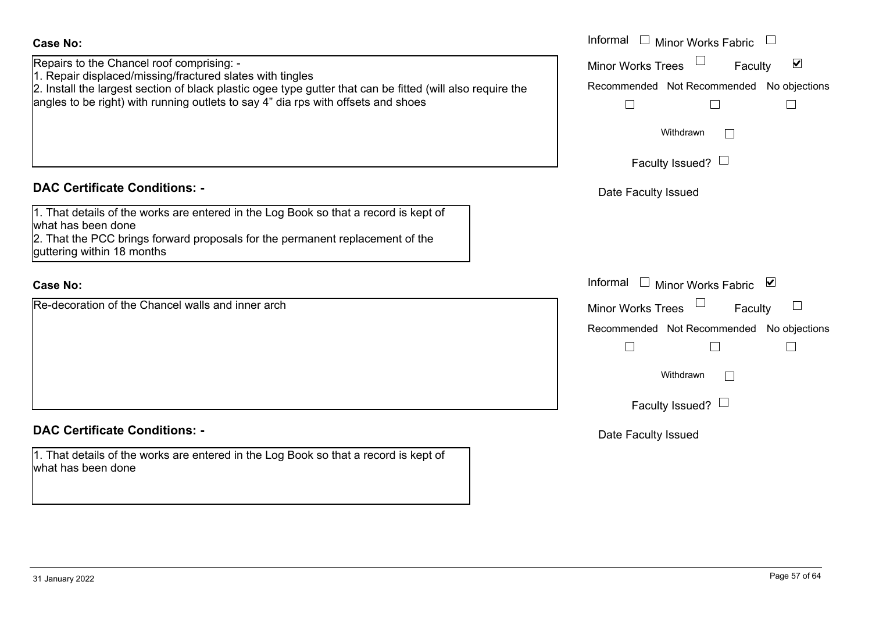| <b>Case No:</b>                                                                                                                                                                                                                                                                                           | Informal $\square$<br><b>Minor Works Fabric</b>                                                             |
|-----------------------------------------------------------------------------------------------------------------------------------------------------------------------------------------------------------------------------------------------------------------------------------------------------------|-------------------------------------------------------------------------------------------------------------|
| Repairs to the Chancel roof comprising: -<br>1. Repair displaced/missing/fractured slates with tingles<br>2. Install the largest section of black plastic ogee type gutter that can be fitted (will also require the<br>angles to be right) with running outlets to say 4" dia rps with offsets and shoes | $\blacktriangledown$<br>Minor Works Trees<br>Faculty<br>Recommended Not Recommended No objections<br>$\Box$ |
|                                                                                                                                                                                                                                                                                                           | Withdrawn<br>$\sim$                                                                                         |
|                                                                                                                                                                                                                                                                                                           | Faculty Issued? $\Box$                                                                                      |
| <b>DAC Certificate Conditions: -</b>                                                                                                                                                                                                                                                                      | Date Faculty Issued                                                                                         |
| 1. That details of the works are entered in the Log Book so that a record is kept of<br>what has been done<br>2. That the PCC brings forward proposals for the permanent replacement of the<br>guttering within 18 months                                                                                 |                                                                                                             |
| <b>Case No:</b>                                                                                                                                                                                                                                                                                           | Informal<br>$\begin{array}{c} \hline \end{array}$<br>Minor Works Fabric<br>⊻                                |
| Re-decoration of the Chancel walls and inner arch                                                                                                                                                                                                                                                         | <b>Minor Works Trees</b><br>Faculty                                                                         |
|                                                                                                                                                                                                                                                                                                           | Recommended Not Recommended No objections<br>$\overline{\phantom{a}}$                                       |
|                                                                                                                                                                                                                                                                                                           | Withdrawn<br>$\Box$                                                                                         |
|                                                                                                                                                                                                                                                                                                           | Faculty Issued? $\Box$                                                                                      |
| <b>DAC Certificate Conditions: -</b>                                                                                                                                                                                                                                                                      | Date Faculty Issued                                                                                         |
| 1. That details of the works are entered in the Log Book so that a record is kept of<br>what has been done                                                                                                                                                                                                |                                                                                                             |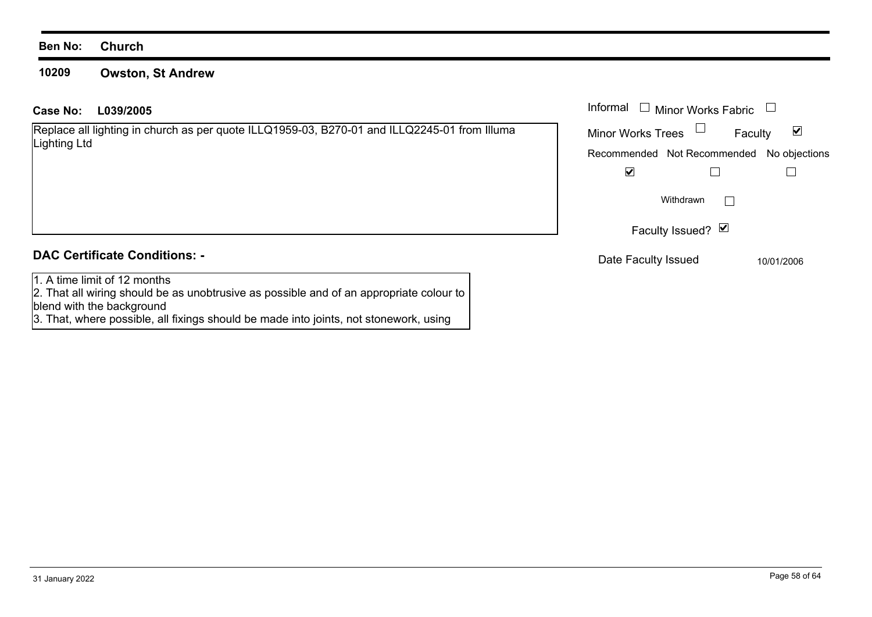### **10209Owston, St Andrew**

Replace all lighting in church as per quote ILLQ1959-03, B270-01 and ILLQ2245-01 from Illuma Lighting Ltd

## **DAC Certificate Conditions: -**

1. A time limit of 12 months

 2. That all wiring should be as unobtrusive as possible and of an appropriate colour to blend with the background

3. That, where possible, all fixings should be made into joints, not stonework, using

| L039/2005                                                                                   | Informal $\Box$ Minor Works Fabric        |  |
|---------------------------------------------------------------------------------------------|-------------------------------------------|--|
| all lighting in church as per quote ILLQ1959-03, B270-01 and ILLQ2245-01 from Illuma<br>_td | ⊻<br><b>Minor Works Trees</b><br>Faculty  |  |
|                                                                                             | Recommended Not Recommended No objections |  |
|                                                                                             | $\blacktriangledown$                      |  |
|                                                                                             | Withdrawn<br>$\mathbf{1}$                 |  |
|                                                                                             | Faculty Issued? ⊠                         |  |
| rtificate Conditions: -                                                                     | Date Faculty Issued<br>10/01/2006         |  |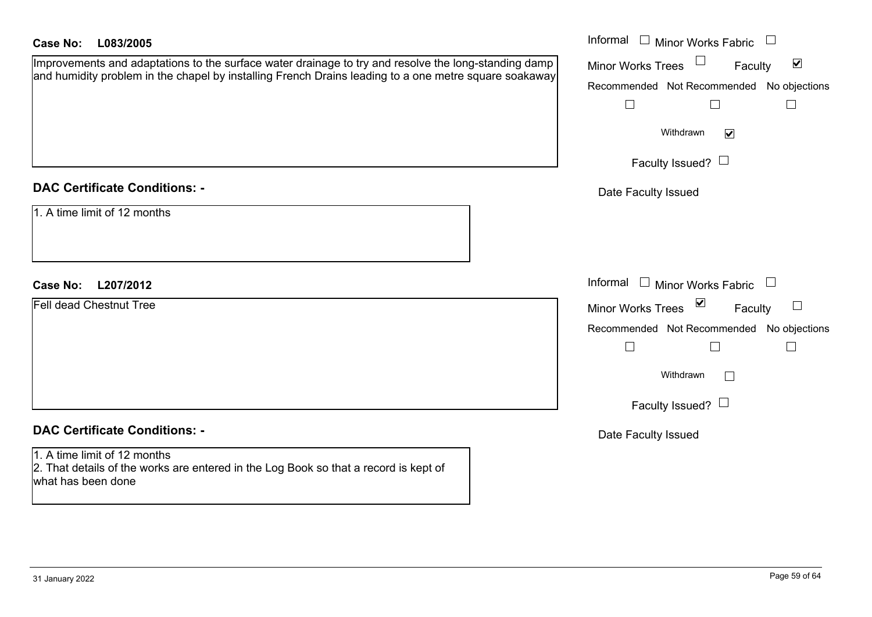| <b>Case No:</b><br>L083/2005                                                                                                                                                                                  | Informal $\Box$ Minor Works Fabric<br>$\begin{array}{c} \hline \end{array}$                                                                                                                           |
|---------------------------------------------------------------------------------------------------------------------------------------------------------------------------------------------------------------|-------------------------------------------------------------------------------------------------------------------------------------------------------------------------------------------------------|
| Improvements and adaptations to the surface water drainage to try and resolve the long-standing damp<br>and humidity problem in the chapel by installing French Drains leading to a one metre square soakaway | $\blacktriangledown$<br><b>Minor Works Trees</b><br>Faculty<br>Recommended Not Recommended No objections<br>$\Box$<br>$\Box$<br>$\Box$<br>Withdrawn<br>$\blacktriangledown$<br>Faculty Issued? $\Box$ |
| <b>DAC Certificate Conditions: -</b><br>1. A time limit of 12 months                                                                                                                                          | Date Faculty Issued                                                                                                                                                                                   |
| L207/2012<br><b>Case No:</b><br><b>Fell dead Chestnut Tree</b>                                                                                                                                                | Informal<br>$\Box$ Minor Works Fabric<br>$\vee$<br><b>Minor Works Trees</b><br>Faculty<br>Recommended Not Recommended No objections<br>$\Box$<br>$\Box$<br>$\Box$                                     |
| <b>DAC Certificate Conditions: -</b>                                                                                                                                                                          | Withdrawn<br>$\mathbb{R}^n$<br>Faculty Issued? $\Box$                                                                                                                                                 |
| 1. A time limit of 12 months<br>2. That details of the works are entered in the Log Book so that a record is kept of<br>what has been done                                                                    | Date Faculty Issued                                                                                                                                                                                   |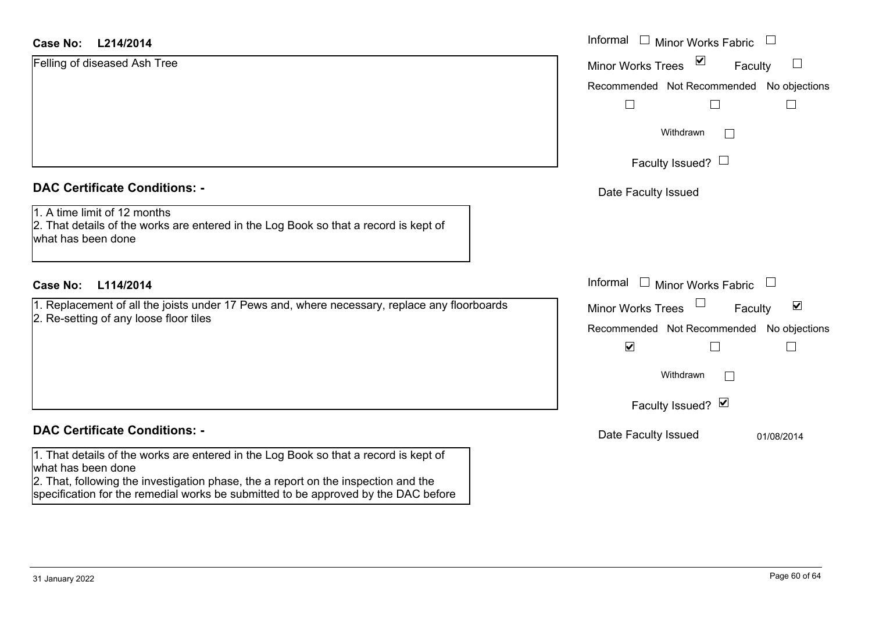### **L214/2014Case No:** Informal

| Case No:<br>L214/2014                                                                                                                      | Informal $\Box$ Minor Works Fabric $\Box$                             |
|--------------------------------------------------------------------------------------------------------------------------------------------|-----------------------------------------------------------------------|
| Felling of diseased Ash Tree                                                                                                               | $\blacktriangledown$<br><b>Minor Works Trees</b><br>$\Box$<br>Faculty |
|                                                                                                                                            | Recommended Not Recommended No objections                             |
|                                                                                                                                            |                                                                       |
|                                                                                                                                            | Withdrawn<br>$\Box$                                                   |
|                                                                                                                                            | Faculty Issued? $\Box$                                                |
| <b>DAC Certificate Conditions: -</b>                                                                                                       | Date Faculty Issued                                                   |
| 1. A time limit of 12 months<br>2. That details of the works are entered in the Log Book so that a record is kept of<br>what has been done |                                                                       |
| <b>Case No:</b><br>L114/2014                                                                                                               | Informal<br>$\Box$ Minor Works Fabric                                 |
| 1. Replacement of all the joists under 17 Pews and, where necessary, replace any floorboards<br>2. Re-setting of any loose floor tiles     | Minor Works Trees<br>$\blacktriangledown$<br>Faculty                  |
|                                                                                                                                            | Recommended Not Recommended No objections                             |
|                                                                                                                                            | $\blacktriangledown$                                                  |
|                                                                                                                                            | Withdrawn<br>$\Box$                                                   |
|                                                                                                                                            | Faculty Issued? Ø                                                     |
| <b>DAC Certificate Conditions: -</b>                                                                                                       | Date Faculty Issued<br>01/08/2014                                     |
| 1. That details of the works are entered in the Log Book so that a record is kept of<br>what has been done                                 |                                                                       |

2. That, following the investigation phase, the a report on the inspection and the specification for the remedial works be submitted to be approved by the DAC before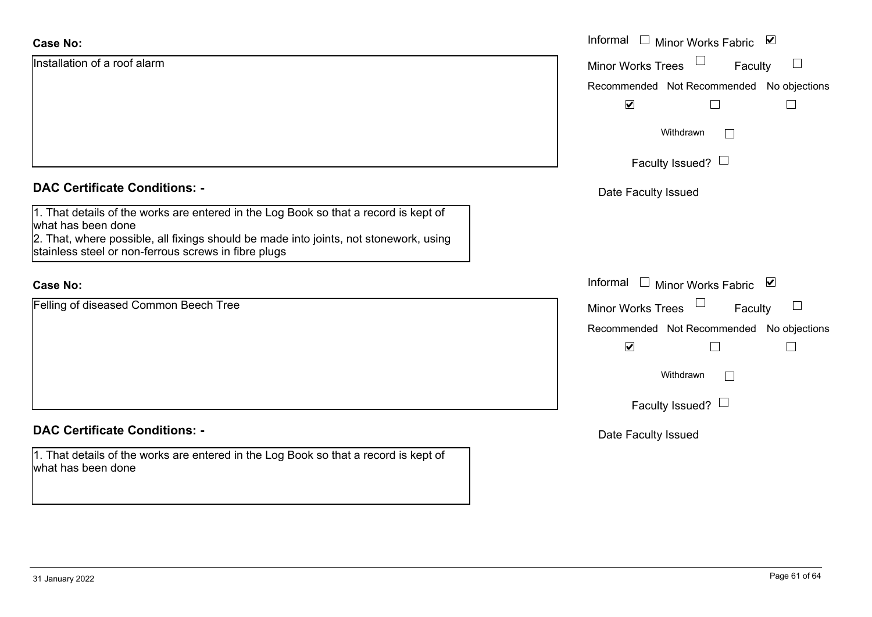| <b>Case No:</b>                                                                                                                                                                                                                                             | Informal $\square$<br>Minor Works Fabric ⊠ |
|-------------------------------------------------------------------------------------------------------------------------------------------------------------------------------------------------------------------------------------------------------------|--------------------------------------------|
| Installation of a roof alarm                                                                                                                                                                                                                                | Minor Works Trees<br>$\Box$<br>Faculty     |
|                                                                                                                                                                                                                                                             | Recommended Not Recommended No objections  |
|                                                                                                                                                                                                                                                             | $\blacktriangledown$<br>L                  |
|                                                                                                                                                                                                                                                             | Withdrawn<br>$\vert \ \ \vert$             |
|                                                                                                                                                                                                                                                             | Faculty Issued? $\Box$                     |
| <b>DAC Certificate Conditions: -</b>                                                                                                                                                                                                                        | Date Faculty Issued                        |
| 1. That details of the works are entered in the Log Book so that a record is kept of<br>what has been done<br>2. That, where possible, all fixings should be made into joints, not stonework, using<br>stainless steel or non-ferrous screws in fibre plugs |                                            |
| <b>Case No:</b>                                                                                                                                                                                                                                             | Informal<br>Minor Works Fabric ⊠           |
| Felling of diseased Common Beech Tree                                                                                                                                                                                                                       | Minor Works Trees<br>Faculty<br>⊔          |
|                                                                                                                                                                                                                                                             | Recommended Not Recommended No objections  |
|                                                                                                                                                                                                                                                             | $\blacktriangledown$<br>$\Box$             |
|                                                                                                                                                                                                                                                             | Withdrawn<br>$\mathbb{R}^n$                |
|                                                                                                                                                                                                                                                             | Faculty Issued? $\Box$                     |
| <b>DAC Certificate Conditions: -</b>                                                                                                                                                                                                                        | Date Faculty Issued                        |
| 1. That details of the works are entered in the Log Book so that a record is kept of<br>what has been done                                                                                                                                                  |                                            |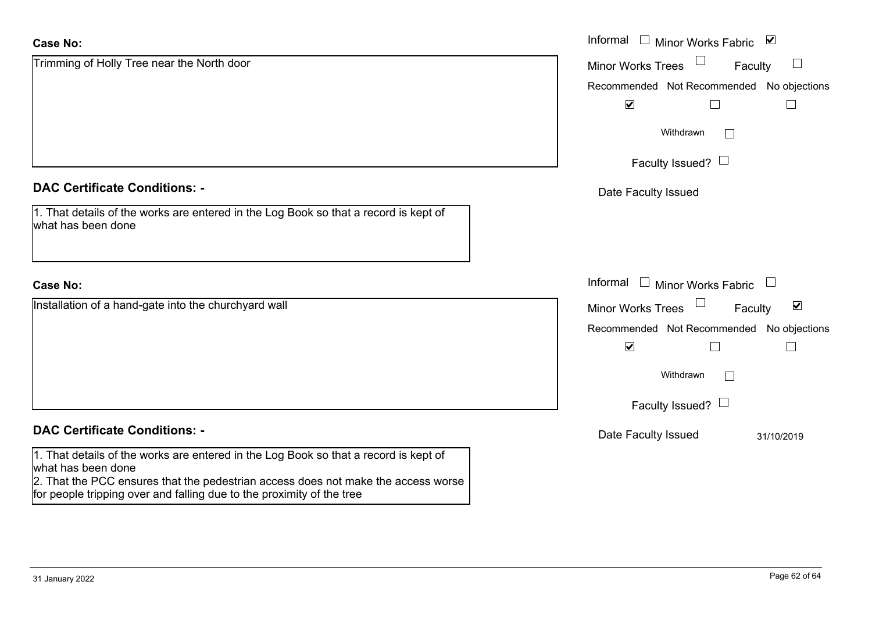| <b>Case No:</b>                                                                                                                                            | Informal □ Minor Works Fabric ⊠                             |
|------------------------------------------------------------------------------------------------------------------------------------------------------------|-------------------------------------------------------------|
| Trimming of Holly Tree near the North door                                                                                                                 | <b>Minor Works Trees</b><br>Faculty                         |
|                                                                                                                                                            | Recommended Not Recommended No objections                   |
|                                                                                                                                                            | $\blacktriangledown$                                        |
|                                                                                                                                                            | Withdrawn<br>$\Box$                                         |
|                                                                                                                                                            | Faculty Issued? $\Box$                                      |
| <b>DAC Certificate Conditions: -</b>                                                                                                                       | Date Faculty Issued                                         |
| 1. That details of the works are entered in the Log Book so that a record is kept of<br>what has been done                                                 |                                                             |
| <b>Case No:</b>                                                                                                                                            | Informal □ Minor Works Fabric<br>$\Box$                     |
| Installation of a hand-gate into the churchyard wall                                                                                                       | $\blacktriangledown$<br><b>Minor Works Trees</b><br>Faculty |
|                                                                                                                                                            | Recommended Not Recommended No objections                   |
|                                                                                                                                                            | $\blacktriangledown$<br>$\vert$                             |
|                                                                                                                                                            | Withdrawn<br>$\Box$                                         |
|                                                                                                                                                            | Faculty Issued? $\Box$                                      |
| <b>DAC Certificate Conditions: -</b>                                                                                                                       | Date Faculty Issued<br>31/10/2019                           |
| 1. That details of the works are entered in the Log Book so that a record is kept of<br>what has been done                                                 |                                                             |
| 2. That the PCC ensures that the pedestrian access does not make the access worse<br>for people tripping over and falling due to the proximity of the tree |                                                             |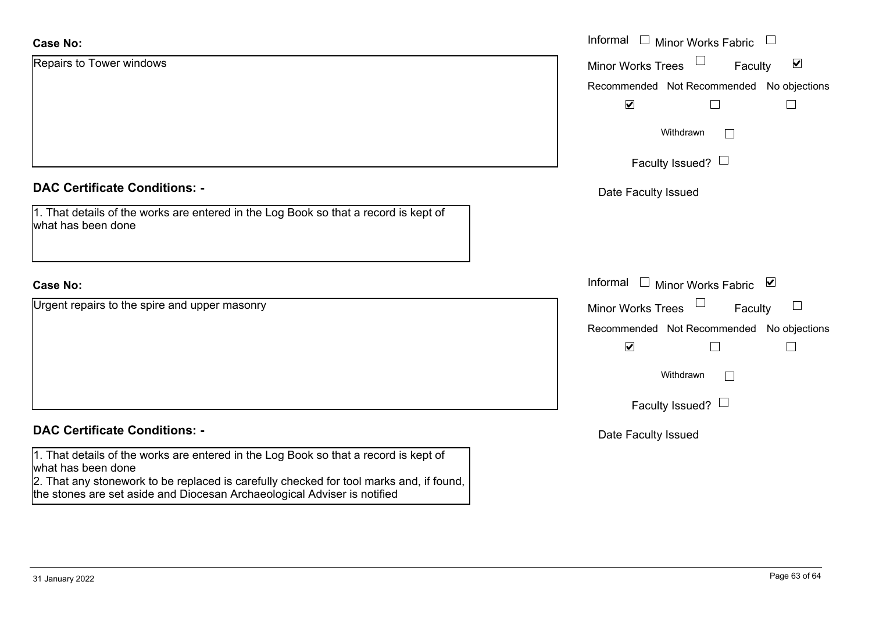| <b>Case No:</b>                                                                                                                                                                                       | Informal $\square$<br><b>Minor Works Fabric</b>      |  |  |
|-------------------------------------------------------------------------------------------------------------------------------------------------------------------------------------------------------|------------------------------------------------------|--|--|
| Repairs to Tower windows                                                                                                                                                                              | $\blacktriangledown$<br>Minor Works Trees<br>Faculty |  |  |
|                                                                                                                                                                                                       | Recommended Not Recommended No objections            |  |  |
|                                                                                                                                                                                                       | $\blacktriangledown$                                 |  |  |
|                                                                                                                                                                                                       | Withdrawn<br>$\Box$                                  |  |  |
|                                                                                                                                                                                                       | Faculty Issued? $\Box$                               |  |  |
| <b>DAC Certificate Conditions: -</b>                                                                                                                                                                  | Date Faculty Issued                                  |  |  |
| 1. That details of the works are entered in the Log Book so that a record is kept of<br>what has been done                                                                                            |                                                      |  |  |
| <b>Case No:</b>                                                                                                                                                                                       | Informal □ Minor Works Fabric ⊠                      |  |  |
| Urgent repairs to the spire and upper masonry                                                                                                                                                         | $\perp$<br>Minor Works Trees<br>Faculty              |  |  |
|                                                                                                                                                                                                       | Recommended Not Recommended No objections            |  |  |
|                                                                                                                                                                                                       | $\blacktriangledown$<br>$\Box$<br>$\Box$             |  |  |
|                                                                                                                                                                                                       | Withdrawn<br>$\Box$                                  |  |  |
|                                                                                                                                                                                                       | Faculty Issued? $\Box$                               |  |  |
| <b>DAC Certificate Conditions: -</b>                                                                                                                                                                  | Date Faculty Issued                                  |  |  |
| 1. That details of the works are entered in the Log Book so that a record is kept of<br>what has been done<br>2. That any stonework to be replaced is carefully checked for tool marks and, if found, |                                                      |  |  |

the stones are set aside and Diocesan Archaeological Adviser is notified